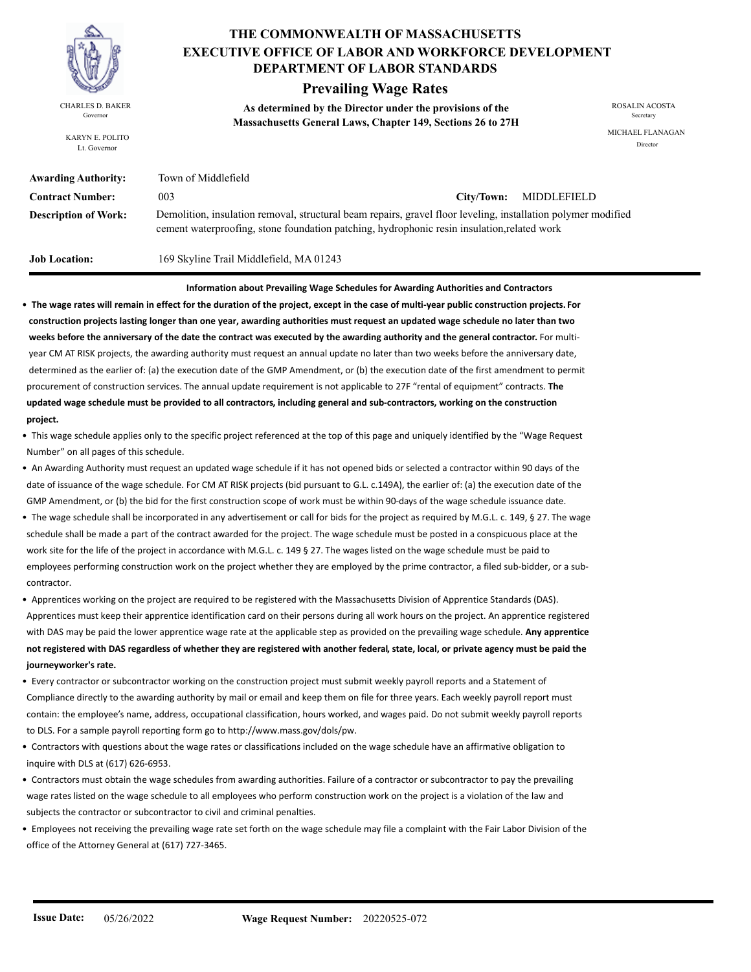

KARYN E. POLITO Lt. Governor

# **THE COMMONWEALTH OF MASSACHUSETTS DEPARTMENT OF LABOR STANDARDS EXECUTIVE OFFICE OF LABOR AND WORKFORCE DEVELOPMENT**

# **Prevailing Wage Rates**

**As determined by the Director under the provisions of the**  CHARLES D. BAKER ROSALIN ACOSTA Governor<br> **Massachusetts General Laws, Chapter 149, Sections 26 to 27H** 

MICHAEL FLANAGAN Director

| <b>Awarding Authority:</b>  | Town of Middlefield                                                                                                                                                                                          |            |             |
|-----------------------------|--------------------------------------------------------------------------------------------------------------------------------------------------------------------------------------------------------------|------------|-------------|
| <b>Contract Number:</b>     | 003                                                                                                                                                                                                          | City/Town: | MIDDLEFIELD |
| <b>Description of Work:</b> | Demolition, insulation removal, structural beam repairs, gravel floor leveling, installation polymer modified<br>cement waterproofing, stone foundation patching, hydrophonic resin insulation, related work |            |             |

**Job Location:** 169 Skyline Trail Middlefield, MA 01243

#### **Information about Prevailing Wage Schedules for Awarding Authorities and Contractors**

• **The wage rates will remain in effect for the duration of the project, except in the case of multi-year public construction projects. For construction projects lasting longer than one year, awarding authorities must request an updated wage schedule no later than two weeks before the anniversary of the date the contract was executed by the awarding authority and the general contractor.** For multi year CM AT RISK projects, the awarding authority must request an annual update no later than two weeks before the anniversary date, determined as the earlier of: (a) the execution date of the GMP Amendment, or (b) the execution date of the first amendment to permit procurement of construction services. The annual update requirement is not applicable to 27F "rental of equipment" contracts. **The updated wage schedule must be provided to all contractors, including general and sub-contractors, working on the construction project.**

• This wage schedule applies only to the specific project referenced at the top of this page and uniquely identified by the "Wage Request Number" on all pages of this schedule.

- An Awarding Authority must request an updated wage schedule if it has not opened bids or selected a contractor within 90 days of the date of issuance of the wage schedule. For CM AT RISK projects (bid pursuant to G.L. c.149A), the earlier of: (a) the execution date of the GMP Amendment, or (b) the bid for the first construction scope of work must be within 90-days of the wage schedule issuance date.
- The wage schedule shall be incorporated in any advertisement or call for bids for the project as required by M.G.L. c. 149, § 27. The wage schedule shall be made a part of the contract awarded for the project. The wage schedule must be posted in a conspicuous place at the work site for the life of the project in accordance with M.G.L. c. 149 § 27. The wages listed on the wage schedule must be paid to employees performing construction work on the project whether they are employed by the prime contractor, a filed sub-bidder, or a sub contractor.
- Apprentices working on the project are required to be registered with the Massachusetts Division of Apprentice Standards (DAS). Apprentices must keep their apprentice identification card on their persons during all work hours on the project. An apprentice registered with DAS may be paid the lower apprentice wage rate at the applicable step as provided on the prevailing wage schedule. **Any apprentice not registered with DAS regardless of whether they are registered with another federal, state, local, or private agency must be paid the journeyworker's rate.**
- Every contractor or subcontractor working on the construction project must submit weekly payroll reports and a Statement of Compliance directly to the awarding authority by mail or email and keep them on file for three years. Each weekly payroll report must contain: the employee's name, address, occupational classification, hours worked, and wages paid. Do not submit weekly payroll reports to DLS. For a sample payroll reporting form go to http://www.mass.gov/dols/pw.
- Contractors with questions about the wage rates or classifications included on the wage schedule have an affirmative obligation to inquire with DLS at (617) 626-6953.
- Contractors must obtain the wage schedules from awarding authorities. Failure of a contractor or subcontractor to pay the prevailing wage rates listed on the wage schedule to all employees who perform construction work on the project is a violation of the law and subjects the contractor or subcontractor to civil and criminal penalties.
- Employees not receiving the prevailing wage rate set forth on the wage schedule may file a complaint with the Fair Labor Division of the office of the Attorney General at (617) 727-3465.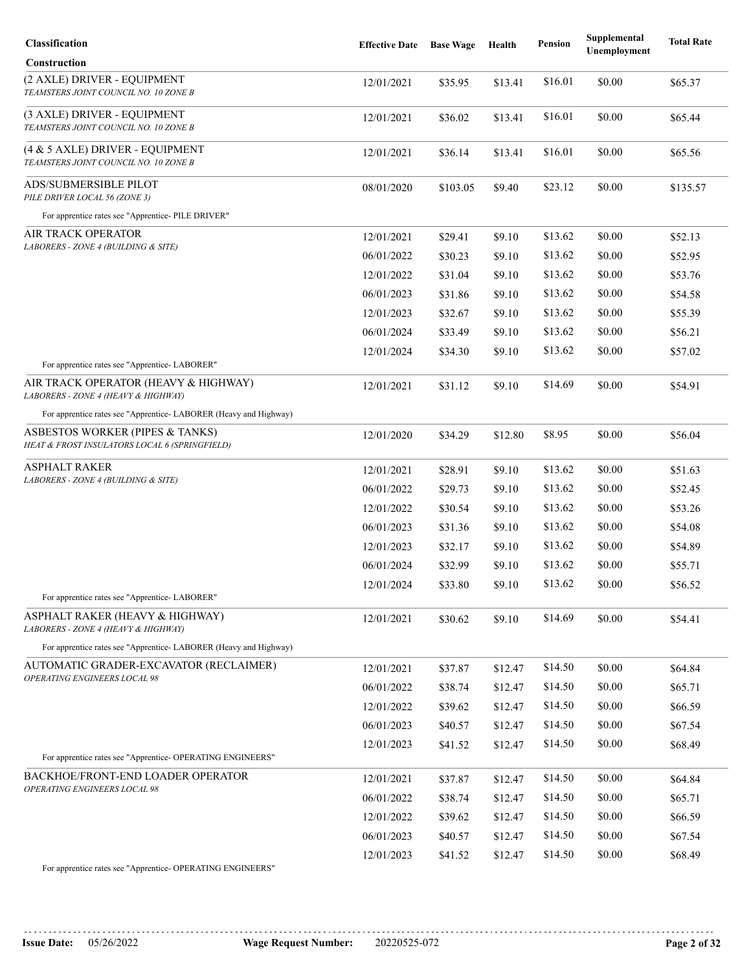| Classification                                                                   | <b>Effective Date</b> | <b>Base Wage</b> | Health  | <b>Pension</b> | Supplemental<br>Unemployment | <b>Total Rate</b> |
|----------------------------------------------------------------------------------|-----------------------|------------------|---------|----------------|------------------------------|-------------------|
| Construction                                                                     |                       |                  |         |                |                              |                   |
| (2 AXLE) DRIVER - EQUIPMENT<br>TEAMSTERS JOINT COUNCIL NO. 10 ZONE B             | 12/01/2021            | \$35.95          | \$13.41 | \$16.01        | \$0.00                       | \$65.37           |
| (3 AXLE) DRIVER - EQUIPMENT<br>TEAMSTERS JOINT COUNCIL NO. 10 ZONE B             | 12/01/2021            | \$36.02          | \$13.41 | \$16.01        | \$0.00                       | \$65.44           |
| (4 & 5 AXLE) DRIVER - EQUIPMENT<br>TEAMSTERS JOINT COUNCIL NO. 10 ZONE B         | 12/01/2021            | \$36.14          | \$13.41 | \$16.01        | \$0.00                       | \$65.56           |
| <b>ADS/SUBMERSIBLE PILOT</b><br>PILE DRIVER LOCAL 56 (ZONE 3)                    | 08/01/2020            | \$103.05         | \$9.40  | \$23.12        | \$0.00                       | \$135.57          |
| For apprentice rates see "Apprentice- PILE DRIVER"                               |                       |                  |         |                |                              |                   |
| AIR TRACK OPERATOR                                                               | 12/01/2021            | \$29.41          | \$9.10  | \$13.62        | \$0.00                       | \$52.13           |
| LABORERS - ZONE 4 (BUILDING & SITE)                                              | 06/01/2022            | \$30.23          | \$9.10  | \$13.62        | \$0.00                       | \$52.95           |
|                                                                                  | 12/01/2022            | \$31.04          | \$9.10  | \$13.62        | \$0.00                       | \$53.76           |
|                                                                                  | 06/01/2023            | \$31.86          | \$9.10  | \$13.62        | \$0.00                       | \$54.58           |
|                                                                                  | 12/01/2023            | \$32.67          | \$9.10  | \$13.62        | \$0.00                       | \$55.39           |
|                                                                                  | 06/01/2024            | \$33.49          | \$9.10  | \$13.62        | \$0.00                       | \$56.21           |
|                                                                                  | 12/01/2024            | \$34.30          | \$9.10  | \$13.62        | \$0.00                       | \$57.02           |
| For apprentice rates see "Apprentice-LABORER"                                    |                       |                  |         |                |                              |                   |
| AIR TRACK OPERATOR (HEAVY & HIGHWAY)<br>LABORERS - ZONE 4 (HEAVY & HIGHWAY)      | 12/01/2021            | \$31.12          | \$9.10  | \$14.69        | \$0.00                       | \$54.91           |
| For apprentice rates see "Apprentice- LABORER (Heavy and Highway)                |                       |                  |         |                |                              |                   |
| ASBESTOS WORKER (PIPES & TANKS)<br>HEAT & FROST INSULATORS LOCAL 6 (SPRINGFIELD) | 12/01/2020            | \$34.29          | \$12.80 | \$8.95         | \$0.00                       | \$56.04           |
| ASPHALT RAKER                                                                    | 12/01/2021            | \$28.91          | \$9.10  | \$13.62        | \$0.00                       | \$51.63           |
| LABORERS - ZONE 4 (BUILDING & SITE)                                              | 06/01/2022            | \$29.73          | \$9.10  | \$13.62        | \$0.00                       | \$52.45           |
|                                                                                  | 12/01/2022            | \$30.54          | \$9.10  | \$13.62        | \$0.00                       | \$53.26           |
|                                                                                  | 06/01/2023            | \$31.36          | \$9.10  | \$13.62        | \$0.00                       | \$54.08           |
|                                                                                  | 12/01/2023            | \$32.17          | \$9.10  | \$13.62        | \$0.00                       | \$54.89           |
|                                                                                  | 06/01/2024            | \$32.99          | \$9.10  | \$13.62        | \$0.00                       | \$55.71           |
| For apprentice rates see "Apprentice-LABORER"                                    | 12/01/2024            | \$33.80          | \$9.10  | \$13.62        | \$0.00                       | \$56.52           |
| ASPHALT RAKER (HEAVY & HIGHWAY)<br>LABORERS - ZONE 4 (HEAVY & HIGHWAY)           | 12/01/2021            | \$30.62          | \$9.10  | \$14.69        | \$0.00                       | \$54.41           |
| For apprentice rates see "Apprentice- LABORER (Heavy and Highway)                |                       |                  |         |                |                              |                   |
| AUTOMATIC GRADER-EXCAVATOR (RECLAIMER)                                           | 12/01/2021            | \$37.87          | \$12.47 | \$14.50        | \$0.00                       | \$64.84           |
| OPERATING ENGINEERS LOCAL 98                                                     | 06/01/2022            | \$38.74          | \$12.47 | \$14.50        | \$0.00                       | \$65.71           |
|                                                                                  | 12/01/2022            | \$39.62          | \$12.47 | \$14.50        | \$0.00                       | \$66.59           |
|                                                                                  | 06/01/2023            | \$40.57          | \$12.47 | \$14.50        | \$0.00                       | \$67.54           |
|                                                                                  | 12/01/2023            | \$41.52          | \$12.47 | \$14.50        | \$0.00                       | \$68.49           |
| For apprentice rates see "Apprentice- OPERATING ENGINEERS"                       |                       |                  |         |                |                              |                   |
| BACKHOE/FRONT-END LOADER OPERATOR                                                | 12/01/2021            | \$37.87          | \$12.47 | \$14.50        | \$0.00                       | \$64.84           |
| <i><b>OPERATING ENGINEERS LOCAL 98</b></i>                                       | 06/01/2022            | \$38.74          | \$12.47 | \$14.50        | \$0.00                       | \$65.71           |
|                                                                                  | 12/01/2022            | \$39.62          | \$12.47 | \$14.50        | \$0.00                       | \$66.59           |
|                                                                                  | 06/01/2023            | \$40.57          | \$12.47 | \$14.50        | \$0.00                       | \$67.54           |
|                                                                                  | 12/01/2023            | \$41.52          | \$12.47 | \$14.50        | \$0.00                       | \$68.49           |
| For apprentice rates see "Apprentice- OPERATING ENGINEERS"                       |                       |                  |         |                |                              |                   |

**Issue Date:** 05/26/2022 **Wage Request Number:** 20220525-072 **Page 2 of 32**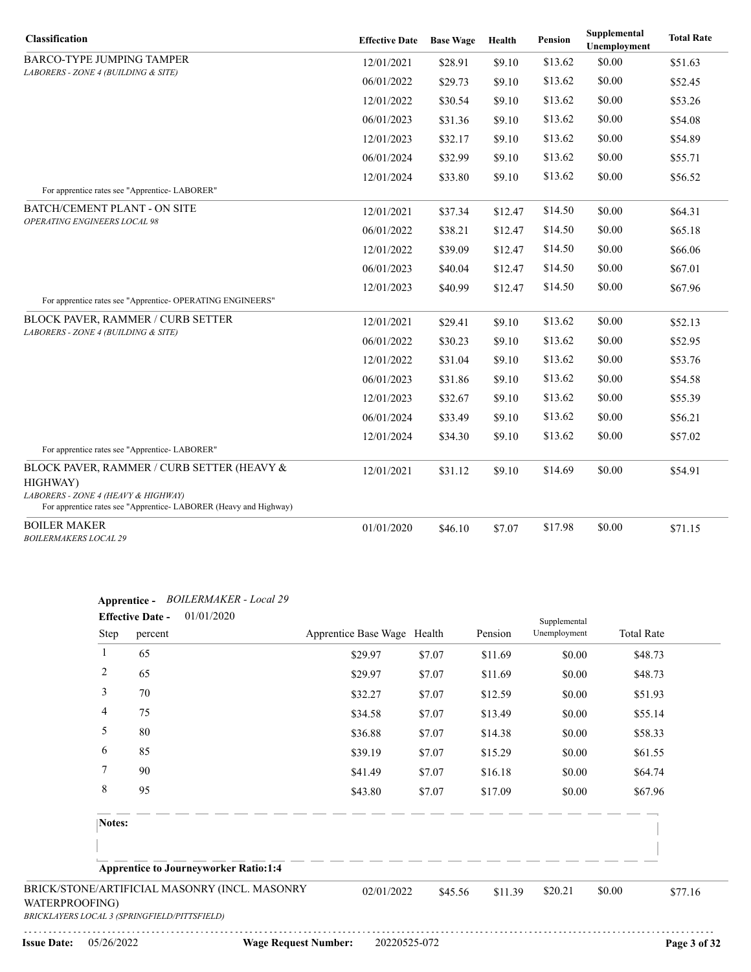| Classification                                                                                                                                                    | <b>Effective Date</b> | <b>Base Wage</b> | Health  | Pension | Supplemental<br>Unemployment | <b>Total Rate</b> |
|-------------------------------------------------------------------------------------------------------------------------------------------------------------------|-----------------------|------------------|---------|---------|------------------------------|-------------------|
| <b>BARCO-TYPE JUMPING TAMPER</b>                                                                                                                                  | 12/01/2021            | \$28.91          | \$9.10  | \$13.62 | \$0.00                       | \$51.63           |
| LABORERS - ZONE 4 (BUILDING & SITE)                                                                                                                               | 06/01/2022            | \$29.73          | \$9.10  | \$13.62 | \$0.00                       | \$52.45           |
|                                                                                                                                                                   | 12/01/2022            | \$30.54          | \$9.10  | \$13.62 | \$0.00                       | \$53.26           |
|                                                                                                                                                                   | 06/01/2023            | \$31.36          | \$9.10  | \$13.62 | \$0.00                       | \$54.08           |
|                                                                                                                                                                   | 12/01/2023            | \$32.17          | \$9.10  | \$13.62 | \$0.00                       | \$54.89           |
|                                                                                                                                                                   | 06/01/2024            | \$32.99          | \$9.10  | \$13.62 | \$0.00                       | \$55.71           |
|                                                                                                                                                                   | 12/01/2024            | \$33.80          | \$9.10  | \$13.62 | \$0.00                       | \$56.52           |
| For apprentice rates see "Apprentice-LABORER"                                                                                                                     |                       |                  |         |         |                              |                   |
| <b>BATCH/CEMENT PLANT - ON SITE</b>                                                                                                                               | 12/01/2021            | \$37.34          | \$12.47 | \$14.50 | \$0.00                       | \$64.31           |
| <b>OPERATING ENGINEERS LOCAL 98</b>                                                                                                                               | 06/01/2022            | \$38.21          | \$12.47 | \$14.50 | \$0.00                       | \$65.18           |
|                                                                                                                                                                   | 12/01/2022            | \$39.09          | \$12.47 | \$14.50 | \$0.00                       | \$66.06           |
|                                                                                                                                                                   | 06/01/2023            | \$40.04          | \$12.47 | \$14.50 | \$0.00                       | \$67.01           |
|                                                                                                                                                                   | 12/01/2023            | \$40.99          | \$12.47 | \$14.50 | \$0.00                       | \$67.96           |
| For apprentice rates see "Apprentice-OPERATING ENGINEERS"                                                                                                         |                       |                  |         |         |                              |                   |
| <b>BLOCK PAVER, RAMMER / CURB SETTER</b>                                                                                                                          | 12/01/2021            | \$29.41          | \$9.10  | \$13.62 | \$0.00                       | \$52.13           |
| LABORERS - ZONE 4 (BUILDING & SITE)                                                                                                                               | 06/01/2022            | \$30.23          | \$9.10  | \$13.62 | \$0.00                       | \$52.95           |
|                                                                                                                                                                   | 12/01/2022            | \$31.04          | \$9.10  | \$13.62 | \$0.00                       | \$53.76           |
|                                                                                                                                                                   | 06/01/2023            | \$31.86          | \$9.10  | \$13.62 | \$0.00                       | \$54.58           |
|                                                                                                                                                                   | 12/01/2023            | \$32.67          | \$9.10  | \$13.62 | \$0.00                       | \$55.39           |
|                                                                                                                                                                   | 06/01/2024            | \$33.49          | \$9.10  | \$13.62 | \$0.00                       | \$56.21           |
|                                                                                                                                                                   | 12/01/2024            | \$34.30          | \$9.10  | \$13.62 | \$0.00                       | \$57.02           |
| For apprentice rates see "Apprentice-LABORER"                                                                                                                     |                       |                  |         |         |                              |                   |
| BLOCK PAVER, RAMMER / CURB SETTER (HEAVY &<br>HIGHWAY)<br>LABORERS - ZONE 4 (HEAVY & HIGHWAY)<br>For apprentice rates see "Apprentice-LABORER (Heavy and Highway) | 12/01/2021            | \$31.12          | \$9.10  | \$14.69 | \$0.00                       | \$54.91           |
| <b>BOILER MAKER</b><br><b>BOILERMAKERS LOCAL 29</b>                                                                                                               | 01/01/2020            | \$46.10          | \$7.07  | \$17.98 | \$0.00                       | \$71.15           |

|                | Step   | percent                                                                                       | Apprentice Base Wage Health |         | Pension | Supplemental<br>Unemployment | <b>Total Rate</b> |         |
|----------------|--------|-----------------------------------------------------------------------------------------------|-----------------------------|---------|---------|------------------------------|-------------------|---------|
|                | 1      | 65                                                                                            | \$29.97                     | \$7.07  | \$11.69 | \$0.00                       | \$48.73           |         |
|                | 2      | 65                                                                                            | \$29.97                     | \$7.07  | \$11.69 | \$0.00                       | \$48.73           |         |
|                | 3      | 70                                                                                            | \$32.27                     | \$7.07  | \$12.59 | \$0.00                       | \$51.93           |         |
|                | 4      | 75                                                                                            | \$34.58                     | \$7.07  | \$13.49 | \$0.00                       | \$55.14           |         |
|                | 5      | 80                                                                                            | \$36.88                     | \$7.07  | \$14.38 | \$0.00                       | \$58.33           |         |
|                | 6      | 85                                                                                            | \$39.19                     | \$7.07  | \$15.29 | \$0.00                       | \$61.55           |         |
|                | 7      | 90                                                                                            | \$41.49                     | \$7.07  | \$16.18 | \$0.00                       | \$64.74           |         |
|                | 8      | 95                                                                                            | \$43.80                     | \$7.07  | \$17.09 | \$0.00                       | \$67.96           |         |
|                | Notes: |                                                                                               |                             |         |         |                              |                   |         |
|                |        |                                                                                               |                             |         |         |                              |                   |         |
|                |        | <b>Apprentice to Journeyworker Ratio:1:4</b>                                                  |                             |         |         |                              |                   |         |
| WATERPROOFING) |        | BRICK/STONE/ARTIFICIAL MASONRY (INCL. MASONRY<br>BRICKLAYERS LOCAL 3 (SPRINGFIELD/PITTSFIELD) | 02/01/2022                  | \$45.56 | \$11.39 | \$20.21                      | \$0.00            | \$77.16 |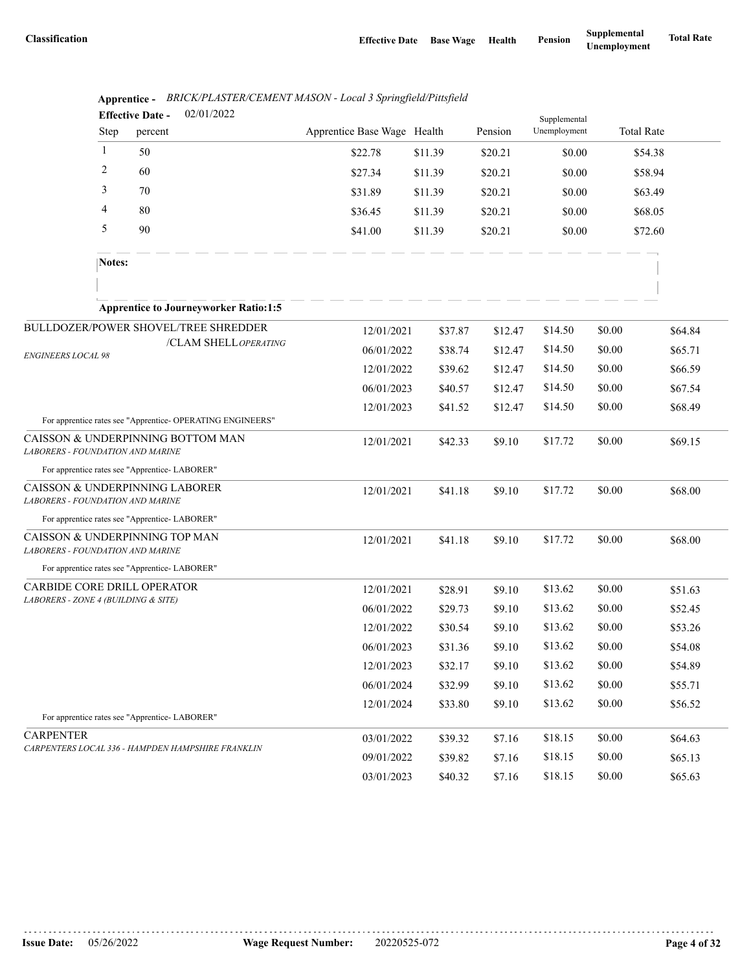|                                         |        | 02/01/2022<br><b>Effective Date -</b>                      |                             |         |         | Supplemental |        |                   |
|-----------------------------------------|--------|------------------------------------------------------------|-----------------------------|---------|---------|--------------|--------|-------------------|
|                                         | Step   | percent                                                    | Apprentice Base Wage Health |         | Pension | Unemployment |        | <b>Total Rate</b> |
|                                         | 1      | 50                                                         | \$22.78                     | \$11.39 | \$20.21 | \$0.00       |        | \$54.38           |
|                                         | 2      | 60                                                         | \$27.34                     | \$11.39 | \$20.21 | \$0.00       |        | \$58.94           |
|                                         | 3      | 70                                                         | \$31.89                     | \$11.39 | \$20.21 | \$0.00       |        | \$63.49           |
|                                         | 4      | 80                                                         | \$36.45                     | \$11.39 | \$20.21 | \$0.00       |        | \$68.05           |
|                                         | 5      | 90                                                         | \$41.00                     | \$11.39 | \$20.21 | \$0.00       |        | \$72.60           |
|                                         | Notes: |                                                            |                             |         |         |              |        |                   |
|                                         |        | <b>Apprentice to Journeyworker Ratio:1:5</b>               |                             |         |         |              |        |                   |
|                                         |        | BULLDOZER/POWER SHOVEL/TREE SHREDDER                       | 12/01/2021                  | \$37.87 | \$12.47 | \$14.50      | \$0.00 | \$64.84           |
|                                         |        | /CLAM SHELLOPERATING                                       | 06/01/2022                  | \$38.74 | \$12.47 | \$14.50      | \$0.00 | \$65.71           |
| <b>ENGINEERS LOCAL 98</b>               |        |                                                            | 12/01/2022                  | \$39.62 | \$12.47 | \$14.50      | \$0.00 | \$66.59           |
|                                         |        |                                                            | 06/01/2023                  | \$40.57 | \$12.47 | \$14.50      | \$0.00 | \$67.54           |
|                                         |        |                                                            | 12/01/2023                  | \$41.52 | \$12.47 | \$14.50      | \$0.00 | \$68.49           |
|                                         |        | For apprentice rates see "Apprentice- OPERATING ENGINEERS" |                             |         |         |              |        |                   |
| LABORERS - FOUNDATION AND MARINE        |        | CAISSON & UNDERPINNING BOTTOM MAN                          | 12/01/2021                  | \$42.33 | \$9.10  | \$17.72      | \$0.00 | \$69.15           |
|                                         |        | For apprentice rates see "Apprentice- LABORER"             |                             |         |         |              |        |                   |
| LABORERS - FOUNDATION AND MARINE        |        | CAISSON & UNDERPINNING LABORER                             | 12/01/2021                  | \$41.18 | \$9.10  | \$17.72      | \$0.00 | \$68.00           |
|                                         |        | For apprentice rates see "Apprentice- LABORER"             |                             |         |         |              |        |                   |
| <b>LABORERS - FOUNDATION AND MARINE</b> |        | CAISSON & UNDERPINNING TOP MAN                             | 12/01/2021                  | \$41.18 | \$9.10  | \$17.72      | \$0.00 | \$68.00           |
|                                         |        | For apprentice rates see "Apprentice-LABORER"              |                             |         |         |              |        |                   |
| CARBIDE CORE DRILL OPERATOR             |        |                                                            | 12/01/2021                  | \$28.91 | \$9.10  | \$13.62      | \$0.00 | \$51.63           |
| LABORERS - ZONE 4 (BUILDING & SITE)     |        |                                                            | 06/01/2022                  | \$29.73 | \$9.10  | \$13.62      | \$0.00 | \$52.45           |
|                                         |        |                                                            | 12/01/2022                  | \$30.54 | \$9.10  | \$13.62      | \$0.00 | \$53.26           |
|                                         |        |                                                            | 06/01/2023                  | \$31.36 | \$9.10  | \$13.62      | \$0.00 | \$54.08           |
|                                         |        |                                                            | 12/01/2023                  | \$32.17 | \$9.10  | \$13.62      | \$0.00 | \$54.89           |
|                                         |        |                                                            | 06/01/2024                  | \$32.99 | \$9.10  | \$13.62      | \$0.00 | \$55.71           |
|                                         |        |                                                            | 12/01/2024                  | \$33.80 | \$9.10  | \$13.62      | \$0.00 | \$56.52           |
|                                         |        | For apprentice rates see "Apprentice-LABORER"              |                             |         |         |              |        |                   |
| <b>CARPENTER</b>                        |        | CARPENTERS LOCAL 336 - HAMPDEN HAMPSHIRE FRANKLIN          | 03/01/2022                  | \$39.32 | \$7.16  | \$18.15      | \$0.00 | \$64.63           |
|                                         |        |                                                            | 09/01/2022                  | \$39.82 | \$7.16  | \$18.15      | \$0.00 | \$65.13           |
|                                         |        |                                                            | 03/01/2023                  | \$40.32 | \$7.16  | \$18.15      | \$0.00 | \$65.63           |

**Apprentice -** *BRICK/PLASTER/CEMENT MASON - Local 3 Springfield/Pittsfield*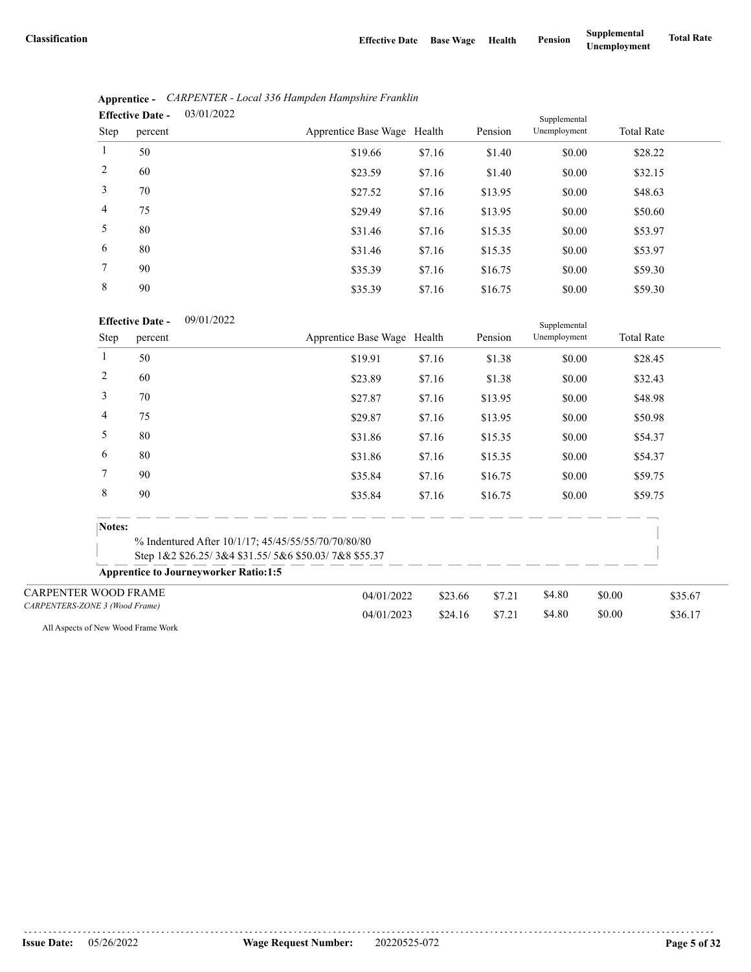|                | 03/01/2022<br><b>Effective Date -</b> |                             | Supplemental |         |              |                   |  |
|----------------|---------------------------------------|-----------------------------|--------------|---------|--------------|-------------------|--|
| Step           | percent                               | Apprentice Base Wage Health |              | Pension | Unemployment | <b>Total Rate</b> |  |
| $\mathbf{1}$   | 50                                    | \$19.66                     | \$7.16       | \$1.40  | \$0.00       | \$28.22           |  |
| 2              | 60                                    | \$23.59                     | \$7.16       | \$1.40  | \$0.00       | \$32.15           |  |
| 3              | 70                                    | \$27.52                     | \$7.16       | \$13.95 | \$0.00       | \$48.63           |  |
| $\overline{4}$ | 75                                    | \$29.49                     | \$7.16       | \$13.95 | \$0.00       | \$50.60           |  |
| 5              | 80                                    | \$31.46                     | \$7.16       | \$15.35 | \$0.00       | \$53.97           |  |
| 6              | 80                                    | \$31.46                     | \$7.16       | \$15.35 | \$0.00       | \$53.97           |  |
| 7              | 90                                    | \$35.39                     | \$7.16       | \$16.75 | \$0.00       | \$59.30           |  |
| 8              | 90                                    | \$35.39                     | \$7.16       | \$16.75 | \$0.00       | \$59.30           |  |

| Apprentice - CARPENTER - Local 336 Hampden Hampshire Franklin |  |  |  |  |
|---------------------------------------------------------------|--|--|--|--|
| $\mathbf{F}$ ffective Date $=$ 03/01/2022                     |  |  |  |  |

09/01/2022 **Effective Date -**

|                                |        | <b>Effective Date -</b><br>09/01/2022        |                                                      |         |         | Supplemental |        |                   |  |
|--------------------------------|--------|----------------------------------------------|------------------------------------------------------|---------|---------|--------------|--------|-------------------|--|
|                                | Step   | percent                                      | Apprentice Base Wage Health                          |         | Pension | Unemployment |        | <b>Total Rate</b> |  |
|                                | 1      | 50                                           | \$19.91                                              | \$7.16  | \$1.38  | \$0.00       |        | \$28.45           |  |
|                                | 2      | 60                                           | \$23.89                                              | \$7.16  | \$1.38  | \$0.00       |        | \$32.43           |  |
|                                | 3      | 70                                           | \$27.87                                              | \$7.16  | \$13.95 | \$0.00       |        | \$48.98           |  |
|                                | 4      | 75                                           | \$29.87                                              | \$7.16  | \$13.95 | \$0.00       |        | \$50.98           |  |
|                                | 5      | 80                                           | \$31.86                                              | \$7.16  | \$15.35 | \$0.00       |        | \$54.37           |  |
|                                | 6      | 80                                           | \$31.86                                              | \$7.16  | \$15.35 | \$0.00       |        | \$54.37           |  |
|                                | 7      | 90                                           | \$35.84                                              | \$7.16  | \$16.75 | \$0.00       |        | \$59.75           |  |
|                                | 8      | 90                                           | \$35.84                                              | \$7.16  | \$16.75 | \$0.00       |        | \$59.75           |  |
|                                | Notes: |                                              |                                                      |         |         |              |        |                   |  |
|                                |        |                                              | % Indentured After 10/1/17; 45/45/55/55/70/70/80/80  |         |         |              |        |                   |  |
|                                |        |                                              | Step 1&2 \$26.25/3&4 \$31.55/5&6 \$50.03/7&8 \$55.37 |         |         |              |        |                   |  |
|                                |        | <b>Apprentice to Journeyworker Ratio:1:5</b> |                                                      |         |         |              |        |                   |  |
| <b>CARPENTER WOOD FRAME</b>    |        |                                              | 04/01/2022                                           | \$23.66 | \$7.21  | \$4.80       | \$0.00 | \$35.67           |  |
| CARPENTERS-ZONE 3 (Wood Frame) |        |                                              | 04/01/2023                                           | \$24.16 | \$7.21  | \$4.80       | \$0.00 | \$36.17           |  |

All Aspects of New Wood Frame Work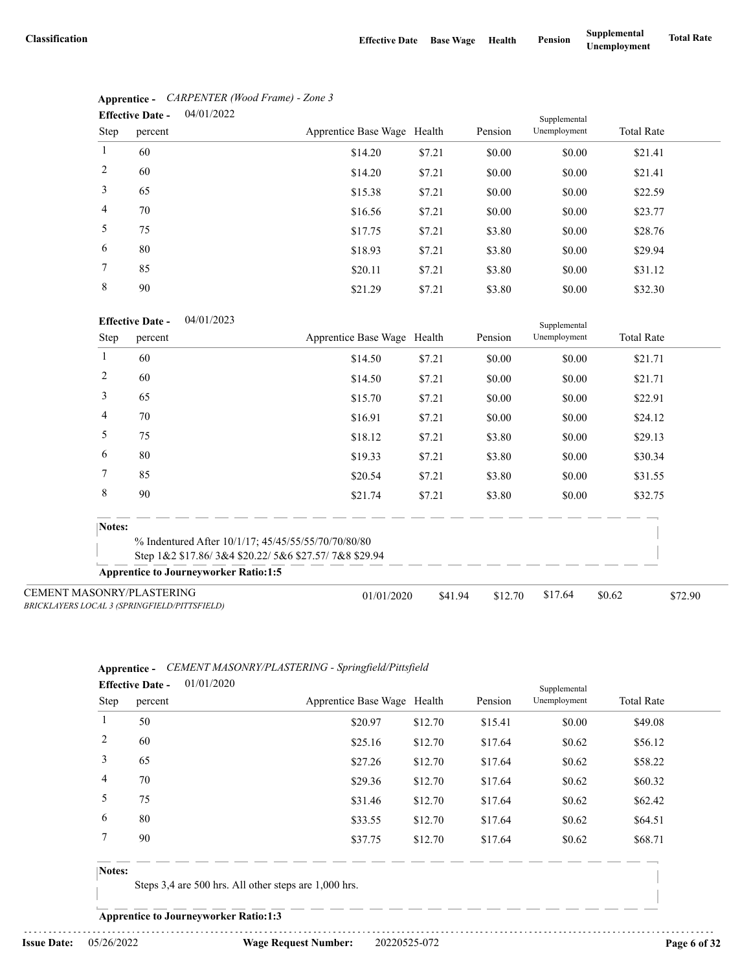|                | 04/01/2022<br><b>Effective Date -</b> |                             |        |         | Supplemental |                   |  |  |
|----------------|---------------------------------------|-----------------------------|--------|---------|--------------|-------------------|--|--|
| Step           | percent                               | Apprentice Base Wage Health |        | Pension | Unemployment | <b>Total Rate</b> |  |  |
| 1              | 60                                    | \$14.20                     | \$7.21 | \$0.00  | \$0.00       | \$21.41           |  |  |
| 2              | 60                                    | \$14.20                     | \$7.21 | \$0.00  | \$0.00       | \$21.41           |  |  |
| 3              | 65                                    | \$15.38                     | \$7.21 | \$0.00  | \$0.00       | \$22.59           |  |  |
| $\overline{4}$ | 70                                    | \$16.56                     | \$7.21 | \$0.00  | \$0.00       | \$23.77           |  |  |
| 5              | 75                                    | \$17.75                     | \$7.21 | \$3.80  | \$0.00       | \$28.76           |  |  |
| 6              | 80                                    | \$18.93                     | \$7.21 | \$3.80  | \$0.00       | \$29.94           |  |  |
| 7              | 85                                    | \$20.11                     | \$7.21 | \$3.80  | \$0.00       | \$31.12           |  |  |
| 8              | 90                                    | \$21.29                     | \$7.21 | \$3.80  | \$0.00       | \$32.30           |  |  |

# **Apprentice -** *CARPENTER (Wood Frame) - Zone 3*

#### 04/01/2023 **Effective Date -**

|                                  | <b>E</b> ELIECTIVE DATE -<br>04/01/2023      |                                                      |         |         | Supplemental |                   |         |
|----------------------------------|----------------------------------------------|------------------------------------------------------|---------|---------|--------------|-------------------|---------|
| Step                             | percent                                      | Apprentice Base Wage Health                          |         | Pension | Unemployment | <b>Total Rate</b> |         |
|                                  | 60                                           | \$14.50                                              | \$7.21  | \$0.00  | \$0.00       | \$21.71           |         |
| 2                                | 60                                           | \$14.50                                              | \$7.21  | \$0.00  | \$0.00       | \$21.71           |         |
| 3                                | 65                                           | \$15.70                                              | \$7.21  | \$0.00  | \$0.00       | \$22.91           |         |
| 4                                | 70                                           | \$16.91                                              | \$7.21  | \$0.00  | \$0.00       | \$24.12           |         |
| 5                                | 75                                           | \$18.12                                              | \$7.21  | \$3.80  | \$0.00       | \$29.13           |         |
| 6                                | 80                                           | \$19.33                                              | \$7.21  | \$3.80  | \$0.00       | \$30.34           |         |
| 7                                | 85                                           | \$20.54                                              | \$7.21  | \$3.80  | \$0.00       | \$31.55           |         |
| 8                                | 90                                           | \$21.74                                              | \$7.21  | \$3.80  | \$0.00       | \$32.75           |         |
| Notes:                           |                                              |                                                      |         |         |              |                   |         |
|                                  |                                              | % Indentured After 10/1/17; 45/45/55/55/70/70/80/80  |         |         |              |                   |         |
|                                  |                                              | Step 1&2 \$17.86/3&4 \$20.22/5&6 \$27.57/7&8 \$29.94 |         |         |              |                   |         |
|                                  | <b>Apprentice to Journeyworker Ratio:1:5</b> |                                                      |         |         |              |                   |         |
| <b>CEMENT MASONRY/PLASTERING</b> | BRICKLAYERS LOCAL 3 (SPRINGFIELD/PITTSFIELD) | 01/01/2020                                           | \$41.94 | \$12.70 | \$17.64      | \$0.62            | \$72.90 |

#### **Apprentice -** *CEMENT MASONRY/PLASTERING - Springfield/Pittsfield* 01/01/2020

|        | <b>Effective Date -</b> | 01/01/2020 |                             |         |         | Supplemental |                   |  |
|--------|-------------------------|------------|-----------------------------|---------|---------|--------------|-------------------|--|
| Step   | percent                 |            | Apprentice Base Wage Health |         | Pension | Unemployment | <b>Total Rate</b> |  |
|        | 50                      |            | \$20.97                     | \$12.70 | \$15.41 | \$0.00       | \$49.08           |  |
| 2      | 60                      |            | \$25.16                     | \$12.70 | \$17.64 | \$0.62       | \$56.12           |  |
| 3      | 65                      |            | \$27.26                     | \$12.70 | \$17.64 | \$0.62       | \$58.22           |  |
| 4      | 70                      |            | \$29.36                     | \$12.70 | \$17.64 | \$0.62       | \$60.32           |  |
| 5      | 75                      |            | \$31.46                     | \$12.70 | \$17.64 | \$0.62       | \$62.42           |  |
| 6      | 80                      |            | \$33.55                     | \$12.70 | \$17.64 | \$0.62       | \$64.51           |  |
|        | 90                      |            | \$37.75                     | \$12.70 | \$17.64 | \$0.62       | \$68.71           |  |
| Notes: |                         |            |                             |         |         |              |                   |  |

### Steps 3,4 are 500 hrs. All other steps are 1,000 hrs.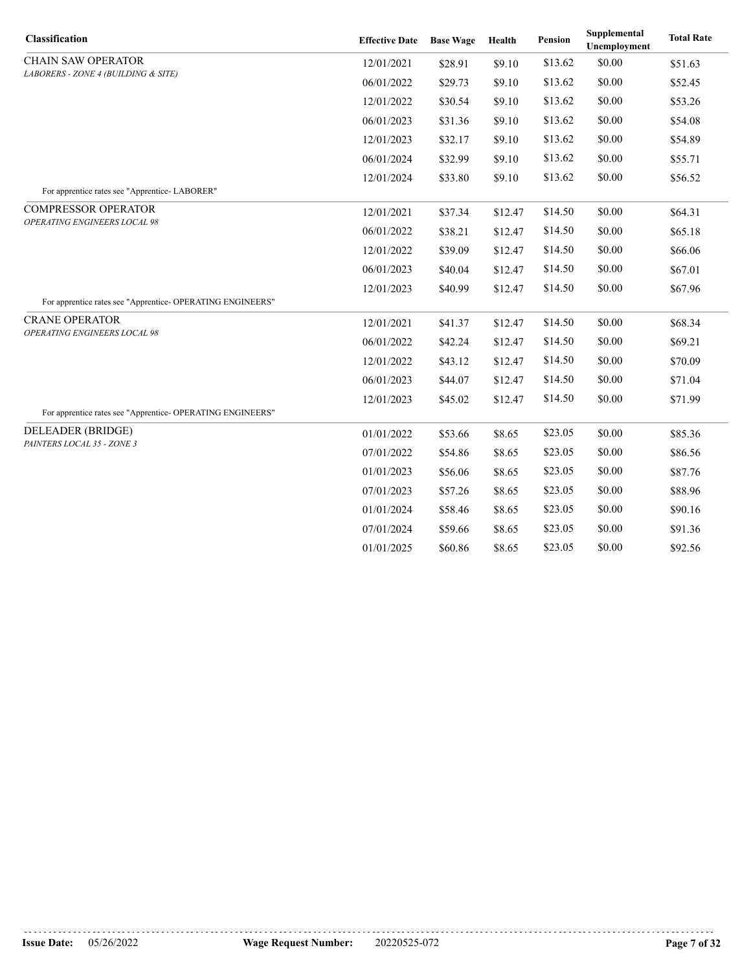| Classification                                             | <b>Effective Date</b> | <b>Base Wage</b> | Health  | <b>Pension</b> | Supplemental<br><b>Unemployment</b> | <b>Total Rate</b> |
|------------------------------------------------------------|-----------------------|------------------|---------|----------------|-------------------------------------|-------------------|
| <b>CHAIN SAW OPERATOR</b>                                  | 12/01/2021            | \$28.91          | \$9.10  | \$13.62        | \$0.00                              | \$51.63           |
| LABORERS - ZONE 4 (BUILDING & SITE)                        | 06/01/2022            | \$29.73          | \$9.10  | \$13.62        | \$0.00                              | \$52.45           |
|                                                            | 12/01/2022            | \$30.54          | \$9.10  | \$13.62        | \$0.00                              | \$53.26           |
|                                                            | 06/01/2023            | \$31.36          | \$9.10  | \$13.62        | \$0.00                              | \$54.08           |
|                                                            | 12/01/2023            | \$32.17          | \$9.10  | \$13.62        | \$0.00                              | \$54.89           |
|                                                            | 06/01/2024            | \$32.99          | \$9.10  | \$13.62        | \$0.00                              | \$55.71           |
|                                                            | 12/01/2024            | \$33.80          | \$9.10  | \$13.62        | \$0.00                              | \$56.52           |
| For apprentice rates see "Apprentice-LABORER"              |                       |                  |         |                |                                     |                   |
| <b>COMPRESSOR OPERATOR</b><br>OPERATING ENGINEERS LOCAL 98 | 12/01/2021            | \$37.34          | \$12.47 | \$14.50        | \$0.00                              | \$64.31           |
|                                                            | 06/01/2022            | \$38.21          | \$12.47 | \$14.50        | \$0.00                              | \$65.18           |
|                                                            | 12/01/2022            | \$39.09          | \$12.47 | \$14.50        | \$0.00                              | \$66.06           |
|                                                            | 06/01/2023            | \$40.04          | \$12.47 | \$14.50        | \$0.00                              | \$67.01           |
|                                                            | 12/01/2023            | \$40.99          | \$12.47 | \$14.50        | \$0.00                              | \$67.96           |
| For apprentice rates see "Apprentice-OPERATING ENGINEERS"  |                       |                  |         |                |                                     |                   |
| <b>CRANE OPERATOR</b><br>OPERATING ENGINEERS LOCAL 98      | 12/01/2021            | \$41.37          | \$12.47 | \$14.50        | \$0.00                              | \$68.34           |
|                                                            | 06/01/2022            | \$42.24          | \$12.47 | \$14.50        | \$0.00                              | \$69.21           |
|                                                            | 12/01/2022            | \$43.12          | \$12.47 | \$14.50        | \$0.00                              | \$70.09           |
|                                                            | 06/01/2023            | \$44.07          | \$12.47 | \$14.50        | \$0.00                              | \$71.04           |
|                                                            | 12/01/2023            | \$45.02          | \$12.47 | \$14.50        | \$0.00                              | \$71.99           |
| For apprentice rates see "Apprentice-OPERATING ENGINEERS"  |                       |                  |         |                |                                     |                   |
| DELEADER (BRIDGE)<br>PAINTERS LOCAL 35 - ZONE 3            | 01/01/2022            | \$53.66          | \$8.65  | \$23.05        | \$0.00                              | \$85.36           |
|                                                            | 07/01/2022            | \$54.86          | \$8.65  | \$23.05        | \$0.00                              | \$86.56           |
|                                                            | 01/01/2023            | \$56.06          | \$8.65  | \$23.05        | \$0.00                              | \$87.76           |
|                                                            | 07/01/2023            | \$57.26          | \$8.65  | \$23.05        | \$0.00                              | \$88.96           |
|                                                            | 01/01/2024            | \$58.46          | \$8.65  | \$23.05        | \$0.00                              | \$90.16           |
|                                                            | 07/01/2024            | \$59.66          | \$8.65  | \$23.05        | \$0.00                              | \$91.36           |
|                                                            | 01/01/2025            | \$60.86          | \$8.65  | \$23.05        | \$0.00                              | \$92.56           |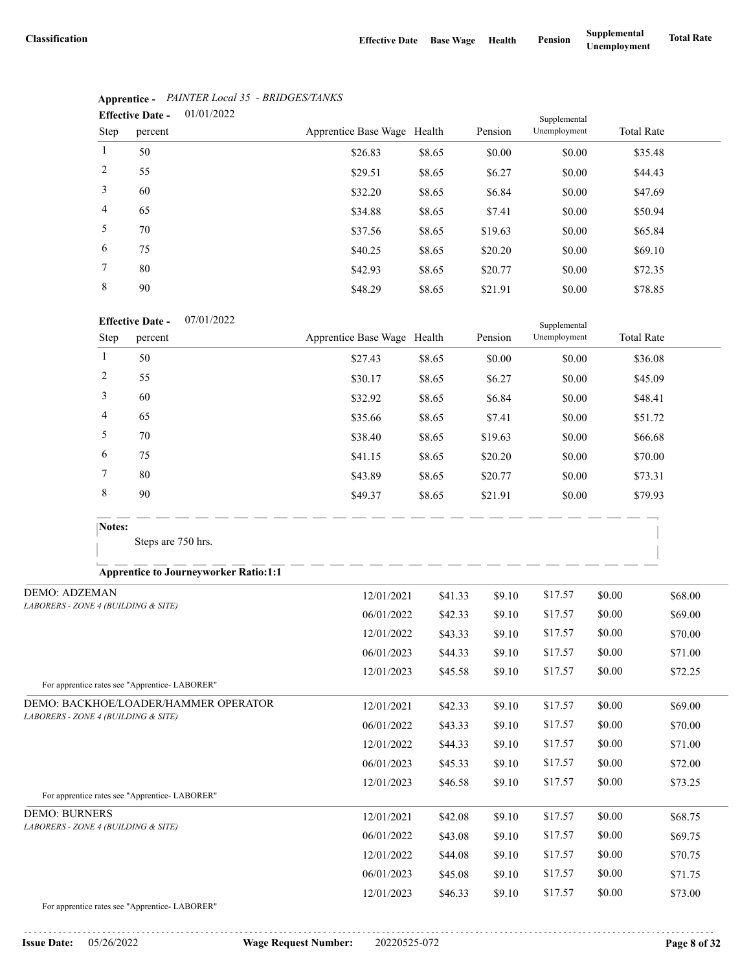|                | 01/01/2022<br><b>Effective Date -</b><br>Supplemental |                             |        |         |              |                   |  |  |  |
|----------------|-------------------------------------------------------|-----------------------------|--------|---------|--------------|-------------------|--|--|--|
| Step           | percent                                               | Apprentice Base Wage Health |        | Pension | Unemployment | <b>Total Rate</b> |  |  |  |
| $\mathbf{1}$   | 50                                                    | \$26.83                     | \$8.65 | \$0.00  | \$0.00       | \$35.48           |  |  |  |
| 2              | 55                                                    | \$29.51                     | \$8.65 | \$6.27  | \$0.00       | \$44.43           |  |  |  |
| 3              | 60                                                    | \$32.20                     | \$8.65 | \$6.84  | \$0.00       | \$47.69           |  |  |  |
| $\overline{4}$ | 65                                                    | \$34.88                     | \$8.65 | \$7.41  | \$0.00       | \$50.94           |  |  |  |
| 5              | 70                                                    | \$37.56                     | \$8.65 | \$19.63 | \$0.00       | \$65.84           |  |  |  |
| 6              | 75                                                    | \$40.25                     | \$8.65 | \$20.20 | \$0.00       | \$69.10           |  |  |  |
| 7              | 80                                                    | \$42.93                     | \$8.65 | \$20.77 | \$0.00       | \$72.35           |  |  |  |
| 8              | 90                                                    | \$48.29                     | \$8.65 | \$21.91 | \$0.00       | \$78.85           |  |  |  |

# **Apprentice -** *PAINTER Local 35 - BRIDGES/TANKS*

#### 07/01/2022 **Effective Date -**

|        | <b>Effective Date -</b> | U//UI/2022 |                             |        |         | Supplemental |                   |  |
|--------|-------------------------|------------|-----------------------------|--------|---------|--------------|-------------------|--|
| Step   | percent                 |            | Apprentice Base Wage Health |        | Pension | Unemployment | <b>Total Rate</b> |  |
|        | 50                      |            | \$27.43                     | \$8.65 | \$0.00  | \$0.00       | \$36.08           |  |
| 2      | 55                      |            | \$30.17                     | \$8.65 | \$6.27  | \$0.00       | \$45.09           |  |
| 3      | 60                      |            | \$32.92                     | \$8.65 | \$6.84  | \$0.00       | \$48.41           |  |
| 4      | 65                      |            | \$35.66                     | \$8.65 | \$7.41  | \$0.00       | \$51.72           |  |
| 5      | 70                      |            | \$38.40                     | \$8.65 | \$19.63 | \$0.00       | \$66.68           |  |
| 6      | 75                      |            | \$41.15                     | \$8.65 | \$20.20 | \$0.00       | \$70.00           |  |
| 7      | 80                      |            | \$43.89                     | \$8.65 | \$20.77 | \$0.00       | \$73.31           |  |
| 8      | 90                      |            | \$49.37                     | \$8.65 | \$21.91 | \$0.00       | \$79.93           |  |
|        |                         |            |                             |        |         |              |                   |  |
| Notes: | Steps are 750 hrs.      |            |                             |        |         |              |                   |  |
|        |                         |            |                             |        |         |              |                   |  |

### **Apprentice to Journeyworker Ratio:1:1**

| <b>DEMO: ADZEMAN</b>                          | 12/01/2021 | \$41.33 | \$9.10 | \$17.57 | \$0.00 | \$68.00 |
|-----------------------------------------------|------------|---------|--------|---------|--------|---------|
| LABORERS - ZONE 4 (BUILDING & SITE)           | 06/01/2022 | \$42.33 | \$9.10 | \$17.57 | \$0.00 | \$69.00 |
|                                               | 12/01/2022 | \$43.33 | \$9.10 | \$17.57 | \$0.00 | \$70.00 |
|                                               | 06/01/2023 | \$44.33 | \$9.10 | \$17.57 | \$0.00 | \$71.00 |
|                                               | 12/01/2023 | \$45.58 | \$9.10 | \$17.57 | \$0.00 | \$72.25 |
| For apprentice rates see "Apprentice-LABORER" |            |         |        |         |        |         |
| DEMO: BACKHOE/LOADER/HAMMER OPERATOR          | 12/01/2021 | \$42.33 | \$9.10 | \$17.57 | \$0.00 | \$69.00 |
| LABORERS - ZONE 4 (BUILDING & SITE)           | 06/01/2022 | \$43.33 | \$9.10 | \$17.57 | \$0.00 | \$70.00 |
|                                               | 12/01/2022 | \$44.33 | \$9.10 | \$17.57 | \$0.00 | \$71.00 |
|                                               | 06/01/2023 | \$45.33 | \$9.10 | \$17.57 | \$0.00 | \$72.00 |
|                                               | 12/01/2023 | \$46.58 | \$9.10 | \$17.57 | \$0.00 | \$73.25 |
| For apprentice rates see "Apprentice-LABORER" |            |         |        |         |        |         |
| <b>DEMO: BURNERS</b>                          | 12/01/2021 | \$42.08 | \$9.10 | \$17.57 | \$0.00 | \$68.75 |
| LABORERS - ZONE 4 (BUILDING & SITE)           | 06/01/2022 | \$43.08 | \$9.10 | \$17.57 | \$0.00 | \$69.75 |
|                                               | 12/01/2022 | \$44.08 | \$9.10 | \$17.57 | \$0.00 | \$70.75 |
|                                               | 06/01/2023 | \$45.08 | \$9.10 | \$17.57 | \$0.00 | \$71.75 |
|                                               | 12/01/2023 | \$46.33 | \$9.10 | \$17.57 | \$0.00 | \$73.00 |
| For apprentice rates see "Apprentice-LABORER" |            |         |        |         |        |         |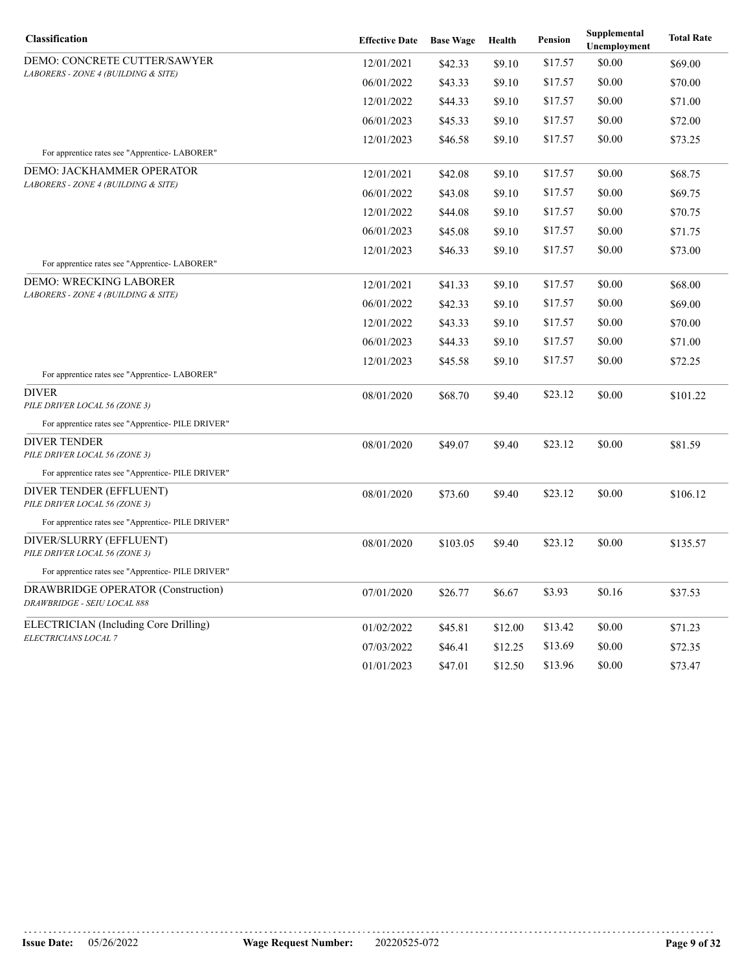| Classification                                                    | <b>Effective Date</b> | <b>Base Wage</b> | Health  | Pension | Supplemental<br>Unemployment | <b>Total Rate</b> |
|-------------------------------------------------------------------|-----------------------|------------------|---------|---------|------------------------------|-------------------|
| DEMO: CONCRETE CUTTER/SAWYER                                      | 12/01/2021            | \$42.33          | \$9.10  | \$17.57 | \$0.00                       | \$69.00           |
| LABORERS - ZONE 4 (BUILDING & SITE)                               | 06/01/2022            | \$43.33          | \$9.10  | \$17.57 | \$0.00                       | \$70.00           |
|                                                                   | 12/01/2022            | \$44.33          | \$9.10  | \$17.57 | \$0.00                       | \$71.00           |
|                                                                   | 06/01/2023            | \$45.33          | \$9.10  | \$17.57 | \$0.00                       | \$72.00           |
|                                                                   | 12/01/2023            | \$46.58          | \$9.10  | \$17.57 | \$0.00                       | \$73.25           |
| For apprentice rates see "Apprentice-LABORER"                     |                       |                  |         |         |                              |                   |
| <b>DEMO: JACKHAMMER OPERATOR</b>                                  | 12/01/2021            | \$42.08          | \$9.10  | \$17.57 | \$0.00                       | \$68.75           |
| LABORERS - ZONE 4 (BUILDING & SITE)                               | 06/01/2022            | \$43.08          | \$9.10  | \$17.57 | \$0.00                       | \$69.75           |
|                                                                   | 12/01/2022            | \$44.08          | \$9.10  | \$17.57 | \$0.00                       | \$70.75           |
|                                                                   | 06/01/2023            | \$45.08          | \$9.10  | \$17.57 | \$0.00                       | \$71.75           |
|                                                                   | 12/01/2023            | \$46.33          | \$9.10  | \$17.57 | \$0.00                       | \$73.00           |
| For apprentice rates see "Apprentice- LABORER"                    |                       |                  |         |         |                              |                   |
| DEMO: WRECKING LABORER                                            | 12/01/2021            | \$41.33          | \$9.10  | \$17.57 | \$0.00                       | \$68.00           |
| LABORERS - ZONE 4 (BUILDING & SITE)                               | 06/01/2022            | \$42.33          | \$9.10  | \$17.57 | \$0.00                       | \$69.00           |
|                                                                   | 12/01/2022            | \$43.33          | \$9.10  | \$17.57 | \$0.00                       | \$70.00           |
|                                                                   | 06/01/2023            | \$44.33          | \$9.10  | \$17.57 | \$0.00                       | \$71.00           |
|                                                                   | 12/01/2023            | \$45.58          | \$9.10  | \$17.57 | \$0.00                       | \$72.25           |
| For apprentice rates see "Apprentice-LABORER"                     |                       |                  |         |         |                              |                   |
| <b>DIVER</b><br>PILE DRIVER LOCAL 56 (ZONE 3)                     | 08/01/2020            | \$68.70          | \$9.40  | \$23.12 | \$0.00                       | \$101.22          |
| For apprentice rates see "Apprentice- PILE DRIVER"                |                       |                  |         |         |                              |                   |
| DIVER TENDER<br>PILE DRIVER LOCAL 56 (ZONE 3)                     | 08/01/2020            | \$49.07          | \$9.40  | \$23.12 | \$0.00                       | \$81.59           |
| For apprentice rates see "Apprentice- PILE DRIVER"                |                       |                  |         |         |                              |                   |
| DIVER TENDER (EFFLUENT)<br>PILE DRIVER LOCAL 56 (ZONE 3)          | 08/01/2020            | \$73.60          | \$9.40  | \$23.12 | \$0.00                       | \$106.12          |
| For apprentice rates see "Apprentice- PILE DRIVER"                |                       |                  |         |         |                              |                   |
| DIVER/SLURRY (EFFLUENT)<br>PILE DRIVER LOCAL 56 (ZONE 3)          | 08/01/2020            | \$103.05         | \$9.40  | \$23.12 | \$0.00                       | \$135.57          |
| For apprentice rates see "Apprentice- PILE DRIVER"                |                       |                  |         |         |                              |                   |
| DRAWBRIDGE OPERATOR (Construction)<br>DRAWBRIDGE - SEIU LOCAL 888 | 07/01/2020            | \$26.77          | \$6.67  | \$3.93  | \$0.16                       | \$37.53           |
| ELECTRICIAN (Including Core Drilling)                             | 01/02/2022            | \$45.81          | \$12.00 | \$13.42 | \$0.00                       | \$71.23           |
| ELECTRICIANS LOCAL 7                                              | 07/03/2022            | \$46.41          | \$12.25 | \$13.69 | \$0.00                       | \$72.35           |
|                                                                   | 01/01/2023            | \$47.01          | \$12.50 | \$13.96 | \$0.00                       | \$73.47           |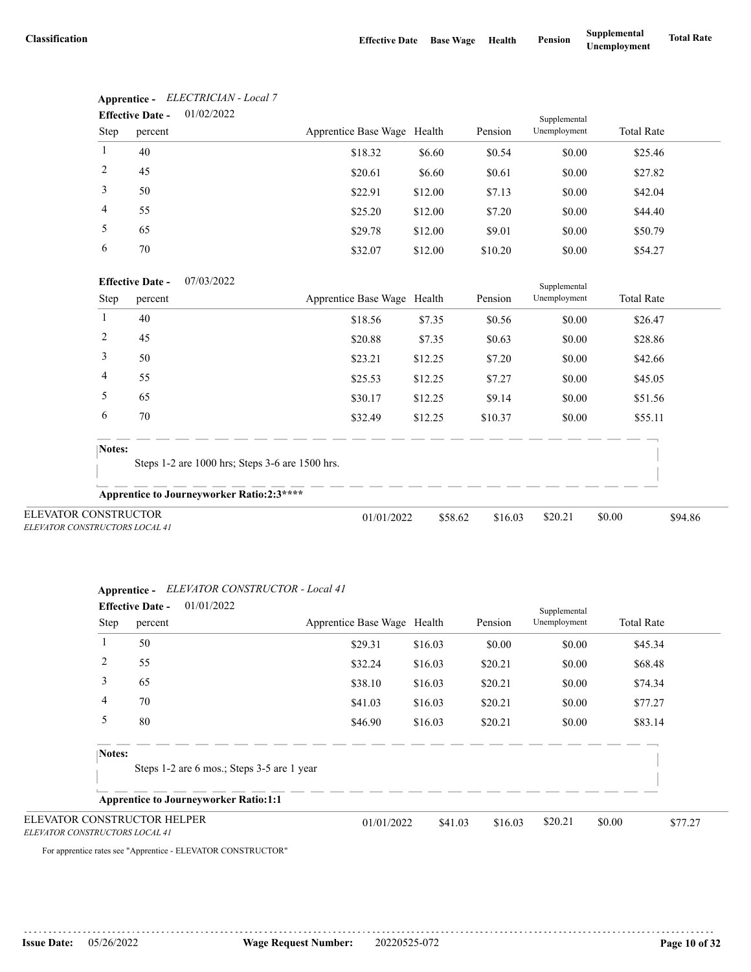|                                                               | Lilecuve Date -         | 01/02/2022                                       |                             |         |                    | Supplemental |                   |         |
|---------------------------------------------------------------|-------------------------|--------------------------------------------------|-----------------------------|---------|--------------------|--------------|-------------------|---------|
| Step                                                          | percent                 |                                                  | Apprentice Base Wage Health |         | Pension            | Unemployment | <b>Total Rate</b> |         |
| 1                                                             | 40                      |                                                  | \$18.32                     | \$6.60  | \$0.54             | \$0.00       | \$25.46           |         |
| $\overline{2}$                                                | 45                      |                                                  | \$20.61                     | \$6.60  | \$0.61             | \$0.00       | \$27.82           |         |
| 3                                                             | 50                      |                                                  | \$22.91                     | \$12.00 | \$7.13             | \$0.00       | \$42.04           |         |
| 4                                                             | 55                      |                                                  | \$25.20                     | \$12.00 | \$7.20             | \$0.00       | \$44.40           |         |
| 5                                                             | 65                      |                                                  | \$29.78                     | \$12.00 | \$9.01             | \$0.00       | \$50.79           |         |
| 6                                                             | 70                      |                                                  | \$32.07                     | \$12.00 | \$10.20            | \$0.00       | \$54.27           |         |
|                                                               | <b>Effective Date -</b> | 07/03/2022                                       |                             |         |                    | Supplemental |                   |         |
| Step                                                          | percent                 |                                                  | Apprentice Base Wage Health |         | Pension            | Unemployment | <b>Total Rate</b> |         |
| -1                                                            | 40                      |                                                  | \$18.56                     | \$7.35  | \$0.56             | \$0.00       | \$26.47           |         |
| $\overline{2}$                                                | 45                      |                                                  | \$20.88                     | \$7.35  | \$0.63             | \$0.00       | \$28.86           |         |
| 3                                                             | 50                      |                                                  | \$23.21                     | \$12.25 | \$7.20             | \$0.00       | \$42.66           |         |
| 4                                                             | 55                      |                                                  | \$25.53                     | \$12.25 | \$7.27             | \$0.00       | \$45.05           |         |
| 5                                                             | 65                      |                                                  | \$30.17                     | \$12.25 | \$9.14             | \$0.00       | \$51.56           |         |
| 6                                                             | 70                      |                                                  | \$32.49                     | \$12.25 | \$10.37            | \$0.00       | \$55.11           |         |
| Notes:                                                        |                         | Steps 1-2 are 1000 hrs; Steps 3-6 are 1500 hrs.  |                             |         |                    |              |                   |         |
|                                                               |                         |                                                  |                             |         |                    |              |                   |         |
|                                                               |                         | <b>Apprentice to Journeyworker Ratio:2:3****</b> |                             |         |                    |              |                   |         |
| <b>ELEVATOR CONSTRUCTOR</b><br>ELEVATOR CONSTRUCTORS LOCAL 41 |                         |                                                  | 01/01/2022                  |         | \$58.62<br>\$16.03 | \$20.21      | \$0.00            | \$94.86 |

#### **Apprentice -** *ELECTRICIAN - Local 7* 01/02/2022 **Effective Date -**

| <b>Apprentice -</b> | ELEVATOR CONSTRUCTOR - Local 41 |
|---------------------|---------------------------------|
| $\mathbf{a}$        | 01/01/0022                      |

|                                                               | 01/01/2022<br><b>Effective Date -</b>        |                             |         |         | Supplemental |                   |         |
|---------------------------------------------------------------|----------------------------------------------|-----------------------------|---------|---------|--------------|-------------------|---------|
| Step                                                          | percent                                      | Apprentice Base Wage Health |         | Pension | Unemployment | <b>Total Rate</b> |         |
|                                                               | 50                                           | \$29.31                     | \$16.03 | \$0.00  | \$0.00       | \$45.34           |         |
| 2                                                             | 55                                           | \$32.24                     | \$16.03 | \$20.21 | \$0.00       | \$68.48           |         |
| 3                                                             | 65                                           | \$38.10                     | \$16.03 | \$20.21 | \$0.00       | \$74.34           |         |
| 4                                                             | 70                                           | \$41.03                     | \$16.03 | \$20.21 | \$0.00       | \$77.27           |         |
| 5                                                             | 80                                           | \$46.90                     | \$16.03 | \$20.21 | \$0.00       | \$83.14           |         |
| Notes:                                                        | Steps 1-2 are 6 mos.; Steps 3-5 are 1 year   |                             |         |         |              |                   |         |
|                                                               | <b>Apprentice to Journeyworker Ratio:1:1</b> |                             |         |         |              |                   |         |
| ELEVATOR CONSTRUCTOR HELPER<br>ELEVATOR CONSTRUCTORS LOCAL 41 |                                              | 01/01/2022                  | \$41.03 | \$16.03 | \$20.21      | \$0.00            | \$77.27 |

For apprentice rates see "Apprentice - ELEVATOR CONSTRUCTOR"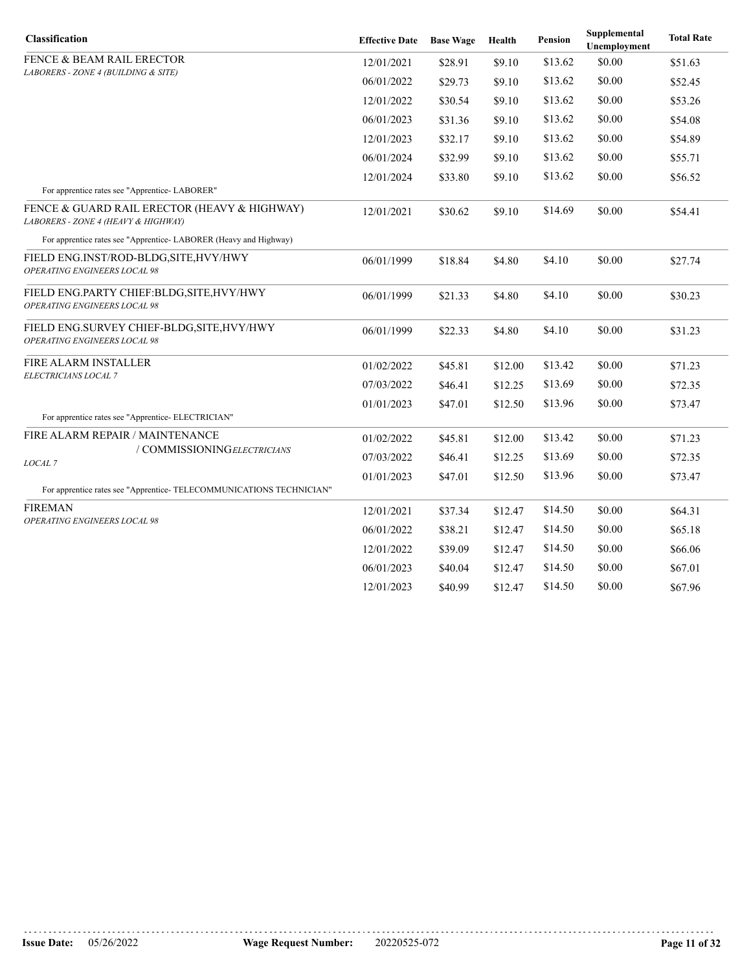| Classification                                                                      | <b>Effective Date</b> | <b>Base Wage</b> | Health  | Pension | Supplemental<br>Unemployment | <b>Total Rate</b> |
|-------------------------------------------------------------------------------------|-----------------------|------------------|---------|---------|------------------------------|-------------------|
| FENCE & BEAM RAIL ERECTOR                                                           | 12/01/2021            | \$28.91          | \$9.10  | \$13.62 | \$0.00                       | \$51.63           |
| LABORERS - ZONE 4 (BUILDING & SITE)                                                 | 06/01/2022            | \$29.73          | \$9.10  | \$13.62 | \$0.00                       | \$52.45           |
|                                                                                     | 12/01/2022            | \$30.54          | \$9.10  | \$13.62 | \$0.00                       | \$53.26           |
|                                                                                     | 06/01/2023            | \$31.36          | \$9.10  | \$13.62 | \$0.00                       | \$54.08           |
|                                                                                     | 12/01/2023            | \$32.17          | \$9.10  | \$13.62 | \$0.00                       | \$54.89           |
|                                                                                     | 06/01/2024            | \$32.99          | \$9.10  | \$13.62 | \$0.00                       | \$55.71           |
|                                                                                     | 12/01/2024            | \$33.80          | \$9.10  | \$13.62 | \$0.00                       | \$56.52           |
| For apprentice rates see "Apprentice-LABORER"                                       |                       |                  |         |         |                              |                   |
| FENCE & GUARD RAIL ERECTOR (HEAVY & HIGHWAY)<br>LABORERS - ZONE 4 (HEAVY & HIGHWAY) | 12/01/2021            | \$30.62          | \$9.10  | \$14.69 | \$0.00                       | \$54.41           |
| For apprentice rates see "Apprentice-LABORER (Heavy and Highway)                    |                       |                  |         |         |                              |                   |
| FIELD ENG.INST/ROD-BLDG, SITE, HVY/HWY<br>OPERATING ENGINEERS LOCAL 98              | 06/01/1999            | \$18.84          | \$4.80  | \$4.10  | \$0.00                       | \$27.74           |
| FIELD ENG.PARTY CHIEF:BLDG, SITE, HVY/HWY<br>OPERATING ENGINEERS LOCAL 98           | 06/01/1999            | \$21.33          | \$4.80  | \$4.10  | \$0.00                       | \$30.23           |
| FIELD ENG.SURVEY CHIEF-BLDG, SITE, HVY/HWY<br>OPERATING ENGINEERS LOCAL 98          | 06/01/1999            | \$22.33          | \$4.80  | \$4.10  | \$0.00                       | \$31.23           |
| FIRE ALARM INSTALLER                                                                | 01/02/2022            | \$45.81          | \$12.00 | \$13.42 | \$0.00                       | \$71.23           |
| <i>ELECTRICIANS LOCAL 7</i>                                                         | 07/03/2022            | \$46.41          | \$12.25 | \$13.69 | \$0.00                       | \$72.35           |
|                                                                                     | 01/01/2023            | \$47.01          | \$12.50 | \$13.96 | \$0.00                       | \$73.47           |
| For apprentice rates see "Apprentice- ELECTRICIAN"                                  |                       |                  |         |         |                              |                   |
| FIRE ALARM REPAIR / MAINTENANCE                                                     | 01/02/2022            | \$45.81          | \$12.00 | \$13.42 | \$0.00                       | \$71.23           |
| / COMMISSIONINGELECTRICIANS<br>LOCAL <sub>7</sub>                                   | 07/03/2022            | \$46.41          | \$12.25 | \$13.69 | \$0.00                       | \$72.35           |
|                                                                                     | 01/01/2023            | \$47.01          | \$12.50 | \$13.96 | \$0.00                       | \$73.47           |
| For apprentice rates see "Apprentice-TELECOMMUNICATIONS TECHNICIAN"                 |                       |                  |         |         |                              |                   |
| <b>FIREMAN</b><br>OPERATING ENGINEERS LOCAL 98                                      | 12/01/2021            | \$37.34          | \$12.47 | \$14.50 | \$0.00                       | \$64.31           |
|                                                                                     | 06/01/2022            | \$38.21          | \$12.47 | \$14.50 | \$0.00                       | \$65.18           |
|                                                                                     | 12/01/2022            | \$39.09          | \$12.47 | \$14.50 | \$0.00                       | \$66.06           |
|                                                                                     | 06/01/2023            | \$40.04          | \$12.47 | \$14.50 | \$0.00                       | \$67.01           |
|                                                                                     | 12/01/2023            | \$40.99          | \$12.47 | \$14.50 | \$0.00                       | \$67.96           |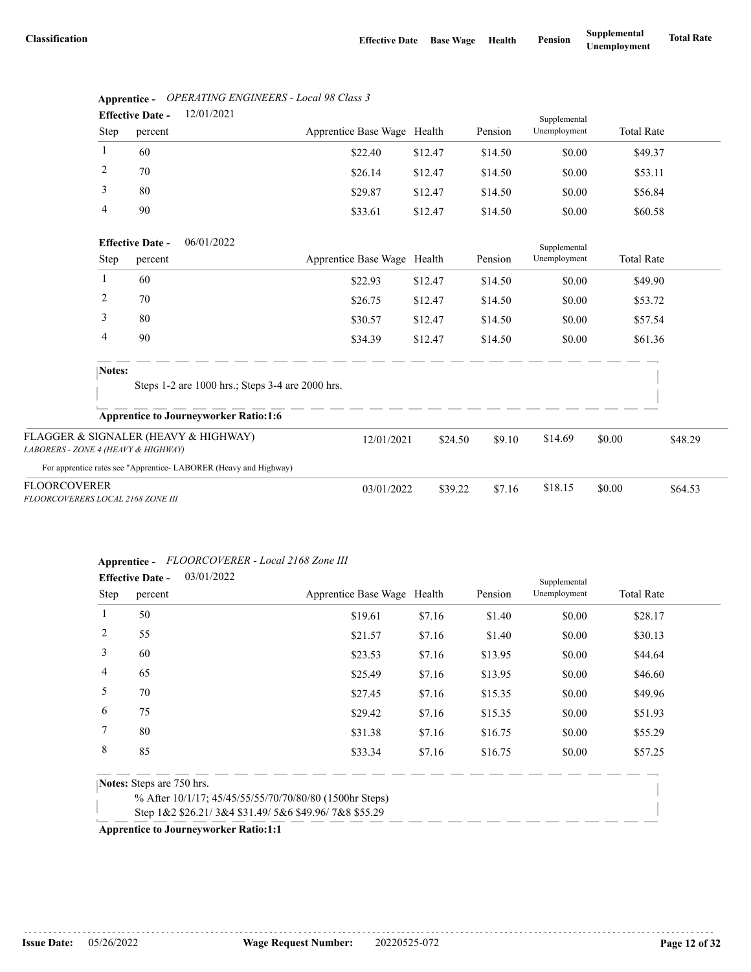| 12/01/2021<br><b>Effective Date -</b> |                                    |            |                             |         |         | Supplemental                 |                   |  |
|---------------------------------------|------------------------------------|------------|-----------------------------|---------|---------|------------------------------|-------------------|--|
| Step                                  | percent                            |            | Apprentice Base Wage Health |         | Pension | Unemployment                 | <b>Total Rate</b> |  |
|                                       | 60                                 |            | \$22.40                     | \$12.47 | \$14.50 | \$0.00                       | \$49.37           |  |
| 2                                     | 70                                 |            | \$26.14                     | \$12.47 | \$14.50 | \$0.00                       | \$53.11           |  |
| 3                                     | 80                                 |            | \$29.87                     | \$12.47 | \$14.50 | \$0.00                       | \$56.84           |  |
| $\overline{4}$                        | 90                                 |            | \$33.61                     | \$12.47 | \$14.50 | \$0.00                       | \$60.58           |  |
| Step                                  | <b>Effective Date -</b><br>percent | 06/01/2022 | Apprentice Base Wage Health |         | Pension | Supplemental<br>Unemployment | <b>Total Rate</b> |  |

|  | Apprentice - OPERATING ENGINEERS - Local 98 Class 5 |
|--|-----------------------------------------------------|

|                                                                             | <b>Effective Date -</b> | 06/01/2022                                                       |                             |         |         | Supplemental |        |                   |
|-----------------------------------------------------------------------------|-------------------------|------------------------------------------------------------------|-----------------------------|---------|---------|--------------|--------|-------------------|
| Step                                                                        | percent                 |                                                                  | Apprentice Base Wage Health |         | Pension | Unemployment |        | <b>Total Rate</b> |
|                                                                             | 60                      |                                                                  | \$22.93                     | \$12.47 | \$14.50 | \$0.00       |        | \$49.90           |
| 2                                                                           | 70                      |                                                                  | \$26.75                     | \$12.47 | \$14.50 | \$0.00       |        | \$53.72           |
| 3                                                                           | 80                      |                                                                  | \$30.57                     | \$12.47 | \$14.50 | \$0.00       |        | \$57.54           |
| 4                                                                           | 90                      |                                                                  | \$34.39                     | \$12.47 | \$14.50 | \$0.00       |        | \$61.36           |
| Notes:                                                                      |                         | Steps 1-2 are 1000 hrs.; Steps 3-4 are 2000 hrs.                 |                             |         |         |              |        |                   |
|                                                                             |                         | <b>Apprentice to Journeyworker Ratio:1:6</b>                     |                             |         |         |              |        |                   |
| FLAGGER & SIGNALER (HEAVY & HIGHWAY)<br>LABORERS - ZONE 4 (HEAVY & HIGHWAY) |                         |                                                                  | 12/01/2021                  | \$24.50 | \$9.10  | \$14.69      | \$0.00 | \$48.29           |
|                                                                             |                         | For apprentice rates see "Apprentice-LABORER (Heavy and Highway) |                             |         |         |              |        |                   |
| <b>FLOORCOVERER</b><br>FLOORCOVERERS LOCAL 2168 ZONE III                    |                         |                                                                  | 03/01/2022                  | \$39.22 | \$7.16  | \$18.15      | \$0.00 | \$64.53           |

### **Apprentice -** *FLOORCOVERER - Local 2168 Zone III*

|                | <b>Effective Date -</b>   | 03/01/2022                                              |                             |        |         | Supplemental |                   |
|----------------|---------------------------|---------------------------------------------------------|-----------------------------|--------|---------|--------------|-------------------|
| <b>Step</b>    | percent                   |                                                         | Apprentice Base Wage Health |        | Pension | Unemployment | <b>Total Rate</b> |
|                | 50                        |                                                         | \$19.61                     | \$7.16 | \$1.40  | \$0.00       | \$28.17           |
| 2              | 55                        |                                                         | \$21.57                     | \$7.16 | \$1.40  | \$0.00       | \$30.13           |
| 3              | 60                        |                                                         | \$23.53                     | \$7.16 | \$13.95 | \$0.00       | \$44.64           |
| $\overline{4}$ | 65                        |                                                         | \$25.49                     | \$7.16 | \$13.95 | \$0.00       | \$46.60           |
| 5              | 70                        |                                                         | \$27.45                     | \$7.16 | \$15.35 | \$0.00       | \$49.96           |
| 6              | 75                        |                                                         | \$29.42                     | \$7.16 | \$15.35 | \$0.00       | \$51.93           |
|                | 80                        |                                                         | \$31.38                     | \$7.16 | \$16.75 | \$0.00       | \$55.29           |
| 8              | 85                        |                                                         | \$33.34                     | \$7.16 | \$16.75 | \$0.00       | \$57.25           |
|                | Notes: Steps are 750 hrs. |                                                         |                             |        |         |              |                   |
|                |                           | % After 10/1/17; 45/45/55/55/70/70/80/80 (1500hr Steps) |                             |        |         |              |                   |
|                |                           | Step 1&2 \$26.21/3&4 \$31.49/5&6 \$49.96/7&8 \$55.29    |                             |        |         |              |                   |
|                |                           |                                                         |                             |        |         |              |                   |

**Apprentice to Journeyworker Ratio:1:1**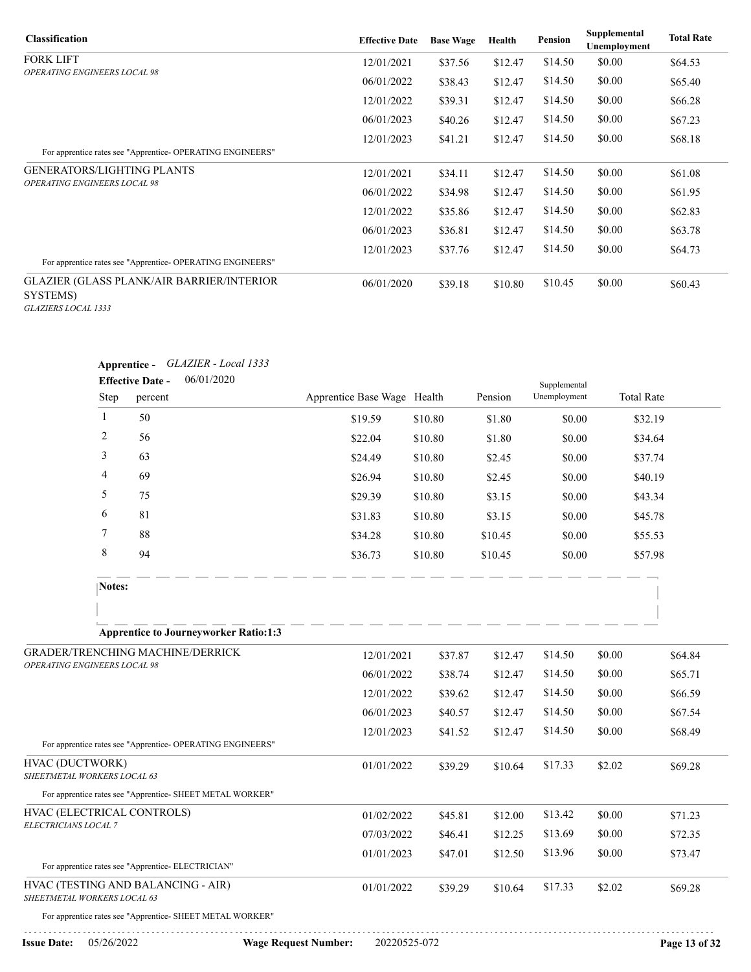| <b>Classification</b>                                                                | <b>Effective Date</b> | <b>Base Wage</b> | Health  | Pension | Supplemental<br>Unemployment | <b>Total Rate</b> |
|--------------------------------------------------------------------------------------|-----------------------|------------------|---------|---------|------------------------------|-------------------|
| <b>FORK LIFT</b>                                                                     | 12/01/2021            | \$37.56          | \$12.47 | \$14.50 | \$0.00                       | \$64.53           |
| <b>OPERATING ENGINEERS LOCAL 98</b>                                                  | 06/01/2022            | \$38.43          | \$12.47 | \$14.50 | \$0.00                       | \$65.40           |
|                                                                                      | 12/01/2022            | \$39.31          | \$12.47 | \$14.50 | \$0.00                       | \$66.28           |
|                                                                                      | 06/01/2023            | \$40.26          | \$12.47 | \$14.50 | \$0.00                       | \$67.23           |
|                                                                                      | 12/01/2023            | \$41.21          | \$12.47 | \$14.50 | \$0.00                       | \$68.18           |
| For apprentice rates see "Apprentice-OPERATING ENGINEERS"                            |                       |                  |         |         |                              |                   |
| <b>GENERATORS/LIGHTING PLANTS</b>                                                    | 12/01/2021            | \$34.11          | \$12.47 | \$14.50 | \$0.00                       | \$61.08           |
| <b>OPERATING ENGINEERS LOCAL 98</b>                                                  | 06/01/2022            | \$34.98          | \$12.47 | \$14.50 | \$0.00                       | \$61.95           |
|                                                                                      | 12/01/2022            | \$35.86          | \$12.47 | \$14.50 | \$0.00                       | \$62.83           |
|                                                                                      | 06/01/2023            | \$36.81          | \$12.47 | \$14.50 | \$0.00                       | \$63.78           |
| For apprentice rates see "Apprentice-OPERATING ENGINEERS"                            | 12/01/2023            | \$37.76          | \$12.47 | \$14.50 | \$0.00                       | \$64.73           |
| <b>GLAZIER (GLASS PLANK/AIR BARRIER/INTERIOR)</b><br>SYSTEMS)<br>GLAZIERS LOCAL 1333 | 06/01/2020            | \$39.18          | \$10.80 | \$10.45 | \$0.00                       | \$60.43           |

|                                                                   |                      |                         | Apprentice - GLAZIER - Local 1333                          |                             |              |         |         |                              |        |                   |               |
|-------------------------------------------------------------------|----------------------|-------------------------|------------------------------------------------------------|-----------------------------|--------------|---------|---------|------------------------------|--------|-------------------|---------------|
|                                                                   |                      | <b>Effective Date -</b> | 06/01/2020                                                 |                             |              |         | Pension | Supplemental<br>Unemployment |        | <b>Total Rate</b> |               |
|                                                                   | Step<br>$\mathbf{1}$ | percent                 |                                                            | Apprentice Base Wage Health |              |         |         |                              |        |                   |               |
|                                                                   |                      | 50                      |                                                            |                             | \$19.59      | \$10.80 | \$1.80  | \$0.00                       |        | \$32.19           |               |
|                                                                   | 2                    | 56                      |                                                            |                             | \$22.04      | \$10.80 | \$1.80  | \$0.00                       |        | \$34.64           |               |
|                                                                   | 3                    | 63                      |                                                            |                             | \$24.49      | \$10.80 | \$2.45  | \$0.00                       |        | \$37.74           |               |
|                                                                   | 4                    | 69                      |                                                            |                             | \$26.94      | \$10.80 | \$2.45  | \$0.00                       |        | \$40.19           |               |
|                                                                   | 5                    | 75                      |                                                            |                             | \$29.39      | \$10.80 | \$3.15  | \$0.00                       |        | \$43.34           |               |
|                                                                   | 6                    | 81                      |                                                            |                             | \$31.83      | \$10.80 | \$3.15  | \$0.00                       |        | \$45.78           |               |
|                                                                   | 7                    | 88                      |                                                            |                             | \$34.28      | \$10.80 | \$10.45 | \$0.00                       |        | \$55.53           |               |
|                                                                   | 8                    | 94                      |                                                            |                             | \$36.73      | \$10.80 | \$10.45 | \$0.00                       |        | \$57.98           |               |
|                                                                   | Notes:               |                         |                                                            |                             |              |         |         |                              |        |                   |               |
|                                                                   |                      |                         |                                                            |                             |              |         |         |                              |        |                   |               |
|                                                                   |                      |                         | <b>Apprentice to Journeyworker Ratio:1:3</b>               |                             |              |         |         |                              |        |                   |               |
| GRADER/TRENCHING MACHINE/DERRICK                                  |                      |                         |                                                            |                             | 12/01/2021   | \$37.87 | \$12.47 | \$14.50                      | \$0.00 |                   | \$64.84       |
| OPERATING ENGINEERS LOCAL 98                                      |                      |                         |                                                            |                             | 06/01/2022   | \$38.74 | \$12.47 | \$14.50                      | \$0.00 |                   | \$65.71       |
|                                                                   |                      |                         |                                                            |                             | 12/01/2022   | \$39.62 | \$12.47 | \$14.50                      | \$0.00 |                   | \$66.59       |
|                                                                   |                      |                         |                                                            |                             | 06/01/2023   | \$40.57 | \$12.47 | \$14.50                      | \$0.00 |                   | \$67.54       |
|                                                                   |                      |                         |                                                            |                             | 12/01/2023   | \$41.52 | \$12.47 | \$14.50                      | \$0.00 |                   | \$68.49       |
|                                                                   |                      |                         | For apprentice rates see "Apprentice- OPERATING ENGINEERS" |                             |              |         |         |                              |        |                   |               |
| HVAC (DUCTWORK)<br>SHEETMETAL WORKERS LOCAL 63                    |                      |                         |                                                            |                             | 01/01/2022   | \$39.29 | \$10.64 | \$17.33                      | \$2.02 |                   | \$69.28       |
|                                                                   |                      |                         | For apprentice rates see "Apprentice- SHEET METAL WORKER"  |                             |              |         |         |                              |        |                   |               |
| HVAC (ELECTRICAL CONTROLS)                                        |                      |                         |                                                            |                             | 01/02/2022   | \$45.81 | \$12.00 | \$13.42                      | \$0.00 |                   | \$71.23       |
| ELECTRICIANS LOCAL 7                                              |                      |                         |                                                            |                             | 07/03/2022   | \$46.41 | \$12.25 | \$13.69                      | \$0.00 |                   | \$72.35       |
|                                                                   |                      |                         |                                                            |                             | 01/01/2023   | \$47.01 | \$12.50 | \$13.96                      | \$0.00 |                   | \$73.47       |
|                                                                   |                      |                         | For apprentice rates see "Apprentice- ELECTRICIAN"         |                             |              |         |         |                              |        |                   |               |
| HVAC (TESTING AND BALANCING - AIR)<br>SHEETMETAL WORKERS LOCAL 63 |                      |                         |                                                            |                             | 01/01/2022   | \$39.29 | \$10.64 | \$17.33                      | \$2.02 |                   | \$69.28       |
|                                                                   |                      |                         | For apprentice rates see "Apprentice- SHEET METAL WORKER"  |                             |              |         |         |                              |        |                   |               |
| <b>Issue Date:</b>                                                | 05/26/2022           |                         |                                                            | <b>Wage Request Number:</b> | 20220525-072 |         |         |                              |        |                   | Page 13 of 32 |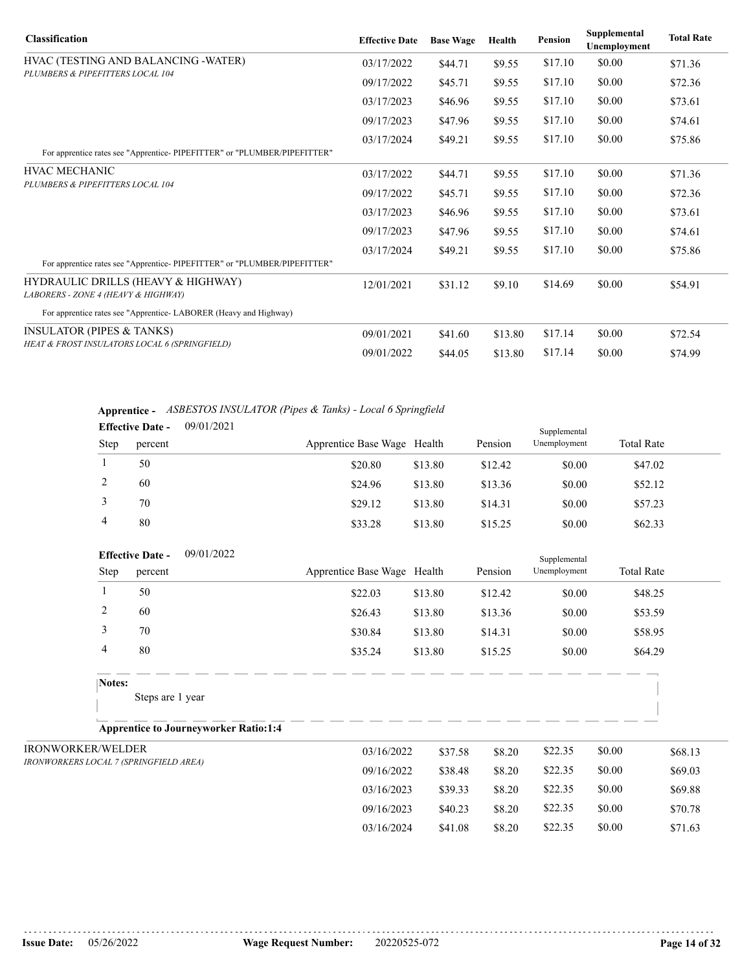| <b>Classification</b>                                                     | <b>Effective Date</b> | <b>Base Wage</b> | Health  | <b>Pension</b> | Supplemental<br>Unemployment | <b>Total Rate</b> |
|---------------------------------------------------------------------------|-----------------------|------------------|---------|----------------|------------------------------|-------------------|
| HVAC (TESTING AND BALANCING -WATER)                                       | 03/17/2022            | \$44.71          | \$9.55  | \$17.10        | \$0.00                       | \$71.36           |
| PLUMBERS & PIPEFITTERS LOCAL 104                                          | 09/17/2022            | \$45.71          | \$9.55  | \$17.10        | \$0.00                       | \$72.36           |
|                                                                           | 03/17/2023            | \$46.96          | \$9.55  | \$17.10        | \$0.00                       | \$73.61           |
|                                                                           | 09/17/2023            | \$47.96          | \$9.55  | \$17.10        | \$0.00                       | \$74.61           |
| For apprentice rates see "Apprentice-PIPEFITTER" or "PLUMBER/PIPEFITTER"  | 03/17/2024            | \$49.21          | \$9.55  | \$17.10        | \$0.00                       | \$75.86           |
| <b>HVAC MECHANIC</b>                                                      | 03/17/2022            | \$44.71          | \$9.55  | \$17.10        | \$0.00                       | \$71.36           |
| PLUMBERS & PIPEFITTERS LOCAL 104                                          | 09/17/2022            | \$45.71          | \$9.55  | \$17.10        | \$0.00                       | \$72.36           |
|                                                                           | 03/17/2023            | \$46.96          | \$9.55  | \$17.10        | \$0.00                       | \$73.61           |
|                                                                           | 09/17/2023            | \$47.96          | \$9.55  | \$17.10        | \$0.00                       | \$74.61           |
| For apprentice rates see "Apprentice-PIPEFITTER" or "PLUMBER/PIPEFITTER"  | 03/17/2024            | \$49.21          | \$9.55  | \$17.10        | \$0.00                       | \$75.86           |
| HYDRAULIC DRILLS (HEAVY & HIGHWAY)<br>LABORERS - ZONE 4 (HEAVY & HIGHWAY) | 12/01/2021            | \$31.12          | \$9.10  | \$14.69        | \$0.00                       | \$54.91           |
| For apprentice rates see "Apprentice-LABORER (Heavy and Highway)          |                       |                  |         |                |                              |                   |
| <b>INSULATOR (PIPES &amp; TANKS)</b>                                      | 09/01/2021            | \$41.60          | \$13.80 | \$17.14        | \$0.00                       | \$72.54           |
| HEAT & FROST INSULATORS LOCAL 6 (SPRINGFIELD)                             | 09/01/2022            | \$44.05          | \$13.80 | \$17.14        | \$0.00                       | \$74.99           |

**Apprentice -** *ASBESTOS INSULATOR (Pipes & Tanks) - Local 6 Springfield*  $00/01/2021$ 

|             | <b>Effective Date -</b> | 09/01/2021 |                             |         |         | Supplemental |                   |  |
|-------------|-------------------------|------------|-----------------------------|---------|---------|--------------|-------------------|--|
| <b>Step</b> | percent                 |            | Apprentice Base Wage Health |         | Pension | Unemployment | <b>Total Rate</b> |  |
|             | 50                      |            | \$20.80                     | \$13.80 | \$12.42 | \$0.00       | \$47.02           |  |
|             | 60                      |            | \$24.96                     | \$13.80 | \$13.36 | \$0.00       | \$52.12           |  |
|             | 70                      |            | \$29.12                     | \$13.80 | \$14.31 | \$0.00       | \$57.23           |  |
| 4           | 80                      |            | \$33.28                     | \$13.80 | \$15.25 | \$0.00       | \$62.33           |  |

| <b>Effective Date -</b>                | 09/01/2022                                   |                             |         |         | Supplemental |                   |         |
|----------------------------------------|----------------------------------------------|-----------------------------|---------|---------|--------------|-------------------|---------|
| Step                                   | percent                                      | Apprentice Base Wage Health |         | Pension | Unemployment | <b>Total Rate</b> |         |
|                                        | 50                                           | \$22.03                     | \$13.80 | \$12.42 | \$0.00       | \$48.25           |         |
| 2                                      | 60                                           | \$26.43                     | \$13.80 | \$13.36 | \$0.00       | \$53.59           |         |
| 3                                      | 70                                           | \$30.84                     | \$13.80 | \$14.31 | \$0.00       | \$58.95           |         |
| 4                                      | 80                                           | \$35.24                     | \$13.80 | \$15.25 | \$0.00       | \$64.29           |         |
| Notes:                                 | Steps are 1 year                             |                             |         |         |              |                   |         |
|                                        | <b>Apprentice to Journeyworker Ratio:1:4</b> |                             |         |         |              |                   |         |
| <b>IRONWORKER/WELDER</b>               |                                              | 03/16/2022                  | \$37.58 | \$8.20  | \$22.35      | \$0.00            | \$68.13 |
| IRONWORKERS LOCAL 7 (SPRINGFIELD AREA) |                                              | 09/16/2022                  | \$38.48 | \$8.20  | \$22.35      | \$0.00            | \$69.03 |
|                                        |                                              | 03/16/2023                  | \$39.33 | \$8.20  | \$22.35      | \$0.00            | \$69.88 |

09/16/2023 \$40.23 \$8.20 \$22.35 \$0.00 \$70.78 03/16/2024 \$41.08 \$8.20 \$22.35 \$0.00 \$71.63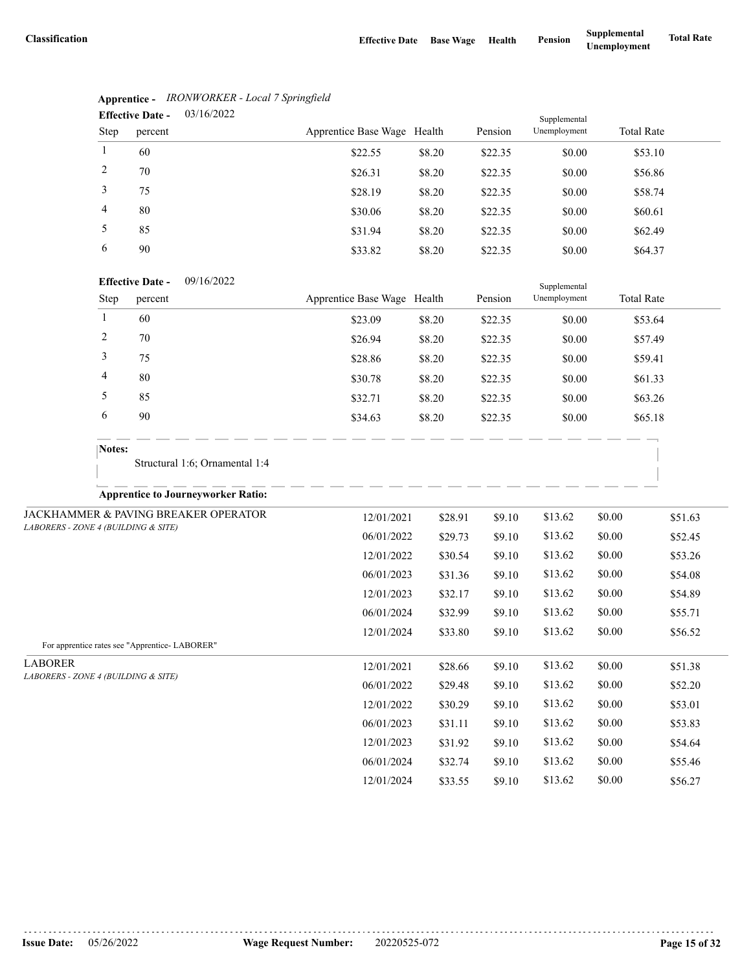|                                     |              | <b>Lifective Date -</b><br>03/10/2022          |                             |         |                  | Supplemental       |                   |                    |
|-------------------------------------|--------------|------------------------------------------------|-----------------------------|---------|------------------|--------------------|-------------------|--------------------|
|                                     | Step         | percent                                        | Apprentice Base Wage Health |         | Pension          | Unemployment       | <b>Total Rate</b> |                    |
|                                     | $\mathbf{1}$ | 60                                             | \$22.55                     | \$8.20  | \$22.35          | \$0.00             | \$53.10           |                    |
|                                     | 2            | $70\,$                                         | \$26.31                     | \$8.20  | \$22.35          | \$0.00             | \$56.86           |                    |
|                                     | 3            | 75                                             | \$28.19                     | \$8.20  | \$22.35          | \$0.00             | \$58.74           |                    |
|                                     | 4            | $80\,$                                         | \$30.06                     | \$8.20  | \$22.35          | \$0.00             | \$60.61           |                    |
|                                     | 5            | 85                                             | \$31.94                     | \$8.20  | \$22.35          | \$0.00             | \$62.49           |                    |
|                                     | 6            | 90                                             | \$33.82                     | \$8.20  | \$22.35          | \$0.00             | \$64.37           |                    |
|                                     |              | 09/16/2022<br><b>Effective Date -</b>          |                             |         |                  | Supplemental       |                   |                    |
|                                     | Step         | percent                                        | Apprentice Base Wage Health |         | Pension          | Unemployment       | <b>Total Rate</b> |                    |
|                                     | $\mathbf{1}$ | 60                                             | \$23.09                     | \$8.20  | \$22.35          | \$0.00             | \$53.64           |                    |
|                                     | 2            | 70                                             | \$26.94                     | \$8.20  | \$22.35          | \$0.00             | \$57.49           |                    |
|                                     | 3            | 75                                             | \$28.86                     | \$8.20  | \$22.35          | \$0.00             | \$59.41           |                    |
|                                     | 4            | 80                                             | \$30.78                     | \$8.20  | \$22.35          | \$0.00             | \$61.33           |                    |
|                                     | 5            | 85                                             | \$32.71                     | \$8.20  | \$22.35          | \$0.00             | \$63.26           |                    |
|                                     | 6            | 90                                             | \$34.63                     | \$8.20  | \$22.35          | \$0.00             | \$65.18           |                    |
|                                     | Notes:       |                                                |                             |         |                  |                    |                   |                    |
|                                     |              | Structural 1:6; Ornamental 1:4                 |                             |         |                  |                    |                   |                    |
|                                     |              | <b>Apprentice to Journeyworker Ratio:</b>      |                             |         |                  |                    |                   |                    |
|                                     |              | JACKHAMMER & PAVING BREAKER OPERATOR           | 12/01/2021                  | \$28.91 | \$9.10           | \$13.62            | \$0.00            | \$51.63            |
| LABORERS - ZONE 4 (BUILDING & SITE) |              |                                                | 06/01/2022                  | \$29.73 | \$9.10           | \$13.62            | \$0.00            | \$52.45            |
|                                     |              |                                                | 12/01/2022                  | \$30.54 | \$9.10           | \$13.62            | \$0.00            | \$53.26            |
|                                     |              |                                                | 06/01/2023                  | \$31.36 | \$9.10           | \$13.62            | \$0.00            | \$54.08            |
|                                     |              |                                                | 12/01/2023                  | \$32.17 | \$9.10           | \$13.62            | \$0.00            | \$54.89            |
|                                     |              |                                                | 06/01/2024                  | \$32.99 | \$9.10           | \$13.62            | \$0.00            | \$55.71            |
|                                     |              | For apprentice rates see "Apprentice- LABORER" | 12/01/2024                  | \$33.80 | \$9.10           | \$13.62            | \$0.00            | \$56.52            |
| <b>LABORER</b>                      |              |                                                |                             |         |                  |                    |                   |                    |
| LABORERS - ZONE 4 (BUILDING & SITE) |              |                                                | 12/01/2021                  | \$28.66 | \$9.10           | \$13.62            | \$0.00            | \$51.38            |
|                                     |              |                                                | 06/01/2022                  | \$29.48 | \$9.10           | \$13.62<br>\$13.62 | \$0.00<br>\$0.00  | \$52.20            |
|                                     |              |                                                | 12/01/2022                  | \$30.29 | \$9.10           |                    |                   | \$53.01            |
|                                     |              |                                                | 06/01/2023                  | \$31.11 | \$9.10           | \$13.62<br>\$13.62 | \$0.00            | \$53.83            |
|                                     |              |                                                | 12/01/2023<br>06/01/2024    | \$31.92 | \$9.10           | \$13.62            | \$0.00<br>\$0.00  | \$54.64            |
|                                     |              |                                                | 12/01/2024                  | \$32.74 | \$9.10<br>\$9.10 | \$13.62            | \$0.00            | \$55.46<br>\$56.27 |
|                                     |              |                                                |                             | \$33.55 |                  |                    |                   |                    |

#### **Apprentice -** *IRONWORKER - Local 7 Springfield*  $02/16/2022$ **Effective Date -**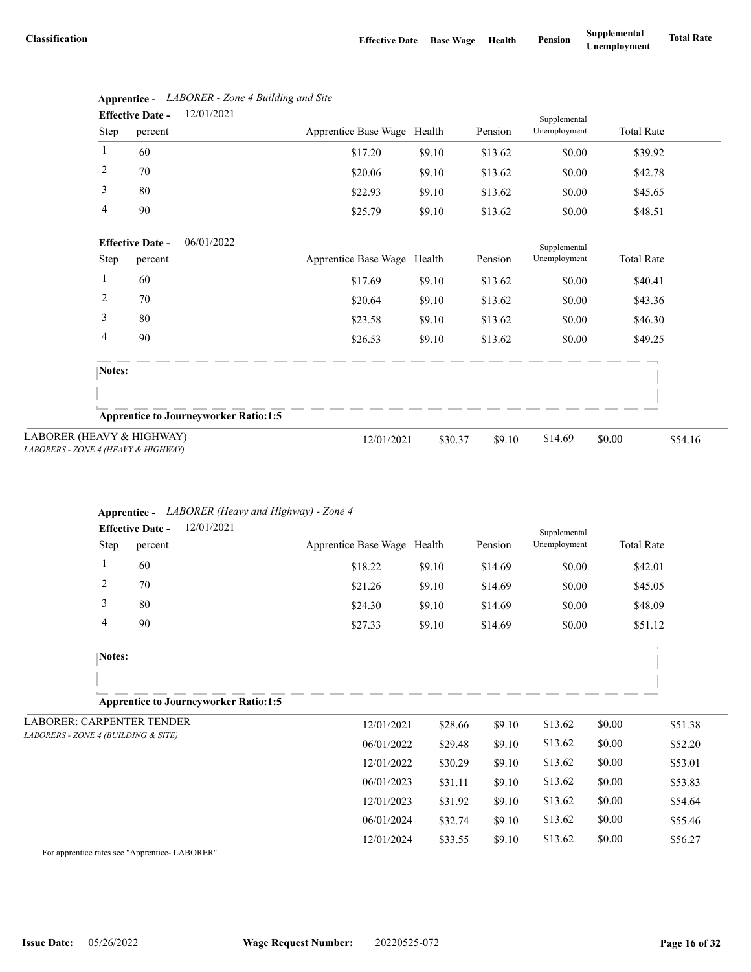|                                                                  |                | <b>Effective Date -</b> | 12/01/2021                                   |                             |         |         | Supplemental |                   |         |
|------------------------------------------------------------------|----------------|-------------------------|----------------------------------------------|-----------------------------|---------|---------|--------------|-------------------|---------|
|                                                                  | Step           | percent                 |                                              | Apprentice Base Wage Health |         | Pension | Unemployment | <b>Total Rate</b> |         |
|                                                                  | $\mathbf{1}$   | 60                      |                                              | \$17.20                     | \$9.10  | \$13.62 | \$0.00       | \$39.92           |         |
|                                                                  | $\overline{2}$ | 70                      |                                              | \$20.06                     | \$9.10  | \$13.62 | \$0.00       | \$42.78           |         |
|                                                                  | 3              | 80                      |                                              | \$22.93                     | \$9.10  | \$13.62 | \$0.00       | \$45.65           |         |
|                                                                  | 4              | 90                      |                                              | \$25.79                     | \$9.10  | \$13.62 | \$0.00       | \$48.51           |         |
|                                                                  |                | <b>Effective Date -</b> | 06/01/2022                                   |                             |         |         | Supplemental |                   |         |
|                                                                  | Step           | percent                 |                                              | Apprentice Base Wage        | Health  | Pension | Unemployment | <b>Total Rate</b> |         |
|                                                                  | 1              | 60                      |                                              | \$17.69                     | \$9.10  | \$13.62 | \$0.00       | \$40.41           |         |
|                                                                  | 2              | 70                      |                                              | \$20.64                     | \$9.10  | \$13.62 | \$0.00       | \$43.36           |         |
|                                                                  | 3              | 80                      |                                              | \$23.58                     | \$9.10  | \$13.62 | \$0.00       | \$46.30           |         |
|                                                                  | 4              | 90                      |                                              | \$26.53                     | \$9.10  | \$13.62 | \$0.00       | \$49.25           |         |
|                                                                  | Notes:         |                         |                                              |                             |         |         |              |                   |         |
|                                                                  |                |                         |                                              |                             |         |         |              |                   |         |
|                                                                  |                |                         | <b>Apprentice to Journeyworker Ratio:1:5</b> |                             |         |         |              |                   |         |
| LABORER (HEAVY & HIGHWAY)<br>LABORERS - ZONE 4 (HEAVY & HIGHWAY) |                |                         |                                              | 12/01/2021                  | \$30.37 | \$9.10  | \$14.69      | \$0.00            | \$54.16 |

### **Apprentice -** *LABORER - Zone 4 Building and Site* 12/01/2021 **Effective Date -**

### **Apprentice -** *LABORER (Heavy and Highway) - Zone 4*

|                                     |                | 12/01/2021<br><b>Effective Date -</b>                 |                             |         |         | Supplemental |                   |         |
|-------------------------------------|----------------|-------------------------------------------------------|-----------------------------|---------|---------|--------------|-------------------|---------|
|                                     | Step           | percent                                               | Apprentice Base Wage Health |         | Pension | Unemployment | <b>Total Rate</b> |         |
|                                     |                | 60                                                    | \$18.22                     | \$9.10  | \$14.69 | \$0.00       | \$42.01           |         |
|                                     | $\overline{c}$ | 70                                                    | \$21.26                     | \$9.10  | \$14.69 | \$0.00       | \$45.05           |         |
|                                     | 3              | 80                                                    | \$24.30                     | \$9.10  | \$14.69 | \$0.00       | \$48.09           |         |
|                                     | 4              | 90                                                    | \$27.33                     | \$9.10  | \$14.69 | \$0.00       | \$51.12           |         |
|                                     | Notes:         |                                                       |                             |         |         |              |                   |         |
|                                     |                |                                                       |                             |         |         |              |                   |         |
|                                     |                | <b>Apprentice to Journeyworker Ratio:1:5</b>          |                             |         |         |              |                   |         |
| <b>LABORER: CARPENTER TENDER</b>    |                |                                                       | 12/01/2021                  | \$28.66 | \$9.10  | \$13.62      | \$0.00            | \$51.38 |
| LABORERS - ZONE 4 (BUILDING & SITE) |                |                                                       | 06/01/2022                  | \$29.48 | \$9.10  | \$13.62      | \$0.00            | \$52.20 |
|                                     |                |                                                       | 12/01/2022                  | \$30.29 | \$9.10  | \$13.62      | \$0.00            | \$53.01 |
|                                     |                |                                                       | 06/01/2023                  | \$31.11 | \$9.10  | \$13.62      | \$0.00            | \$53.83 |
|                                     |                |                                                       | 12/01/2023                  | \$31.92 | \$9.10  | \$13.62      | \$0.00            | \$54.64 |
|                                     |                |                                                       | 06/01/2024                  | \$32.74 | \$9.10  | \$13.62      | \$0.00            | \$55.46 |
|                                     |                |                                                       | 12/01/2024                  | \$33.55 | \$9.10  | \$13.62      | \$0.00            | \$56.27 |
|                                     |                | $E_{21}$ concerning notes and $\mu$ American LADODED! |                             |         |         |              |                   |         |

For apprentice rates see "Apprentice- LABORER"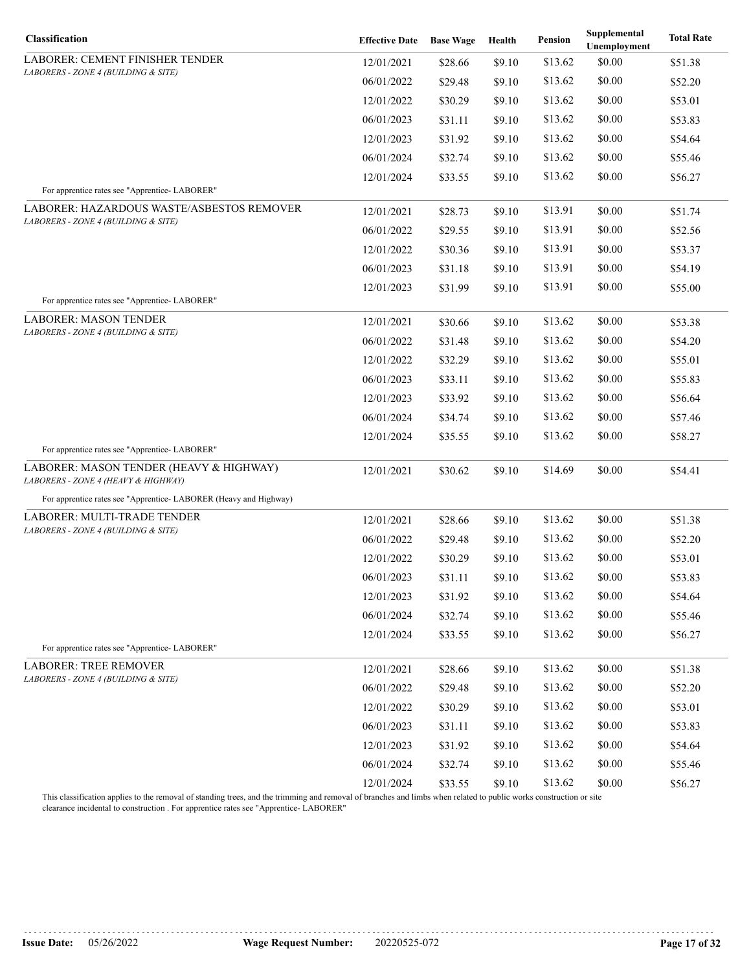| Classification                                                                   | <b>Effective Date</b> | <b>Base Wage</b> | Health | <b>Pension</b> | Supplemental<br>Unemployment | <b>Total Rate</b> |
|----------------------------------------------------------------------------------|-----------------------|------------------|--------|----------------|------------------------------|-------------------|
| LABORER: CEMENT FINISHER TENDER                                                  | 12/01/2021            | \$28.66          | \$9.10 | \$13.62        | \$0.00                       | \$51.38           |
| LABORERS - ZONE 4 (BUILDING & SITE)                                              | 06/01/2022            | \$29.48          | \$9.10 | \$13.62        | \$0.00                       | \$52.20           |
|                                                                                  | 12/01/2022            | \$30.29          | \$9.10 | \$13.62        | \$0.00                       | \$53.01           |
|                                                                                  | 06/01/2023            | \$31.11          | \$9.10 | \$13.62        | \$0.00                       | \$53.83           |
|                                                                                  | 12/01/2023            | \$31.92          | \$9.10 | \$13.62        | \$0.00                       | \$54.64           |
|                                                                                  | 06/01/2024            | \$32.74          | \$9.10 | \$13.62        | \$0.00                       | \$55.46           |
|                                                                                  | 12/01/2024            | \$33.55          | \$9.10 | \$13.62        | \$0.00                       | \$56.27           |
| For apprentice rates see "Apprentice-LABORER"                                    |                       |                  |        |                |                              |                   |
| LABORER: HAZARDOUS WASTE/ASBESTOS REMOVER<br>LABORERS - ZONE 4 (BUILDING & SITE) | 12/01/2021            | \$28.73          | \$9.10 | \$13.91        | \$0.00                       | \$51.74           |
|                                                                                  | 06/01/2022            | \$29.55          | \$9.10 | \$13.91        | \$0.00                       | \$52.56           |
|                                                                                  | 12/01/2022            | \$30.36          | \$9.10 | \$13.91        | \$0.00                       | \$53.37           |
|                                                                                  | 06/01/2023            | \$31.18          | \$9.10 | \$13.91        | \$0.00                       | \$54.19           |
| For apprentice rates see "Apprentice-LABORER"                                    | 12/01/2023            | \$31.99          | \$9.10 | \$13.91        | \$0.00                       | \$55.00           |
| LABORER: MASON TENDER                                                            | 12/01/2021            | \$30.66          | \$9.10 | \$13.62        | \$0.00                       | \$53.38           |
| LABORERS - ZONE 4 (BUILDING & SITE)                                              | 06/01/2022            | \$31.48          | \$9.10 | \$13.62        | \$0.00                       | \$54.20           |
|                                                                                  | 12/01/2022            | \$32.29          | \$9.10 | \$13.62        | \$0.00                       | \$55.01           |
|                                                                                  | 06/01/2023            | \$33.11          | \$9.10 | \$13.62        | \$0.00                       | \$55.83           |
|                                                                                  | 12/01/2023            | \$33.92          | \$9.10 | \$13.62        | \$0.00                       | \$56.64           |
|                                                                                  | 06/01/2024            | \$34.74          | \$9.10 | \$13.62        | \$0.00                       | \$57.46           |
|                                                                                  | 12/01/2024            | \$35.55          | \$9.10 | \$13.62        | \$0.00                       | \$58.27           |
| For apprentice rates see "Apprentice- LABORER"                                   |                       |                  |        |                |                              |                   |
| LABORER: MASON TENDER (HEAVY & HIGHWAY)<br>LABORERS - ZONE 4 (HEAVY & HIGHWAY)   | 12/01/2021            | \$30.62          | \$9.10 | \$14.69        | \$0.00                       | \$54.41           |
| For apprentice rates see "Apprentice-LABORER (Heavy and Highway)                 |                       |                  |        |                |                              |                   |
| LABORER: MULTI-TRADE TENDER                                                      | 12/01/2021            | \$28.66          | \$9.10 | \$13.62        | \$0.00                       | \$51.38           |
| LABORERS - ZONE 4 (BUILDING & SITE)                                              | 06/01/2022            | \$29.48          | \$9.10 | \$13.62        | \$0.00                       | \$52.20           |
|                                                                                  | 12/01/2022            | \$30.29          | \$9.10 | \$13.62        | \$0.00                       | \$53.01           |
|                                                                                  | 06/01/2023            | \$31.11          | \$9.10 | \$13.62        | \$0.00                       | \$53.83           |
|                                                                                  | 12/01/2023            | \$31.92          | \$9.10 | \$13.62        | \$0.00                       | \$54.64           |
|                                                                                  | 06/01/2024            | \$32.74          | \$9.10 | \$13.62        | \$0.00                       | \$55.46           |
|                                                                                  | 12/01/2024            | \$33.55          | \$9.10 | \$13.62        | \$0.00                       | \$56.27           |
| For apprentice rates see "Apprentice-LABORER"                                    |                       |                  |        |                |                              |                   |
| <b>LABORER: TREE REMOVER</b>                                                     | 12/01/2021            | \$28.66          | \$9.10 | \$13.62        | \$0.00                       | \$51.38           |
| LABORERS - ZONE 4 (BUILDING & SITE)                                              | 06/01/2022            | \$29.48          | \$9.10 | \$13.62        | \$0.00                       | \$52.20           |
|                                                                                  | 12/01/2022            | \$30.29          | \$9.10 | \$13.62        | \$0.00                       | \$53.01           |
|                                                                                  | 06/01/2023            | \$31.11          | \$9.10 | \$13.62        | \$0.00                       | \$53.83           |
|                                                                                  | 12/01/2023            | \$31.92          | \$9.10 | \$13.62        | \$0.00                       | \$54.64           |
|                                                                                  | 06/01/2024            | \$32.74          | \$9.10 | \$13.62        | \$0.00                       | \$55.46           |
|                                                                                  | 12/01/2024            | \$33.55          | \$9.10 | \$13.62        | \$0.00                       | \$56.27           |

This classification applies to the removal of standing trees, and the trimming and removal of branches and limbs when related to public works construction or site

clearance incidental to construction . For apprentice rates see "Apprentice- LABORER"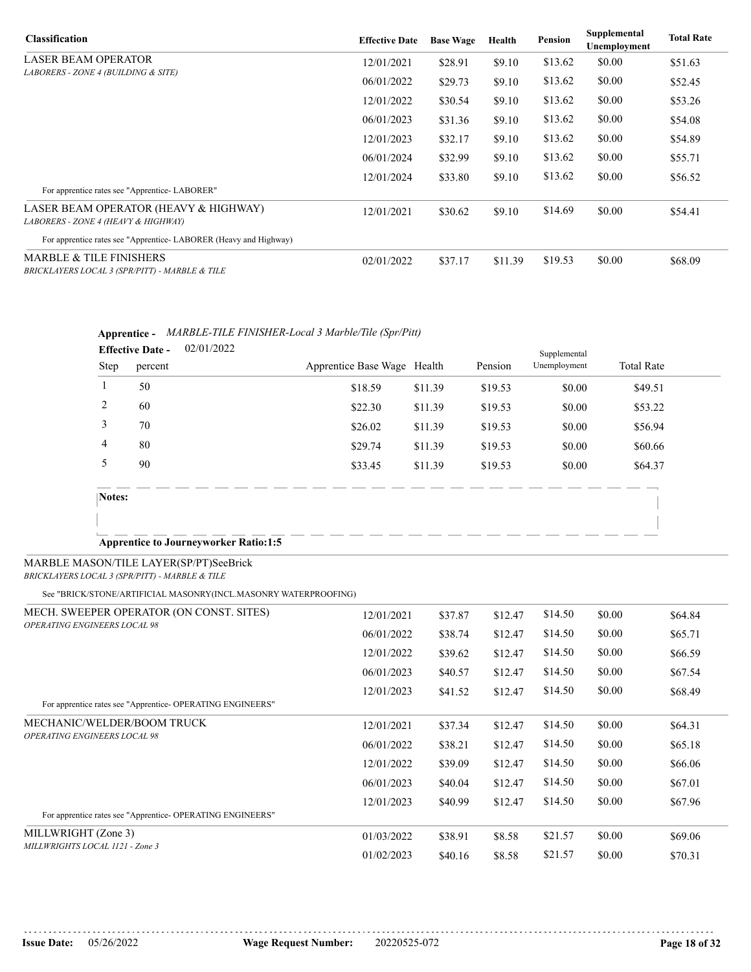| <b>Classification</b>                                                                | <b>Effective Date</b> | <b>Base Wage</b> | Health  | Pension | Supplemental<br>Unemployment | <b>Total Rate</b> |
|--------------------------------------------------------------------------------------|-----------------------|------------------|---------|---------|------------------------------|-------------------|
| <b>LASER BEAM OPERATOR</b>                                                           | 12/01/2021            | \$28.91          | \$9.10  | \$13.62 | \$0.00                       | \$51.63           |
| LABORERS - ZONE 4 (BUILDING & SITE)                                                  | 06/01/2022            | \$29.73          | \$9.10  | \$13.62 | \$0.00                       | \$52.45           |
|                                                                                      | 12/01/2022            | \$30.54          | \$9.10  | \$13.62 | \$0.00                       | \$53.26           |
|                                                                                      | 06/01/2023            | \$31.36          | \$9.10  | \$13.62 | \$0.00                       | \$54.08           |
|                                                                                      | 12/01/2023            | \$32.17          | \$9.10  | \$13.62 | \$0.00                       | \$54.89           |
|                                                                                      | 06/01/2024            | \$32.99          | \$9.10  | \$13.62 | \$0.00                       | \$55.71           |
|                                                                                      | 12/01/2024            | \$33.80          | \$9.10  | \$13.62 | \$0.00                       | \$56.52           |
| For apprentice rates see "Apprentice- LABORER"                                       |                       |                  |         |         |                              |                   |
| LASER BEAM OPERATOR (HEAVY & HIGHWAY)<br>LABORERS - ZONE 4 (HEAVY & HIGHWAY)         | 12/01/2021            | \$30.62          | \$9.10  | \$14.69 | \$0.00                       | \$54.41           |
| For apprentice rates see "Apprentice-LABORER (Heavy and Highway)                     |                       |                  |         |         |                              |                   |
| <b>MARBLE &amp; TILE FINISHERS</b><br>BRICKLAYERS LOCAL 3 (SPR/PITT) - MARBLE & TILE | 02/01/2022            | \$37.17          | \$11.39 | \$19.53 | \$0.00                       | \$68.09           |

## **Apprentice -** *MARBLE-TILE FINISHER-Local 3 Marble/Tile (Spr/Pitt)*

|        | <b>Effective Date -</b> | 02/01/2022                                   |                             |         |         | Supplemental |                   |
|--------|-------------------------|----------------------------------------------|-----------------------------|---------|---------|--------------|-------------------|
| Step   | percent                 |                                              | Apprentice Base Wage Health |         | Pension | Unemployment | <b>Total Rate</b> |
|        | 50                      |                                              | \$18.59                     | \$11.39 | \$19.53 | \$0.00       | \$49.51           |
| 2      | 60                      |                                              | \$22.30                     | \$11.39 | \$19.53 | \$0.00       | \$53.22           |
| 3      | 70                      |                                              | \$26.02                     | \$11.39 | \$19.53 | \$0.00       | \$56.94           |
| 4      | 80                      |                                              | \$29.74                     | \$11.39 | \$19.53 | \$0.00       | \$60.66           |
| 5      | 90                      |                                              | \$33.45                     | \$11.39 | \$19.53 | \$0.00       | \$64.37           |
| Notes: |                         |                                              |                             |         |         |              |                   |
|        |                         |                                              |                             |         |         |              |                   |
|        |                         | <b>Apprentice to Journeyworker Ratio:1:5</b> |                             |         |         |              |                   |

### MARBLE MASON/TILE LAYER(SP/PT)SeeBrick

*BRICKLAYERS LOCAL 3 (SPR/PITT) - MARBLE & TILE*

See "BRICK/STONE/ARTIFICIAL MASONRY(INCL.MASONRY WATERPROOFING)

| MECH. SWEEPER OPERATOR (ON CONST. SITES)                   | 12/01/2021 | \$37.87 | \$12.47 | \$14.50 | \$0.00 | \$64.84 |
|------------------------------------------------------------|------------|---------|---------|---------|--------|---------|
| <b>OPERATING ENGINEERS LOCAL 98</b>                        | 06/01/2022 | \$38.74 | \$12.47 | \$14.50 | \$0.00 | \$65.71 |
|                                                            | 12/01/2022 | \$39.62 | \$12.47 | \$14.50 | \$0.00 | \$66.59 |
|                                                            | 06/01/2023 | \$40.57 | \$12.47 | \$14.50 | \$0.00 | \$67.54 |
|                                                            | 12/01/2023 | \$41.52 | \$12.47 | \$14.50 | \$0.00 | \$68.49 |
| For apprentice rates see "Apprentice- OPERATING ENGINEERS" |            |         |         |         |        |         |
| MECHANIC/WELDER/BOOM TRUCK                                 | 12/01/2021 | \$37.34 | \$12.47 | \$14.50 | \$0.00 | \$64.31 |
| <b>OPERATING ENGINEERS LOCAL 98</b>                        | 06/01/2022 | \$38.21 | \$12.47 | \$14.50 | \$0.00 | \$65.18 |
|                                                            | 12/01/2022 | \$39.09 | \$12.47 | \$14.50 | \$0.00 | \$66.06 |
|                                                            | 06/01/2023 | \$40.04 | \$12.47 | \$14.50 | \$0.00 | \$67.01 |
|                                                            | 12/01/2023 | \$40.99 | \$12.47 | \$14.50 | \$0.00 | \$67.96 |
| For apprentice rates see "Apprentice- OPERATING ENGINEERS" |            |         |         |         |        |         |
| MILLWRIGHT (Zone 3)                                        | 01/03/2022 | \$38.91 | \$8.58  | \$21.57 | \$0.00 | \$69.06 |
| MILLWRIGHTS LOCAL 1121 - Zone 3                            | 01/02/2023 | \$40.16 | \$8.58  | \$21.57 | \$0.00 | \$70.31 |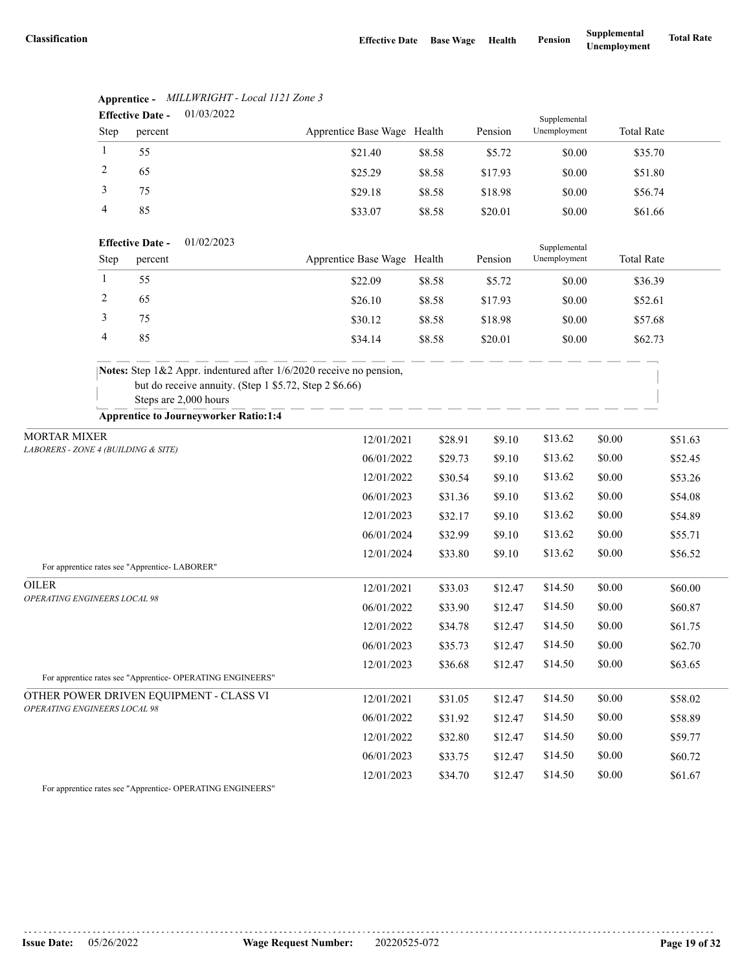|                                              | 01/03/2022<br><b>Effective Date -</b> |                                               |                                                                                                                                                        |                             |         | Supplemental |              |                   |         |
|----------------------------------------------|---------------------------------------|-----------------------------------------------|--------------------------------------------------------------------------------------------------------------------------------------------------------|-----------------------------|---------|--------------|--------------|-------------------|---------|
|                                              | Step                                  | percent                                       |                                                                                                                                                        | Apprentice Base Wage Health |         | Pension      | Unemployment | <b>Total Rate</b> |         |
|                                              | 1                                     | 55                                            |                                                                                                                                                        | \$21.40                     | \$8.58  | \$5.72       | \$0.00       | \$35.70           |         |
|                                              | 2                                     | 65                                            |                                                                                                                                                        | \$25.29                     | \$8.58  | \$17.93      | \$0.00       | \$51.80           |         |
|                                              | 3                                     | 75                                            |                                                                                                                                                        | \$29.18                     | \$8.58  | \$18.98      | \$0.00       | \$56.74           |         |
|                                              | 4                                     | 85                                            |                                                                                                                                                        | \$33.07                     | \$8.58  | \$20.01      | \$0.00       | \$61.66           |         |
|                                              |                                       | <b>Effective Date -</b>                       | 01/02/2023                                                                                                                                             |                             |         |              | Supplemental |                   |         |
|                                              | Step                                  | percent                                       |                                                                                                                                                        | Apprentice Base Wage Health |         | Pension      | Unemployment | <b>Total Rate</b> |         |
|                                              | $\mathbf{1}$                          | 55                                            |                                                                                                                                                        | \$22.09                     | \$8.58  | \$5.72       | \$0.00       | \$36.39           |         |
|                                              | 2                                     | 65                                            |                                                                                                                                                        | \$26.10                     | \$8.58  | \$17.93      | \$0.00       | \$52.61           |         |
|                                              | 3                                     | 75                                            |                                                                                                                                                        | \$30.12                     | \$8.58  | \$18.98      | \$0.00       | \$57.68           |         |
|                                              | 4                                     | 85                                            |                                                                                                                                                        | \$34.14                     | \$8.58  | \$20.01      | \$0.00       | \$62.73           |         |
|                                              |                                       |                                               | Notes: Step 1&2 Appr. indentured after 1/6/2020 receive no pension,<br>but do receive annuity. (Step 1 \$5.72, Step 2 \$6.66)<br>Steps are 2,000 hours |                             |         |              |              |                   |         |
|                                              |                                       |                                               | <b>Apprentice to Journeyworker Ratio:1:4</b>                                                                                                           |                             |         |              |              |                   |         |
| <b>MORTAR MIXER</b>                          |                                       | 12/01/2021                                    | \$28.91                                                                                                                                                | \$9.10                      | \$13.62 | \$0.00       | \$51.63      |                   |         |
| LABORERS - ZONE 4 (BUILDING & SITE)          |                                       |                                               |                                                                                                                                                        | 06/01/2022                  | \$29.73 | \$9.10       | \$13.62      | \$0.00            | \$52.45 |
|                                              |                                       |                                               |                                                                                                                                                        | 12/01/2022                  | \$30.54 | \$9.10       | \$13.62      | \$0.00            | \$53.26 |
|                                              |                                       |                                               |                                                                                                                                                        | 06/01/2023                  | \$31.36 | \$9.10       | \$13.62      | \$0.00            | \$54.08 |
|                                              |                                       |                                               |                                                                                                                                                        | 12/01/2023                  | \$32.17 | \$9.10       | \$13.62      | \$0.00            | \$54.89 |
|                                              |                                       |                                               |                                                                                                                                                        | 06/01/2024                  | \$32.99 | \$9.10       | \$13.62      | \$0.00            | \$55.71 |
|                                              |                                       |                                               |                                                                                                                                                        | 12/01/2024                  | \$33.80 | \$9.10       | \$13.62      | \$0.00            | \$56.52 |
|                                              |                                       | For apprentice rates see "Apprentice-LABORER" |                                                                                                                                                        |                             |         |              |              |                   |         |
| <b>OILER</b><br>OPERATING ENGINEERS LOCAL 98 |                                       |                                               |                                                                                                                                                        | 12/01/2021                  | \$33.03 | \$12.47      | \$14.50      | \$0.00            | \$60.00 |
|                                              |                                       |                                               |                                                                                                                                                        | 06/01/2022                  | \$33.90 | \$12.47      | \$14.50      | \$0.00            | \$60.87 |
|                                              |                                       |                                               |                                                                                                                                                        | 12/01/2022                  | \$34.78 | \$12.47      | \$14.50      | \$0.00            | \$61.75 |
|                                              |                                       |                                               |                                                                                                                                                        | 06/01/2023                  | \$35.73 | \$12.47      | \$14.50      | \$0.00            | \$62.70 |
|                                              |                                       |                                               |                                                                                                                                                        | 12/01/2023                  | \$36.68 | \$12.47      | \$14.50      | \$0.00            | \$63.65 |
|                                              |                                       |                                               | For apprentice rates see "Apprentice- OPERATING ENGINEERS"                                                                                             |                             |         |              |              |                   |         |
| OPERATING ENGINEERS LOCAL 98                 |                                       |                                               | OTHER POWER DRIVEN EQUIPMENT - CLASS VI                                                                                                                | 12/01/2021                  | \$31.05 | \$12.47      | \$14.50      | \$0.00            | \$58.02 |
|                                              |                                       |                                               |                                                                                                                                                        | 06/01/2022                  | \$31.92 | \$12.47      | \$14.50      | \$0.00            | \$58.89 |
|                                              |                                       |                                               |                                                                                                                                                        | 12/01/2022                  | \$32.80 | \$12.47      | \$14.50      | \$0.00            | \$59.77 |
|                                              |                                       |                                               |                                                                                                                                                        | 06/01/2023                  | \$33.75 | \$12.47      | \$14.50      | \$0.00            | \$60.72 |
|                                              |                                       |                                               |                                                                                                                                                        | 12/01/2023                  | \$34.70 | \$12.47      | \$14.50      | \$0.00            | \$61.67 |

**Apprentice -** *MILLWRIGHT - Local 1121 Zone 3*

For apprentice rates see "Apprentice- OPERATING ENGINEERS"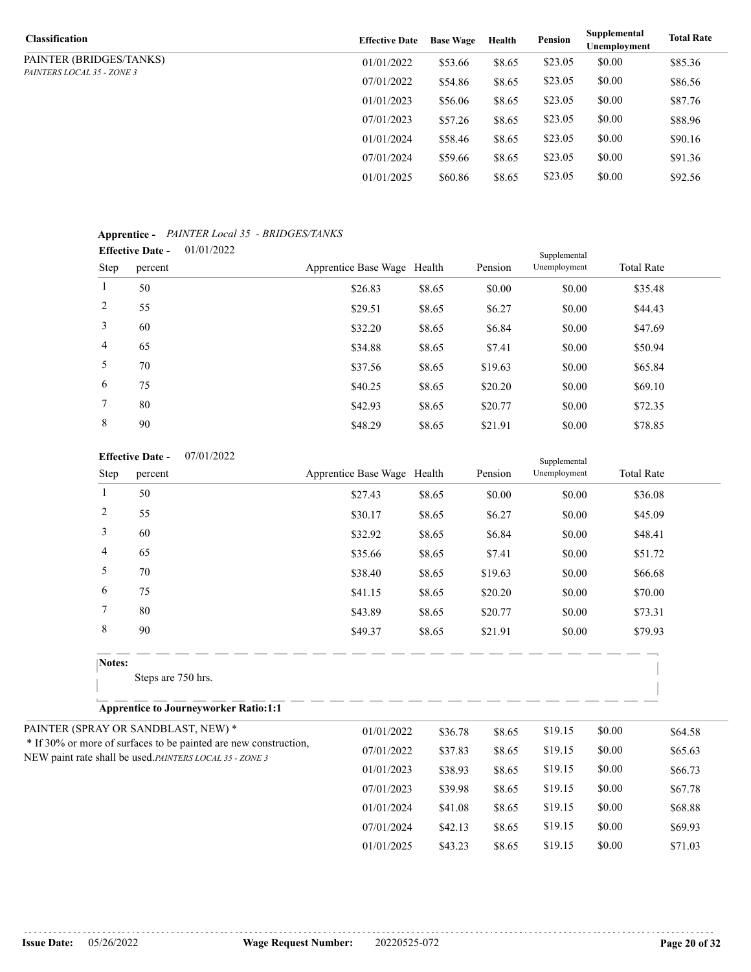| <b>Classification</b>             | <b>Effective Date</b> | <b>Base Wage</b> | Health | Pension | Supplemental<br>Unemployment | <b>Total Rate</b> |
|-----------------------------------|-----------------------|------------------|--------|---------|------------------------------|-------------------|
| PAINTER (BRIDGES/TANKS)           | 01/01/2022            | \$53.66          | \$8.65 | \$23.05 | \$0.00                       | \$85.36           |
| <i>PAINTERS LOCAL 35 - ZONE 3</i> | 07/01/2022            | \$54.86          | \$8.65 | \$23.05 | \$0.00                       | \$86.56           |
|                                   | 01/01/2023            | \$56.06          | \$8.65 | \$23.05 | \$0.00                       | \$87.76           |
|                                   | 07/01/2023            | \$57.26          | \$8.65 | \$23.05 | \$0.00                       | \$88.96           |
|                                   | 01/01/2024            | \$58.46          | \$8.65 | \$23.05 | \$0.00                       | \$90.16           |
|                                   | 07/01/2024            | \$59.66          | \$8.65 | \$23.05 | \$0.00                       | \$91.36           |
|                                   | 01/01/2025            | \$60.86          | \$8.65 | \$23.05 | \$0.00                       | \$92.56           |

### **Apprentice -** *PAINTER Local 35 - BRIDGES/TANKS*

|                 | <b>Effective Date -</b> | 01/01/2022 |                             |        |         | Supplemental |                   |  |
|-----------------|-------------------------|------------|-----------------------------|--------|---------|--------------|-------------------|--|
| Step            | percent                 |            | Apprentice Base Wage Health |        | Pension | Unemployment | <b>Total Rate</b> |  |
| $\mathbf{1}$    | 50                      |            | \$26.83                     | \$8.65 | \$0.00  | \$0.00       | \$35.48           |  |
| 2               | 55                      |            | \$29.51                     | \$8.65 | \$6.27  | \$0.00       | \$44.43           |  |
| 3               | 60                      |            | \$32.20                     | \$8.65 | \$6.84  | \$0.00       | \$47.69           |  |
| $\overline{4}$  | 65                      |            | \$34.88                     | \$8.65 | \$7.41  | \$0.00       | \$50.94           |  |
| 5               | 70                      |            | \$37.56                     | \$8.65 | \$19.63 | \$0.00       | \$65.84           |  |
| 6               | 75                      |            | \$40.25                     | \$8.65 | \$20.20 | \$0.00       | \$69.10           |  |
| $7\overline{ }$ | 80                      |            | \$42.93                     | \$8.65 | \$20.77 | \$0.00       | \$72.35           |  |
| 8               | 90                      |            | \$48.29                     | \$8.65 | \$21.91 | \$0.00       | \$78.85           |  |

#### 07/01/2022 **Effective Date -**

| <b>Effective Date -</b>                                          | 07/01/2022                                               |                             |                       |         | Supplemental |        |                   |
|------------------------------------------------------------------|----------------------------------------------------------|-----------------------------|-----------------------|---------|--------------|--------|-------------------|
| Step<br>percent                                                  |                                                          | Apprentice Base Wage Health |                       | Pension | Unemployment |        | <b>Total Rate</b> |
| 1<br>50                                                          |                                                          | \$27.43                     | \$8.65                | \$0.00  | \$0.00       |        | \$36.08           |
| $\overline{c}$<br>55                                             |                                                          | \$30.17                     | \$8.65                | \$6.27  | \$0.00       |        | \$45.09           |
| 3<br>60                                                          |                                                          | \$32.92                     | \$8.65                | \$6.84  | \$0.00       |        | \$48.41           |
| 4<br>65                                                          |                                                          | \$35.66                     | \$8.65                | \$7.41  | \$0.00       |        | \$51.72           |
| 5<br>70                                                          |                                                          | \$38.40                     | \$8.65                | \$19.63 | \$0.00       |        | \$66.68           |
| 6<br>75                                                          |                                                          | \$41.15                     | \$8.65                | \$20.20 | \$0.00       |        | \$70.00           |
| 7<br>80                                                          |                                                          | \$43.89                     | \$8.65                | \$20.77 | \$0.00       |        | \$73.31           |
| $\,$ 8 $\,$<br>90                                                |                                                          | \$49.37                     | \$8.65                | \$21.91 | \$0.00       |        | \$79.93           |
| Notes:                                                           |                                                          |                             |                       |         |              |        |                   |
| Steps are 750 hrs.                                               |                                                          |                             |                       |         |              |        |                   |
|                                                                  | <b>Apprentice to Journeyworker Ratio:1:1</b>             |                             |                       |         |              |        |                   |
| PAINTER (SPRAY OR SANDBLAST, NEW) *                              |                                                          | 01/01/2022                  | \$36.78               | \$8.65  | \$19.15      | \$0.00 | \$64.58           |
| * If 30% or more of surfaces to be painted are new construction, |                                                          | 07/01/2022                  | \$37.83               | \$8.65  | \$19.15      | \$0.00 | \$65.63           |
|                                                                  | NEW paint rate shall be used. PAINTERS LOCAL 35 - ZONE 3 |                             | 01/01/2023<br>\$38.93 | \$8.65  | \$19.15      | \$0.00 | \$66.73           |
|                                                                  |                                                          | 07/01/2023                  | \$39.98               | \$8.65  | \$19.15      | \$0.00 | \$67.78           |
|                                                                  |                                                          | 01/01/2024                  | \$41.08               | \$8.65  | \$19.15      | \$0.00 | \$68.88           |
|                                                                  |                                                          | 07/01/2024                  | \$42.13               | \$8.65  | \$19.15      | \$0.00 | \$69.93           |

01/01/2025 \$43.23 \$8.65 \$19.15 \$0.00 \$71.03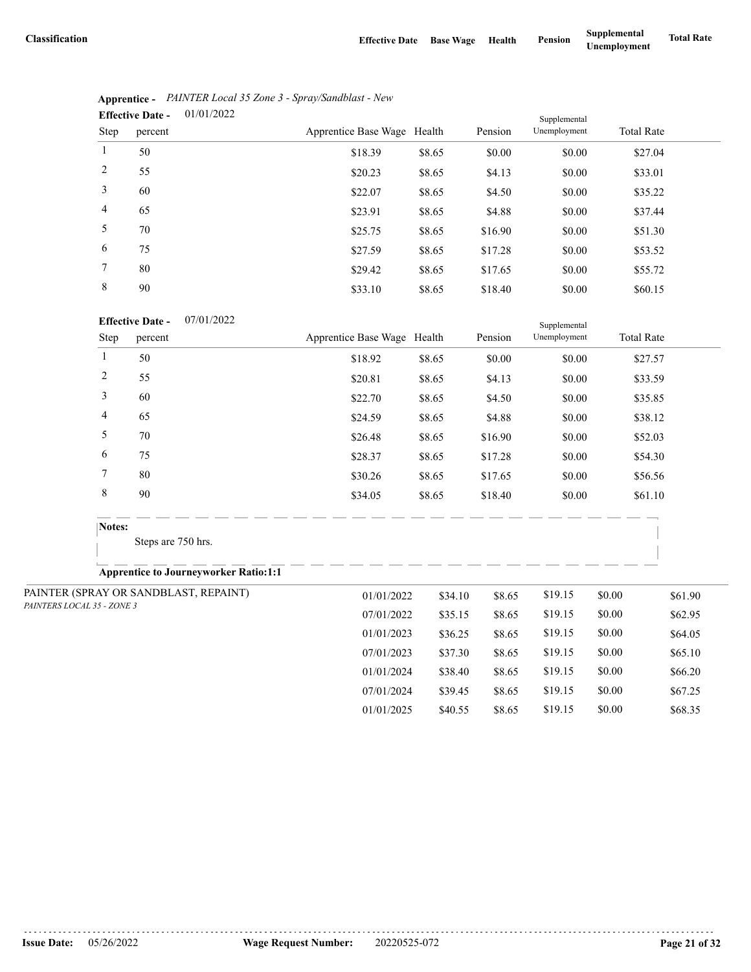07/01/2024 \$39.45 \$8.65 \$19.15 \$0.00 \$67.25 01/01/2025 \$40.55 \$8.65 \$19.15 \$0.00 \$68.35

|                | 01/01/2022<br><b>Effective Date -</b> | Supplemental                |        |         |              |                   |  |  |
|----------------|---------------------------------------|-----------------------------|--------|---------|--------------|-------------------|--|--|
| Step           | percent                               | Apprentice Base Wage Health |        | Pension | Unemployment | <b>Total Rate</b> |  |  |
| 1              | 50                                    | \$18.39                     | \$8.65 | \$0.00  | \$0.00       | \$27.04           |  |  |
| 2              | 55                                    | \$20.23                     | \$8.65 | \$4.13  | \$0.00       | \$33.01           |  |  |
| 3              | 60                                    | \$22.07                     | \$8.65 | \$4.50  | \$0.00       | \$35.22           |  |  |
| $\overline{4}$ | 65                                    | \$23.91                     | \$8.65 | \$4.88  | \$0.00       | \$37.44           |  |  |
| 5              | 70                                    | \$25.75                     | \$8.65 | \$16.90 | \$0.00       | \$51.30           |  |  |
| 6              | 75                                    | \$27.59                     | \$8.65 | \$17.28 | \$0.00       | \$53.52           |  |  |
| 7              | 80                                    | \$29.42                     | \$8.65 | \$17.65 | \$0.00       | \$55.72           |  |  |
| 8              | 90                                    | \$33.10                     | \$8.65 | \$18.40 | \$0.00       | \$60.15           |  |  |

|                | Apprentice - PAINTER Local 35 Zone 3 - Spray/Sandblast - New |
|----------------|--------------------------------------------------------------|
| Effective Date | 01/01/2022                                                   |

#### 07/01/2022 **Effective Date -**

| <b>Effective Date -</b><br>07/01/2022 |                            |                                              | Supplemental                |         |         |              |        |                   |
|---------------------------------------|----------------------------|----------------------------------------------|-----------------------------|---------|---------|--------------|--------|-------------------|
|                                       | Step                       | percent                                      | Apprentice Base Wage Health |         | Pension | Unemployment |        | <b>Total Rate</b> |
|                                       | $\mathbf{1}$               | 50                                           | \$18.92                     | \$8.65  | \$0.00  | \$0.00       |        | \$27.57           |
|                                       | $\overline{c}$             | 55                                           | \$20.81                     | \$8.65  | \$4.13  | \$0.00       |        | \$33.59           |
|                                       | 3                          | 60                                           | \$22.70                     | \$8.65  | \$4.50  | \$0.00       |        | \$35.85           |
|                                       | 4                          | 65                                           | \$24.59                     | \$8.65  | \$4.88  | \$0.00       |        | \$38.12           |
|                                       | 5                          | 70                                           | \$26.48                     | \$8.65  | \$16.90 | \$0.00       |        | \$52.03           |
|                                       | 6                          | 75                                           | \$28.37                     | \$8.65  | \$17.28 | \$0.00       |        | \$54.30           |
|                                       | 7                          | 80                                           | \$30.26                     | \$8.65  | \$17.65 | \$0.00       |        | \$56.56           |
|                                       | 8                          | 90                                           | \$34.05                     | \$8.65  | \$18.40 | \$0.00       |        | \$61.10           |
|                                       | Notes:                     |                                              |                             |         |         |              |        |                   |
|                                       |                            | Steps are 750 hrs.                           |                             |         |         |              |        |                   |
|                                       |                            | <b>Apprentice to Journeyworker Ratio:1:1</b> |                             |         |         |              |        |                   |
|                                       |                            | PAINTER (SPRAY OR SANDBLAST, REPAINT)        | 01/01/2022                  | \$34.10 | \$8.65  | \$19.15      | \$0.00 | \$61.90           |
|                                       | PAINTERS LOCAL 35 - ZONE 3 |                                              | 07/01/2022                  | \$35.15 | \$8.65  | \$19.15      | \$0.00 | \$62.95           |
|                                       |                            |                                              | 01/01/2023                  | \$36.25 | \$8.65  | \$19.15      | \$0.00 | \$64.05           |
|                                       |                            |                                              | 07/01/2023                  | \$37.30 | \$8.65  | \$19.15      | \$0.00 | \$65.10           |
|                                       |                            |                                              | 01/01/2024                  | \$38.40 | \$8.65  | \$19.15      | \$0.00 | \$66.20           |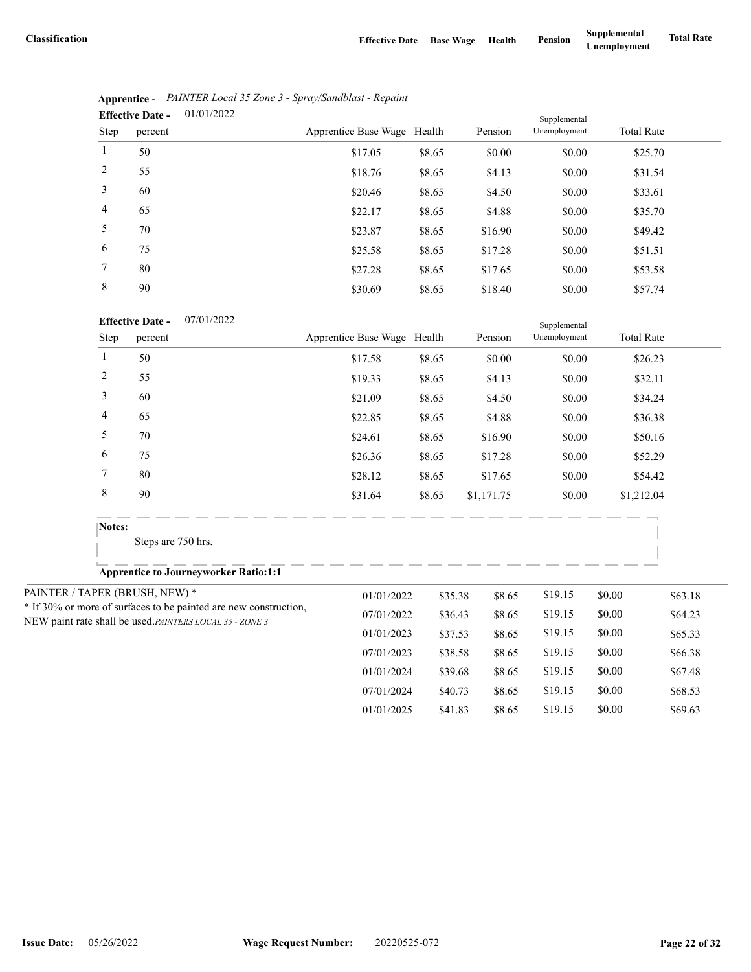|                | 01/01/2022<br><b>Effective Date -</b> |                             |        |         | Supplemental |                   |
|----------------|---------------------------------------|-----------------------------|--------|---------|--------------|-------------------|
| Step           | percent                               | Apprentice Base Wage Health |        | Pension | Unemployment | <b>Total Rate</b> |
| 1              | 50                                    | \$17.05                     | \$8.65 | \$0.00  | \$0.00       | \$25.70           |
| 2              | 55                                    | \$18.76                     | \$8.65 | \$4.13  | \$0.00       | \$31.54           |
| 3              | 60                                    | \$20.46                     | \$8.65 | \$4.50  | \$0.00       | \$33.61           |
| $\overline{4}$ | 65                                    | \$22.17                     | \$8.65 | \$4.88  | \$0.00       | \$35.70           |
| 5              | 70                                    | \$23.87                     | \$8.65 | \$16.90 | \$0.00       | \$49.42           |
| 6              | 75                                    | \$25.58                     | \$8.65 | \$17.28 | \$0.00       | \$51.51           |
| 7              | 80                                    | \$27.28                     | \$8.65 | \$17.65 | \$0.00       | \$53.58           |
| 8              | 90                                    | \$30.69                     | \$8.65 | \$18.40 | \$0.00       | \$57.74           |

|                               | Apprentice - PAINTER Local 35 Zone 3 - Spray/Sandblast - Repaint |
|-------------------------------|------------------------------------------------------------------|
| Effective Date $-$ 01/01/2022 |                                                                  |

07/01/2022 **Effective Date -**

|                | <b>Effective Date -</b><br>07/01/2022                                                                                       |                             |         |            | Supplemental |                   |         |
|----------------|-----------------------------------------------------------------------------------------------------------------------------|-----------------------------|---------|------------|--------------|-------------------|---------|
| Step           | percent                                                                                                                     | Apprentice Base Wage Health |         | Pension    | Unemployment | <b>Total Rate</b> |         |
| 1              | 50                                                                                                                          | \$17.58                     | \$8.65  | \$0.00     | \$0.00       |                   | \$26.23 |
| $\overline{c}$ | 55                                                                                                                          | \$19.33                     | \$8.65  | \$4.13     | \$0.00       |                   | \$32.11 |
| 3              | 60                                                                                                                          | \$21.09                     | \$8.65  | \$4.50     | \$0.00       |                   | \$34.24 |
| 4              | 65                                                                                                                          | \$22.85                     | \$8.65  | \$4.88     | \$0.00       |                   | \$36.38 |
| 5              | 70                                                                                                                          | \$24.61                     | \$8.65  | \$16.90    | \$0.00       |                   | \$50.16 |
| 6              | 75                                                                                                                          | \$26.36                     | \$8.65  | \$17.28    | \$0.00       |                   | \$52.29 |
| 7              | 80                                                                                                                          | \$28.12                     | \$8.65  | \$17.65    | \$0.00       |                   | \$54.42 |
| $\,$ 8 $\,$    | 90                                                                                                                          | \$31.64                     | \$8.65  | \$1,171.75 | \$0.00       | \$1,212.04        |         |
| Notes:         |                                                                                                                             |                             |         |            |              |                   |         |
|                | Steps are 750 hrs.                                                                                                          |                             |         |            |              |                   |         |
|                | <b>Apprentice to Journeyworker Ratio:1:1</b>                                                                                |                             |         |            |              |                   |         |
|                | PAINTER / TAPER (BRUSH, NEW) *                                                                                              | 01/01/2022                  | \$35.38 | \$8.65     | \$19.15      | \$0.00            | \$63.18 |
|                | * If 30% or more of surfaces to be painted are new construction,<br>NEW paint rate shall be used.PAINTERS LOCAL 35 - ZONE 3 | 07/01/2022                  | \$36.43 | \$8.65     | \$19.15      | \$0.00            | \$64.23 |
|                |                                                                                                                             | 01/01/2023                  | \$37.53 | \$8.65     | \$19.15      | \$0.00            | \$65.33 |
|                |                                                                                                                             | 07/01/2023                  | \$38.58 | \$8.65     | \$19.15      | \$0.00            | \$66.38 |
|                |                                                                                                                             | 01/01/2024                  | \$39.68 | \$8.65     | \$19.15      | \$0.00            | \$67.48 |
|                |                                                                                                                             | 07/01/2024                  | \$40.73 | \$8.65     | \$19.15      | \$0.00            | \$68.53 |
|                |                                                                                                                             | 01/01/2025                  | \$41.83 | \$8.65     | \$19.15      | \$0.00            | \$69.63 |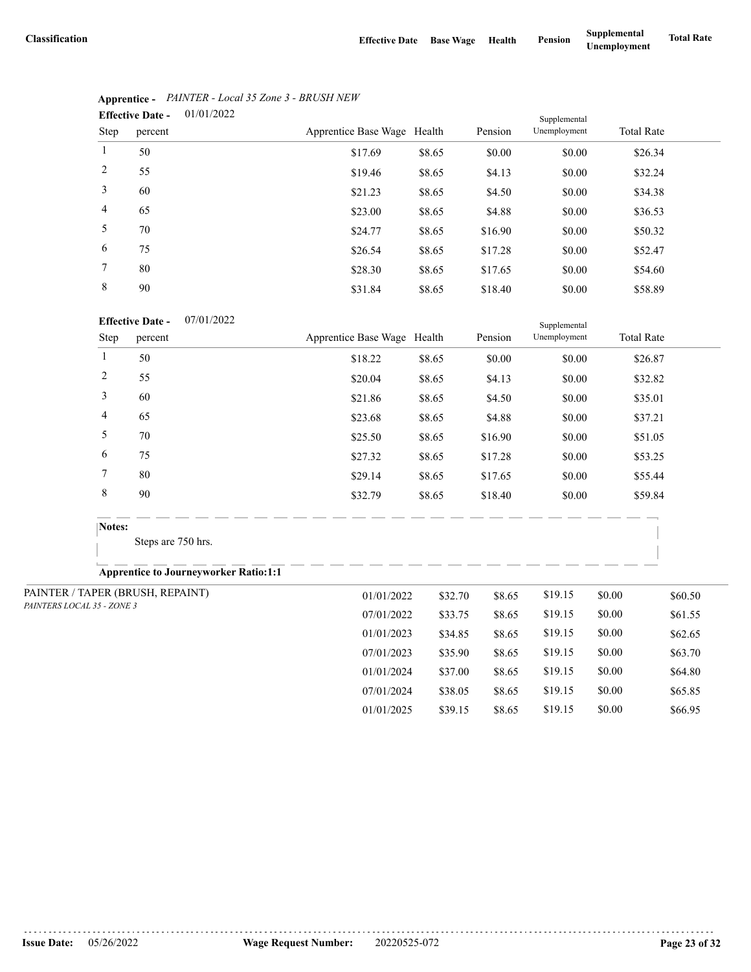07/01/2024 \$38.05 \$8.65 \$19.15 \$0.00 \$65.85 01/01/2025 \$39.15 \$8.65 \$19.15 \$0.00 \$66.95

|                | 01/01/2022<br><b>Effective Date -</b> |                             | Supplemental |         |              |                   |
|----------------|---------------------------------------|-----------------------------|--------------|---------|--------------|-------------------|
| Step           | percent                               | Apprentice Base Wage Health |              | Pension | Unemployment | <b>Total Rate</b> |
| 1              | 50                                    | \$17.69                     | \$8.65       | \$0.00  | \$0.00       | \$26.34           |
| 2              | 55                                    | \$19.46                     | \$8.65       | \$4.13  | \$0.00       | \$32.24           |
| 3              | 60                                    | \$21.23                     | \$8.65       | \$4.50  | \$0.00       | \$34.38           |
| $\overline{4}$ | 65                                    | \$23.00                     | \$8.65       | \$4.88  | \$0.00       | \$36.53           |
| 5              | 70                                    | \$24.77                     | \$8.65       | \$16.90 | \$0.00       | \$50.32           |
| 6              | 75                                    | \$26.54                     | \$8.65       | \$17.28 | \$0.00       | \$52.47           |
| 7              | 80                                    | \$28.30                     | \$8.65       | \$17.65 | \$0.00       | \$54.60           |
| 8              | 90                                    | \$31.84                     | \$8.65       | \$18.40 | \$0.00       | \$58.89           |

# **Apprentice -** *PAINTER - Local 35 Zone 3 - BRUSH NEW*

#### 07/01/2022 **Effective Date -**

|                            | <b>Effective Date -</b><br>07/01/2022        |                             |         | Supplemental |              |        |                   |
|----------------------------|----------------------------------------------|-----------------------------|---------|--------------|--------------|--------|-------------------|
| Step                       | percent                                      | Apprentice Base Wage Health |         | Pension      | Unemployment |        | <b>Total Rate</b> |
| $\mathbf{1}$               | 50                                           | \$18.22                     | \$8.65  | \$0.00       | \$0.00       |        | \$26.87           |
| $\overline{c}$             | 55                                           | \$20.04                     | \$8.65  | \$4.13       | \$0.00       |        | \$32.82           |
| 3                          | 60                                           | \$21.86                     | \$8.65  | \$4.50       | \$0.00       |        | \$35.01           |
| 4                          | 65                                           | \$23.68                     | \$8.65  | \$4.88       | \$0.00       |        | \$37.21           |
| 5                          | 70                                           | \$25.50                     | \$8.65  | \$16.90      | \$0.00       |        | \$51.05           |
| 6                          | 75                                           | \$27.32                     | \$8.65  | \$17.28      | \$0.00       |        | \$53.25           |
| 7                          | 80                                           | \$29.14                     | \$8.65  | \$17.65      | \$0.00       |        | \$55.44           |
| $\,$ 8 $\,$                | 90                                           | \$32.79                     | \$8.65  | \$18.40      | \$0.00       |        | \$59.84           |
| Notes:                     |                                              |                             |         |              |              |        |                   |
|                            | Steps are 750 hrs.                           |                             |         |              |              |        |                   |
|                            | <b>Apprentice to Journeyworker Ratio:1:1</b> |                             |         |              |              |        |                   |
|                            | PAINTER / TAPER (BRUSH, REPAINT)             | 01/01/2022                  | \$32.70 | \$8.65       | \$19.15      | \$0.00 | \$60.50           |
| PAINTERS LOCAL 35 - ZONE 3 |                                              | 07/01/2022                  | \$33.75 | \$8.65       | \$19.15      | \$0.00 | \$61.55           |
|                            |                                              | 01/01/2023                  | \$34.85 | \$8.65       | \$19.15      | \$0.00 | \$62.65           |
|                            |                                              | 07/01/2023                  | \$35.90 | \$8.65       | \$19.15      | \$0.00 | \$63.70           |
|                            |                                              | 01/01/2024                  | \$37.00 | \$8.65       | \$19.15      | \$0.00 | \$64.80           |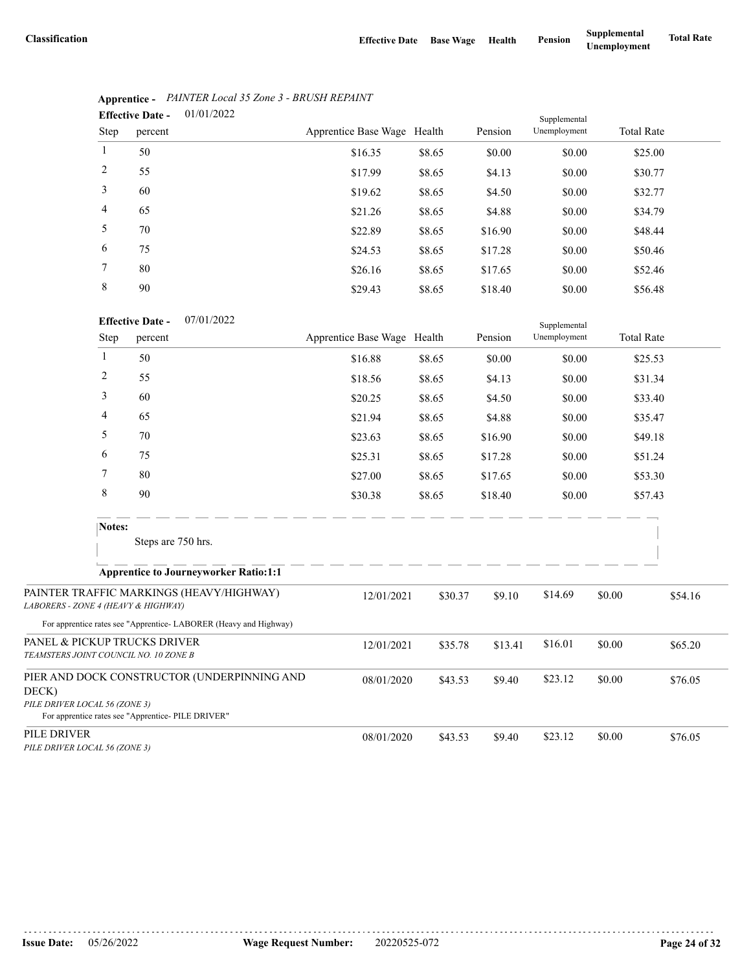|                | 01/01/2022<br><b>Effective Date -</b> |                             |        |         | Supplemental |                   |
|----------------|---------------------------------------|-----------------------------|--------|---------|--------------|-------------------|
| Step           | percent                               | Apprentice Base Wage Health |        | Pension | Unemployment | <b>Total Rate</b> |
| $\mathbf{1}$   | 50                                    | \$16.35                     | \$8.65 | \$0.00  | \$0.00       | \$25.00           |
| 2              | 55                                    | \$17.99                     | \$8.65 | \$4.13  | \$0.00       | \$30.77           |
| 3              | 60                                    | \$19.62                     | \$8.65 | \$4.50  | \$0.00       | \$32.77           |
| $\overline{4}$ | 65                                    | \$21.26                     | \$8.65 | \$4.88  | \$0.00       | \$34.79           |
| 5              | 70                                    | \$22.89                     | \$8.65 | \$16.90 | \$0.00       | \$48.44           |
| 6              | 75                                    | \$24.53                     | \$8.65 | \$17.28 | \$0.00       | \$50.46           |
| 7              | 80                                    | \$26.16                     | \$8.65 | \$17.65 | \$0.00       | \$52.46           |
| 8              | 90                                    | \$29.43                     | \$8.65 | \$18.40 | \$0.00       | \$56.48           |

# **Apprentice -** *PAINTER Local 35 Zone 3 - BRUSH REPAINT*

|                                                                       |              | <b>Effective Date -</b><br>0//01/2022                             |                             |         |         | Supplemental |        |                    |  |
|-----------------------------------------------------------------------|--------------|-------------------------------------------------------------------|-----------------------------|---------|---------|--------------|--------|--------------------|--|
|                                                                       | Step         | percent                                                           | Apprentice Base Wage Health |         | Pension | Unemployment |        | <b>Total Rate</b>  |  |
|                                                                       | $\mathbf{1}$ | 50                                                                | \$16.88                     | \$8.65  | \$0.00  | \$0.00       |        | \$25.53            |  |
|                                                                       | 2            | 55                                                                | \$18.56                     | \$8.65  | \$4.13  | \$0.00       |        | \$31.34            |  |
|                                                                       | 3            | 60                                                                | \$20.25                     | \$8.65  | \$4.50  | \$0.00       |        | \$33.40            |  |
|                                                                       | 4            | 65                                                                | \$21.94                     | \$8.65  | \$4.88  | \$0.00       |        | \$35.47<br>\$49.18 |  |
|                                                                       | 5            | 70                                                                | \$23.63                     | \$8.65  | \$16.90 | \$0.00       |        |                    |  |
|                                                                       | 6            | 75                                                                | \$25.31                     | \$8.65  | \$17.28 | \$0.00       |        | \$51.24            |  |
|                                                                       | 7            | 80                                                                | \$27.00                     | \$8.65  | \$17.65 | \$0.00       |        | \$53.30            |  |
|                                                                       | $\,8\,$      | 90                                                                | \$30.38                     | \$8.65  | \$18.40 | \$0.00       |        | \$57.43            |  |
|                                                                       | Notes:       |                                                                   |                             |         |         |              |        |                    |  |
|                                                                       |              | Steps are 750 hrs.                                                |                             |         |         |              |        |                    |  |
|                                                                       |              | <b>Apprentice to Journeyworker Ratio:1:1</b>                      |                             |         |         |              |        |                    |  |
| LABORERS - ZONE 4 (HEAVY & HIGHWAY)                                   |              | PAINTER TRAFFIC MARKINGS (HEAVY/HIGHWAY)                          | 12/01/2021                  | \$30.37 | \$9.10  | \$14.69      | \$0.00 | \$54.16            |  |
|                                                                       |              | For apprentice rates see "Apprentice- LABORER (Heavy and Highway) |                             |         |         |              |        |                    |  |
| PANEL & PICKUP TRUCKS DRIVER<br>TEAMSTERS JOINT COUNCIL NO. 10 ZONE B |              |                                                                   | 12/01/2021                  | \$35.78 | \$13.41 | \$16.01      | \$0.00 | \$65.20            |  |
| DECK)                                                                 |              | PIER AND DOCK CONSTRUCTOR (UNDERPINNING AND                       | 08/01/2020                  | \$43.53 | \$9.40  | \$23.12      | \$0.00 | \$76.05            |  |
| PILE DRIVER LOCAL 56 (ZONE 3)                                         |              | For apprentice rates see "Apprentice- PILE DRIVER"                |                             |         |         |              |        |                    |  |
| PILE DRIVER<br>PILE DRIVER LOCAL 56 (ZONE 3)                          |              |                                                                   | 08/01/2020                  | \$43.53 | \$9.40  | \$23.12      | \$0.00 | \$76.05            |  |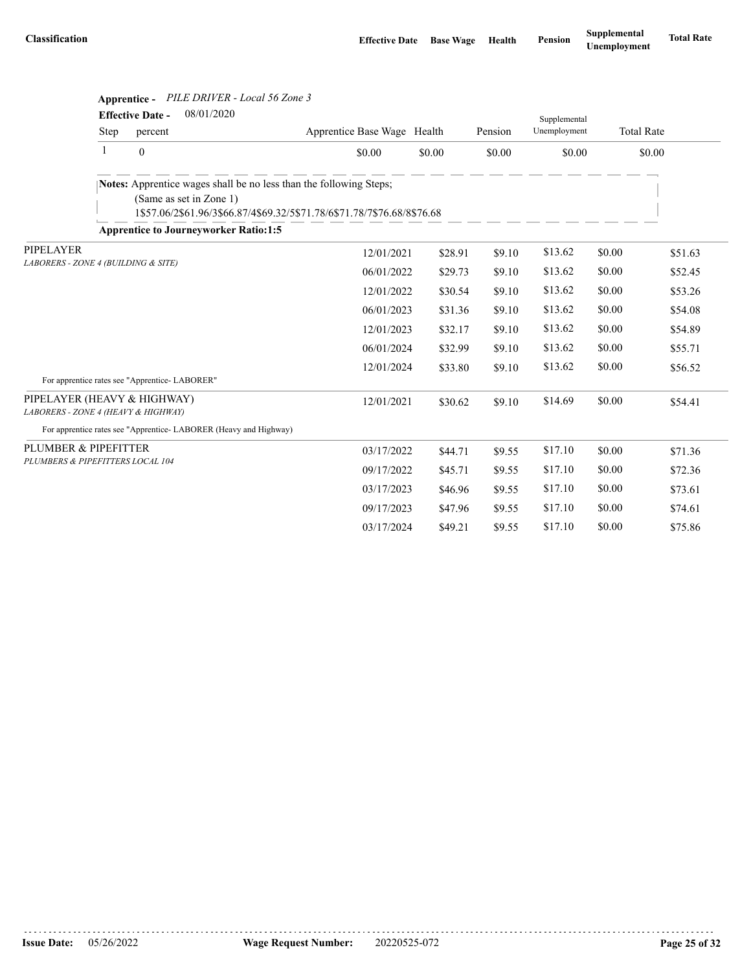|                                                                    |                                     |                                               | Apprentice - PILE DRIVER - Local 56 Zone 3                                                                                                    |                             |         |         |              |        |                   |
|--------------------------------------------------------------------|-------------------------------------|-----------------------------------------------|-----------------------------------------------------------------------------------------------------------------------------------------------|-----------------------------|---------|---------|--------------|--------|-------------------|
|                                                                    |                                     | <b>Effective Date -</b>                       | 08/01/2020                                                                                                                                    |                             |         |         | Supplemental |        |                   |
|                                                                    | Step                                | percent                                       |                                                                                                                                               | Apprentice Base Wage Health |         | Pension | Unemployment |        | <b>Total Rate</b> |
|                                                                    | $\mathbf{1}$                        | $\boldsymbol{0}$                              |                                                                                                                                               | \$0.00                      | \$0.00  | \$0.00  | \$0.00       |        | \$0.00            |
|                                                                    |                                     | (Same as set in Zone 1)                       | Notes: Apprentice wages shall be no less than the following Steps;<br>1\$57.06/2\$61.96/3\$66.87/4\$69.32/5\$71.78/6\$71.78/7\$76.68/8\$76.68 |                             |         |         |              |        |                   |
|                                                                    |                                     |                                               | <b>Apprentice to Journeyworker Ratio:1:5</b>                                                                                                  |                             |         |         |              |        |                   |
| PIPELAYER                                                          | LABORERS - ZONE 4 (BUILDING & SITE) |                                               |                                                                                                                                               | 12/01/2021                  | \$28.91 | \$9.10  | \$13.62      | \$0.00 | \$51.63           |
|                                                                    |                                     |                                               |                                                                                                                                               | 06/01/2022                  | \$29.73 | \$9.10  | \$13.62      | \$0.00 | \$52.45           |
|                                                                    |                                     |                                               |                                                                                                                                               | 12/01/2022                  | \$30.54 | \$9.10  | \$13.62      | \$0.00 | \$53.26           |
|                                                                    |                                     |                                               |                                                                                                                                               | 06/01/2023                  | \$31.36 | \$9.10  | \$13.62      | \$0.00 | \$54.08           |
|                                                                    |                                     |                                               |                                                                                                                                               | 12/01/2023                  | \$32.17 | \$9.10  | \$13.62      | \$0.00 | \$54.89           |
|                                                                    |                                     |                                               |                                                                                                                                               | 06/01/2024                  | \$32.99 | \$9.10  | \$13.62      | \$0.00 | \$55.71           |
|                                                                    |                                     |                                               |                                                                                                                                               | 12/01/2024                  | \$33.80 | \$9.10  | \$13.62      | \$0.00 | \$56.52           |
|                                                                    |                                     | For apprentice rates see "Apprentice-LABORER" |                                                                                                                                               |                             |         |         |              |        |                   |
| PIPELAYER (HEAVY & HIGHWAY)<br>LABORERS - ZONE 4 (HEAVY & HIGHWAY) |                                     |                                               |                                                                                                                                               | 12/01/2021                  | \$30.62 | \$9.10  | \$14.69      | \$0.00 | \$54.41           |
|                                                                    |                                     |                                               | For apprentice rates see "Apprentice-LABORER (Heavy and Highway)                                                                              |                             |         |         |              |        |                   |
| PLUMBER & PIPEFITTER                                               |                                     |                                               |                                                                                                                                               | 03/17/2022                  | \$44.71 | \$9.55  | \$17.10      | \$0.00 | \$71.36           |
| PLUMBERS & PIPEFITTERS LOCAL 104                                   |                                     |                                               |                                                                                                                                               | 09/17/2022                  | \$45.71 | \$9.55  | \$17.10      | \$0.00 | \$72.36           |
|                                                                    |                                     |                                               |                                                                                                                                               | 03/17/2023                  | \$46.96 | \$9.55  | \$17.10      | \$0.00 | \$73.61           |
|                                                                    |                                     |                                               |                                                                                                                                               | 09/17/2023                  | \$47.96 | \$9.55  | \$17.10      | \$0.00 | \$74.61           |
|                                                                    |                                     |                                               |                                                                                                                                               | 03/17/2024                  | \$49.21 | \$9.55  | \$17.10      | \$0.00 | \$75.86           |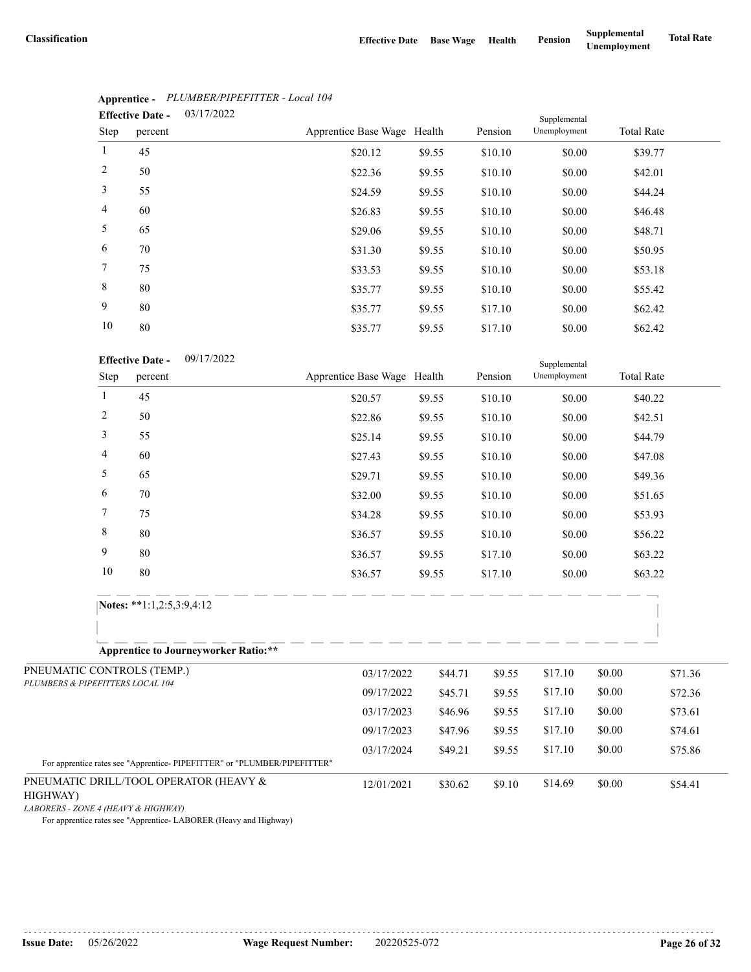|                | 03/17/2022<br><b>Effective Date -</b> |                             |        |         | Supplemental |                   |
|----------------|---------------------------------------|-----------------------------|--------|---------|--------------|-------------------|
| Step           | percent                               | Apprentice Base Wage Health |        | Pension | Unemployment | <b>Total Rate</b> |
| $\mathbf{1}$   | 45                                    | \$20.12                     | \$9.55 | \$10.10 | \$0.00       | \$39.77           |
| 2              | 50                                    | \$22.36                     | \$9.55 | \$10.10 | \$0.00       | \$42.01           |
| 3              | 55                                    | \$24.59                     | \$9.55 | \$10.10 | \$0.00       | \$44.24           |
| $\overline{4}$ | 60                                    | \$26.83                     | \$9.55 | \$10.10 | \$0.00       | \$46.48           |
| 5              | 65                                    | \$29.06                     | \$9.55 | \$10.10 | \$0.00       | \$48.71           |
| 6              | 70                                    | \$31.30                     | \$9.55 | \$10.10 | \$0.00       | \$50.95           |
| $7^{\circ}$    | 75                                    | \$33.53                     | \$9.55 | \$10.10 | \$0.00       | \$53.18           |
| 8              | 80                                    | \$35.77                     | \$9.55 | \$10.10 | \$0.00       | \$55.42           |
| 9              | 80                                    | \$35.77                     | \$9.55 | \$17.10 | \$0.00       | \$62.42           |
| 10             | 80                                    | \$35.77                     | \$9.55 | \$17.10 | \$0.00       | \$62.42           |

# **Apprentice -** *PLUMBER/PIPEFITTER - Local 104*

|                                                                | 10                                                                                                                  | 80                                               | \$35.77                     | \$9.55                | \$17.10 | \$0.00                       | \$62.42           |         |
|----------------------------------------------------------------|---------------------------------------------------------------------------------------------------------------------|--------------------------------------------------|-----------------------------|-----------------------|---------|------------------------------|-------------------|---------|
|                                                                | Step                                                                                                                | 09/17/2022<br><b>Effective Date -</b><br>percent | Apprentice Base Wage Health |                       | Pension | Supplemental<br>Unemployment | <b>Total Rate</b> |         |
|                                                                | 1                                                                                                                   | 45                                               | \$20.57                     | \$9.55                | \$10.10 | \$0.00                       | \$40.22           |         |
|                                                                | 2                                                                                                                   | 50                                               | \$22.86                     | \$9.55                | \$10.10 | \$0.00                       | \$42.51           |         |
|                                                                | 3                                                                                                                   | 55                                               | \$25.14                     | \$9.55                | \$10.10 | \$0.00                       | \$44.79           |         |
|                                                                | 4                                                                                                                   | 60                                               | \$27.43                     | \$9.55                | \$10.10 | \$0.00                       | \$47.08           |         |
|                                                                | 5                                                                                                                   | 65                                               | \$29.71                     | \$9.55                | \$10.10 | \$0.00                       | \$49.36           |         |
|                                                                | 6                                                                                                                   | 70                                               | \$32.00                     | \$9.55                | \$10.10 | \$0.00                       | \$51.65           |         |
|                                                                | 7                                                                                                                   | 75                                               | \$34.28                     | \$9.55                | \$10.10 | \$0.00                       | \$53.93           |         |
|                                                                | 8                                                                                                                   | 80                                               | \$36.57                     | \$9.55                | \$10.10 | \$0.00                       | \$56.22           |         |
|                                                                | 9                                                                                                                   | 80                                               | \$36.57                     | \$9.55                | \$17.10 | \$0.00                       | \$63.22           |         |
|                                                                | 10                                                                                                                  | 80                                               | \$36.57                     | \$9.55                | \$17.10 | \$0.00                       | \$63.22           |         |
|                                                                |                                                                                                                     | Notes: **1:1,2:5,3:9,4:12                        |                             |                       |         |                              |                   |         |
|                                                                |                                                                                                                     | <b>Apprentice to Journeyworker Ratio:**</b>      |                             |                       |         |                              |                   |         |
| PNEUMATIC CONTROLS (TEMP.)<br>PLUMBERS & PIPEFITTERS LOCAL 104 |                                                                                                                     |                                                  | 03/17/2022                  | \$44.71               | \$9.55  | \$17.10                      | \$0.00            | \$71.36 |
|                                                                |                                                                                                                     |                                                  | 09/17/2022                  | \$45.71               | \$9.55  | \$17.10                      | \$0.00            | \$72.36 |
|                                                                |                                                                                                                     |                                                  | 03/17/2023                  | \$46.96               | \$9.55  | \$17.10                      | \$0.00            | \$73.61 |
|                                                                |                                                                                                                     |                                                  | 09/17/2023                  | \$47.96               | \$9.55  | \$17.10                      | \$0.00            | \$74.61 |
|                                                                |                                                                                                                     |                                                  | 03/17/2024                  | \$49.21               | \$9.55  | \$17.10                      | \$0.00            | \$75.86 |
| HIGHWAY)                                                       | For apprentice rates see "Apprentice- PIPEFITTER" or "PLUMBER/PIPEFITTER"<br>PNEUMATIC DRILL/TOOL OPERATOR (HEAVY & |                                                  |                             | 12/01/2021<br>\$30.62 | \$9.10  | \$14.69                      | \$0.00            | \$54.41 |

*LABORERS - ZONE 4 (HEAVY & HIGHWAY)*

For apprentice rates see "Apprentice- LABORER (Heavy and Highway)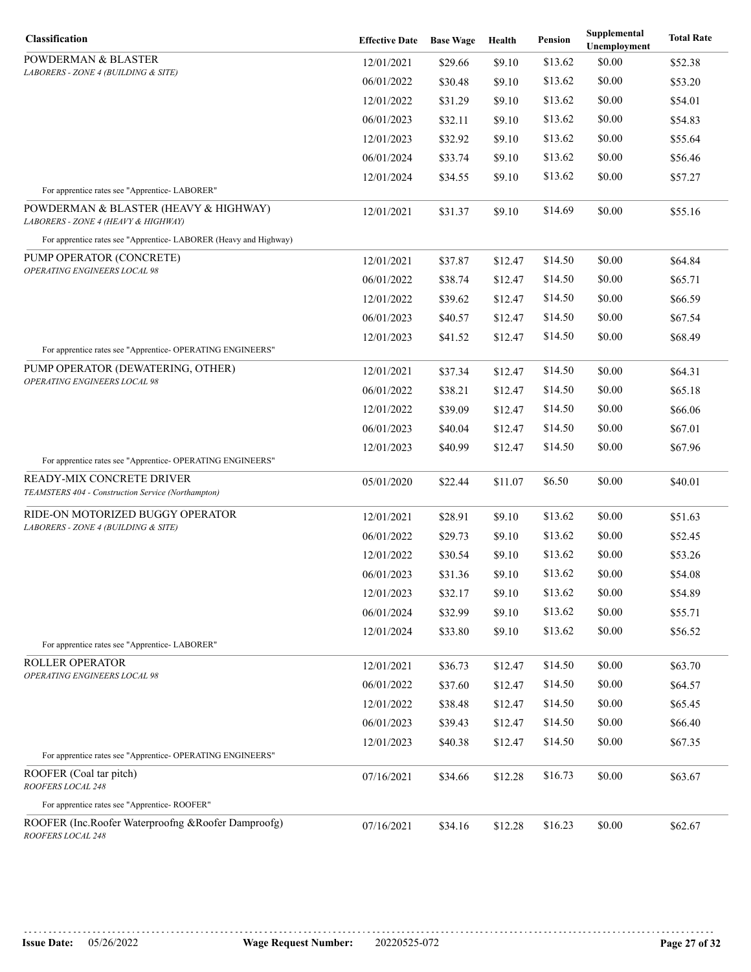| Classification                                                                  | <b>Effective Date</b> | <b>Base Wage</b> | Health  | Pension | Supplemental<br>Unemployment | <b>Total Rate</b> |
|---------------------------------------------------------------------------------|-----------------------|------------------|---------|---------|------------------------------|-------------------|
| POWDERMAN & BLASTER                                                             | 12/01/2021            | \$29.66          | \$9.10  | \$13.62 | \$0.00                       | \$52.38           |
| LABORERS - ZONE 4 (BUILDING & SITE)                                             | 06/01/2022            | \$30.48          | \$9.10  | \$13.62 | \$0.00                       | \$53.20           |
|                                                                                 | 12/01/2022            | \$31.29          | \$9.10  | \$13.62 | \$0.00                       | \$54.01           |
|                                                                                 | 06/01/2023            | \$32.11          | \$9.10  | \$13.62 | \$0.00                       | \$54.83           |
|                                                                                 | 12/01/2023            | \$32.92          | \$9.10  | \$13.62 | \$0.00                       | \$55.64           |
|                                                                                 | 06/01/2024            | \$33.74          | \$9.10  | \$13.62 | \$0.00                       | \$56.46           |
|                                                                                 | 12/01/2024            | \$34.55          | \$9.10  | \$13.62 | \$0.00                       | \$57.27           |
| For apprentice rates see "Apprentice-LABORER"                                   |                       |                  |         |         |                              |                   |
| POWDERMAN & BLASTER (HEAVY & HIGHWAY)<br>LABORERS - ZONE 4 (HEAVY & HIGHWAY)    | 12/01/2021            | \$31.37          | \$9.10  | \$14.69 | \$0.00                       | \$55.16           |
| For apprentice rates see "Apprentice-LABORER (Heavy and Highway)                |                       |                  |         |         |                              |                   |
| PUMP OPERATOR (CONCRETE)<br>OPERATING ENGINEERS LOCAL 98                        | 12/01/2021            | \$37.87          | \$12.47 | \$14.50 | \$0.00                       | \$64.84           |
|                                                                                 | 06/01/2022            | \$38.74          | \$12.47 | \$14.50 | \$0.00                       | \$65.71           |
|                                                                                 | 12/01/2022            | \$39.62          | \$12.47 | \$14.50 | \$0.00                       | \$66.59           |
|                                                                                 | 06/01/2023            | \$40.57          | \$12.47 | \$14.50 | \$0.00                       | \$67.54           |
|                                                                                 | 12/01/2023            | \$41.52          | \$12.47 | \$14.50 | \$0.00                       | \$68.49           |
| For apprentice rates see "Apprentice- OPERATING ENGINEERS"                      |                       |                  |         |         |                              |                   |
| PUMP OPERATOR (DEWATERING, OTHER)<br>OPERATING ENGINEERS LOCAL 98               | 12/01/2021            | \$37.34          | \$12.47 | \$14.50 | \$0.00                       | \$64.31           |
|                                                                                 | 06/01/2022            | \$38.21          | \$12.47 | \$14.50 | \$0.00                       | \$65.18           |
|                                                                                 | 12/01/2022            | \$39.09          | \$12.47 | \$14.50 | \$0.00                       | \$66.06           |
|                                                                                 | 06/01/2023            | \$40.04          | \$12.47 | \$14.50 | \$0.00                       | \$67.01           |
|                                                                                 | 12/01/2023            | \$40.99          | \$12.47 | \$14.50 | \$0.00                       | \$67.96           |
| For apprentice rates see "Apprentice- OPERATING ENGINEERS"                      |                       |                  |         |         |                              |                   |
| READY-MIX CONCRETE DRIVER<br>TEAMSTERS 404 - Construction Service (Northampton) | 05/01/2020            | \$22.44          | \$11.07 | \$6.50  | \$0.00                       | \$40.01           |
| RIDE-ON MOTORIZED BUGGY OPERATOR<br>LABORERS - ZONE 4 (BUILDING & SITE)         | 12/01/2021            | \$28.91          | \$9.10  | \$13.62 | \$0.00                       | \$51.63           |
|                                                                                 | 06/01/2022            | \$29.73          | \$9.10  | \$13.62 | \$0.00                       | \$52.45           |
|                                                                                 | 12/01/2022            | \$30.54          | \$9.10  | \$13.62 | \$0.00                       | \$53.26           |
|                                                                                 | 06/01/2023            | \$31.36          | \$9.10  | \$13.62 | \$0.00                       | \$54.08           |
|                                                                                 | 12/01/2023            | \$32.17          | \$9.10  | \$13.62 | \$0.00                       | \$54.89           |
|                                                                                 | 06/01/2024            | \$32.99          | \$9.10  | \$13.62 | \$0.00                       | \$55.71           |
| For apprentice rates see "Apprentice- LABORER"                                  | 12/01/2024            | \$33.80          | \$9.10  | \$13.62 | \$0.00                       | \$56.52           |
| ROLLER OPERATOR                                                                 | 12/01/2021            | \$36.73          | \$12.47 | \$14.50 | \$0.00                       | \$63.70           |
| OPERATING ENGINEERS LOCAL 98                                                    | 06/01/2022            | \$37.60          | \$12.47 | \$14.50 | \$0.00                       | \$64.57           |
|                                                                                 | 12/01/2022            | \$38.48          | \$12.47 | \$14.50 | \$0.00                       | \$65.45           |
|                                                                                 | 06/01/2023            | \$39.43          | \$12.47 | \$14.50 | \$0.00                       | \$66.40           |
|                                                                                 | 12/01/2023            | \$40.38          | \$12.47 | \$14.50 | \$0.00                       | \$67.35           |
| For apprentice rates see "Apprentice- OPERATING ENGINEERS"                      |                       |                  |         |         |                              |                   |
| ROOFER (Coal tar pitch)<br>ROOFERS LOCAL 248                                    | 07/16/2021            | \$34.66          | \$12.28 | \$16.73 | \$0.00                       | \$63.67           |
| For apprentice rates see "Apprentice-ROOFER"                                    |                       |                  |         |         |                              |                   |
| ROOFER (Inc.Roofer Waterproofng &Roofer Damproofg)<br>ROOFERS LOCAL 248         | 07/16/2021            | \$34.16          | \$12.28 | \$16.23 | \$0.00                       | \$62.67           |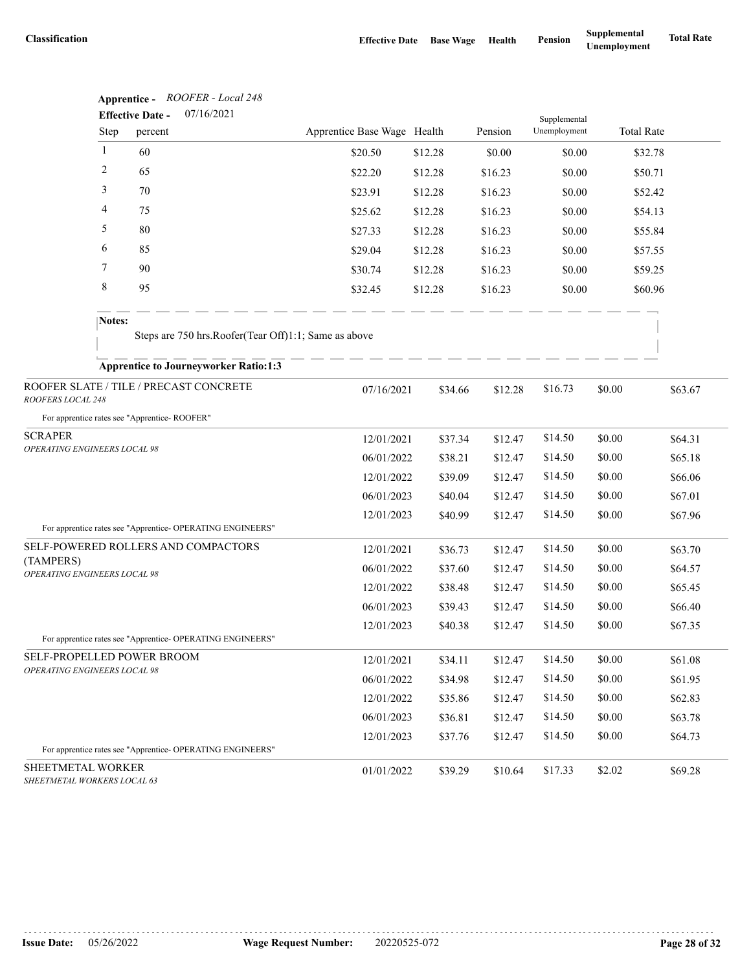|                                                            |                    | Apprentice - ROOFER - Local 248                            |                             |         |         |                              |        |                   |         |
|------------------------------------------------------------|--------------------|------------------------------------------------------------|-----------------------------|---------|---------|------------------------------|--------|-------------------|---------|
|                                                            | Step               | 07/16/2021<br><b>Effective Date -</b><br>percent           | Apprentice Base Wage Health |         | Pension | Supplemental<br>Unemployment |        | <b>Total Rate</b> |         |
| $\mathbf{1}$                                               |                    | 60                                                         | \$20.50                     | \$12.28 | \$0.00  | \$0.00                       |        | \$32.78           |         |
| 2                                                          |                    | 65                                                         | \$22.20                     | \$12.28 | \$16.23 | \$0.00                       |        | \$50.71           |         |
| 3                                                          |                    | 70                                                         | \$23.91                     | \$12.28 | \$16.23 | \$0.00                       |        | \$52.42           |         |
| 4                                                          |                    | 75                                                         | \$25.62                     | \$12.28 | \$16.23 | \$0.00                       |        | \$54.13           |         |
| 5                                                          |                    | 80                                                         | \$27.33                     | \$12.28 | \$16.23 | \$0.00                       |        | \$55.84           |         |
| 6                                                          |                    | 85                                                         | \$29.04                     | \$12.28 | \$16.23 | \$0.00                       |        | \$57.55           |         |
|                                                            | 7<br>90<br>8<br>95 |                                                            | \$30.74                     | \$12.28 | \$16.23 | \$0.00                       |        | \$59.25           |         |
|                                                            |                    |                                                            | \$32.45                     | \$12.28 | \$16.23 | \$0.00                       |        | \$60.96           |         |
|                                                            | Notes:             |                                                            |                             |         |         |                              |        |                   |         |
|                                                            |                    | Steps are 750 hrs. Roofer(Tear Off)1:1; Same as above      |                             |         |         |                              |        |                   |         |
|                                                            |                    | <b>Apprentice to Journeyworker Ratio:1:3</b>               |                             |         |         |                              |        |                   |         |
| ROOFERS LOCAL 248                                          |                    | ROOFER SLATE / TILE / PRECAST CONCRETE                     | 07/16/2021                  | \$34.66 | \$12.28 | \$16.73                      | \$0.00 |                   | \$63.67 |
|                                                            |                    | For apprentice rates see "Apprentice-ROOFER"               |                             |         |         |                              |        |                   |         |
| <b>SCRAPER</b>                                             |                    |                                                            | 12/01/2021                  | \$37.34 | \$12.47 | \$14.50                      | \$0.00 |                   | \$64.31 |
| OPERATING ENGINEERS LOCAL 98                               |                    |                                                            | 06/01/2022                  | \$38.21 | \$12.47 | \$14.50                      | \$0.00 |                   | \$65.18 |
|                                                            |                    |                                                            | 12/01/2022                  | \$39.09 | \$12.47 | \$14.50                      | \$0.00 |                   | \$66.06 |
|                                                            |                    |                                                            | 06/01/2023                  | \$40.04 | \$12.47 | \$14.50                      | \$0.00 |                   | \$67.01 |
|                                                            |                    | For apprentice rates see "Apprentice- OPERATING ENGINEERS" | 12/01/2023                  | \$40.99 | \$12.47 | \$14.50                      | \$0.00 |                   | \$67.96 |
|                                                            |                    | SELF-POWERED ROLLERS AND COMPACTORS                        | 12/01/2021                  | \$36.73 | \$12.47 | \$14.50                      | \$0.00 |                   | \$63.70 |
| (TAMPERS)<br>OPERATING ENGINEERS LOCAL 98                  |                    |                                                            | 06/01/2022                  | \$37.60 | \$12.47 | \$14.50                      | \$0.00 |                   | \$64.57 |
|                                                            |                    |                                                            | 12/01/2022                  | \$38.48 | \$12.47 | \$14.50                      | \$0.00 |                   | \$65.45 |
|                                                            |                    |                                                            | 06/01/2023                  | \$39.43 | \$12.47 | \$14.50                      | \$0.00 |                   | \$66.40 |
|                                                            |                    |                                                            | 12/01/2023                  | \$40.38 | \$12.47 | \$14.50                      | \$0.00 |                   | \$67.35 |
|                                                            |                    | For apprentice rates see "Apprentice- OPERATING ENGINEERS" |                             |         |         |                              |        |                   |         |
| SELF-PROPELLED POWER BROOM<br>OPERATING ENGINEERS LOCAL 98 |                    |                                                            | 12/01/2021                  | \$34.11 | \$12.47 | \$14.50                      | \$0.00 |                   | \$61.08 |
|                                                            |                    |                                                            | 06/01/2022                  | \$34.98 | \$12.47 | \$14.50                      | \$0.00 |                   | \$61.95 |
|                                                            |                    |                                                            | 12/01/2022                  | \$35.86 | \$12.47 | \$14.50                      | \$0.00 |                   | \$62.83 |
|                                                            |                    |                                                            | 06/01/2023                  | \$36.81 | \$12.47 | \$14.50                      | \$0.00 |                   | \$63.78 |
|                                                            |                    | For apprentice rates see "Apprentice- OPERATING ENGINEERS" | 12/01/2023                  | \$37.76 | \$12.47 | \$14.50                      | \$0.00 |                   | \$64.73 |
| SHEETMETAL WORKER                                          |                    |                                                            |                             |         |         | \$17.33                      |        |                   |         |
| SHEETMETAL WORKERS LOCAL 63                                |                    |                                                            | 01/01/2022                  | \$39.29 | \$10.64 |                              | \$2.02 |                   | \$69.28 |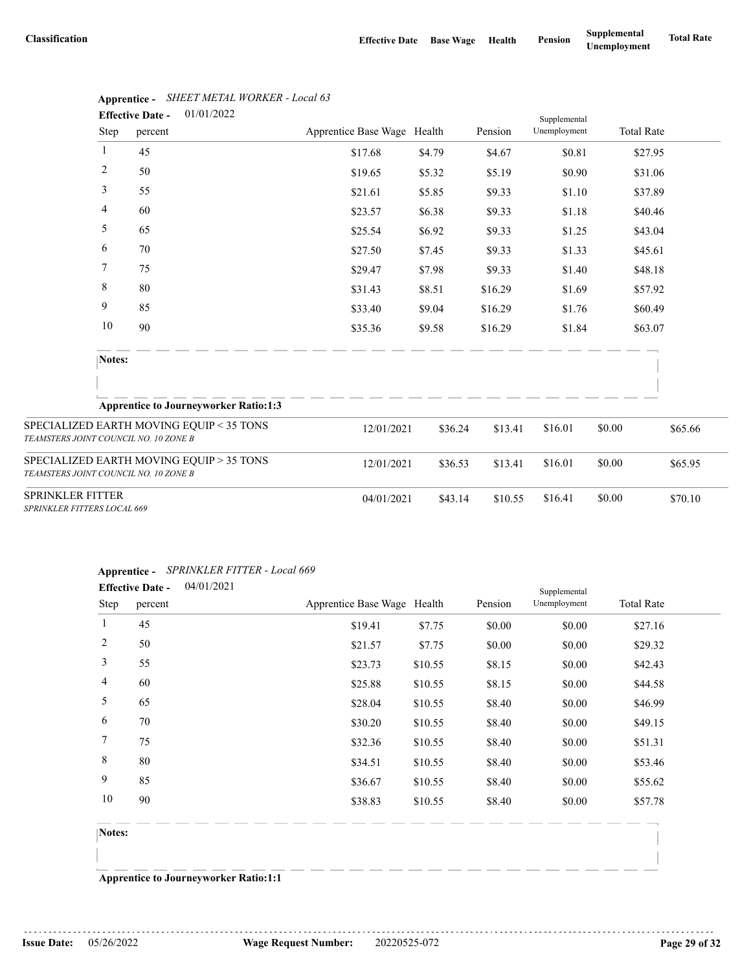|                                       | <b>Effective Date -</b>     | 01/01/2022                                   |                             |         |         | Supplemental |        |                   |
|---------------------------------------|-----------------------------|----------------------------------------------|-----------------------------|---------|---------|--------------|--------|-------------------|
| Step                                  | percent                     |                                              | Apprentice Base Wage Health |         | Pension | Unemployment |        | <b>Total Rate</b> |
| $\mathbf{1}$                          | 45                          |                                              | \$17.68                     | \$4.79  | \$4.67  | \$0.81       |        | \$27.95           |
| $\overline{c}$                        | 50                          |                                              | \$19.65                     | \$5.32  | \$5.19  | \$0.90       |        | \$31.06           |
| 3                                     | 55                          |                                              | \$21.61                     | \$5.85  | \$9.33  | \$1.10       |        | \$37.89           |
| 4                                     | 60                          |                                              | \$23.57                     | \$6.38  | \$9.33  | \$1.18       |        | \$40.46           |
| 5                                     | 65                          |                                              | \$25.54                     | \$6.92  | \$9.33  | \$1.25       |        | \$43.04           |
| 6                                     | 70                          |                                              | \$27.50                     | \$7.45  | \$9.33  | \$1.33       |        | \$45.61           |
| 7                                     | 75                          |                                              | \$29.47                     | \$7.98  | \$9.33  | \$1.40       |        | \$48.18           |
| 8                                     | 80                          |                                              | \$31.43                     | \$8.51  | \$16.29 | \$1.69       |        | \$57.92           |
| 9                                     | 85                          |                                              | \$33.40                     | \$9.04  | \$16.29 | \$1.76       |        | \$60.49           |
| 10                                    | 90                          |                                              | \$35.36                     | \$9.58  | \$16.29 | \$1.84       |        | \$63.07           |
|                                       | Notes:                      |                                              |                             |         |         |              |        |                   |
|                                       |                             |                                              |                             |         |         |              |        |                   |
|                                       |                             | <b>Apprentice to Journeyworker Ratio:1:3</b> |                             |         |         |              |        |                   |
| TEAMSTERS JOINT COUNCIL NO. 10 ZONE B |                             | SPECIALIZED EARTH MOVING EQUIP < 35 TONS     | 12/01/2021                  | \$36.24 | \$13.41 | \$16.01      | \$0.00 | \$65.66           |
| TEAMSTERS JOINT COUNCIL NO. 10 ZONE B |                             | SPECIALIZED EARTH MOVING EQUIP > 35 TONS     | 12/01/2021                  | \$36.53 | \$13.41 | \$16.01      | \$0.00 | \$65.95           |
| SPRINKLER FITTER                      | SPRINKLER FITTERS LOCAL 669 |                                              | 04/01/2021                  | \$43.14 | \$10.55 | \$16.41      | \$0.00 | \$70.10           |

# **Apprentice -** *SHEET METAL WORKER - Local 63*

| Step   | <b>Effective Date -</b><br>percent | 04/01/2021                                   | Apprentice Base Wage Health |         | Pension | Supplemental<br>Unemployment | <b>Total Rate</b> |
|--------|------------------------------------|----------------------------------------------|-----------------------------|---------|---------|------------------------------|-------------------|
| 1      | 45                                 |                                              | \$19.41                     | \$7.75  | \$0.00  | \$0.00                       | \$27.16           |
| 2      | 50                                 |                                              | \$21.57                     | \$7.75  | \$0.00  | \$0.00                       | \$29.32           |
| 3      | 55                                 |                                              | \$23.73                     | \$10.55 | \$8.15  | \$0.00                       | \$42.43           |
| 4      | 60                                 |                                              | \$25.88                     | \$10.55 | \$8.15  | \$0.00                       | \$44.58           |
| 5      | 65                                 |                                              | \$28.04                     | \$10.55 | \$8.40  | \$0.00                       | \$46.99           |
| 6      | 70                                 |                                              | \$30.20                     | \$10.55 | \$8.40  | \$0.00                       | \$49.15           |
| 7      | 75                                 |                                              | \$32.36                     | \$10.55 | \$8.40  | \$0.00                       | \$51.31           |
| 8      | 80                                 |                                              | \$34.51                     | \$10.55 | \$8.40  | \$0.00                       | \$53.46           |
| 9      | 85                                 |                                              | \$36.67                     | \$10.55 | \$8.40  | \$0.00                       | \$55.62           |
| 10     | 90                                 |                                              | \$38.83                     | \$10.55 | \$8.40  | \$0.00                       | \$57.78           |
| Notes: |                                    |                                              |                             |         |         |                              |                   |
|        |                                    |                                              |                             |         |         |                              |                   |
|        |                                    | <b>Apprentice to Journeyworker Ratio:1:1</b> |                             |         |         |                              |                   |

# **Apprentice -** *SPRINKLER FITTER - Local 669*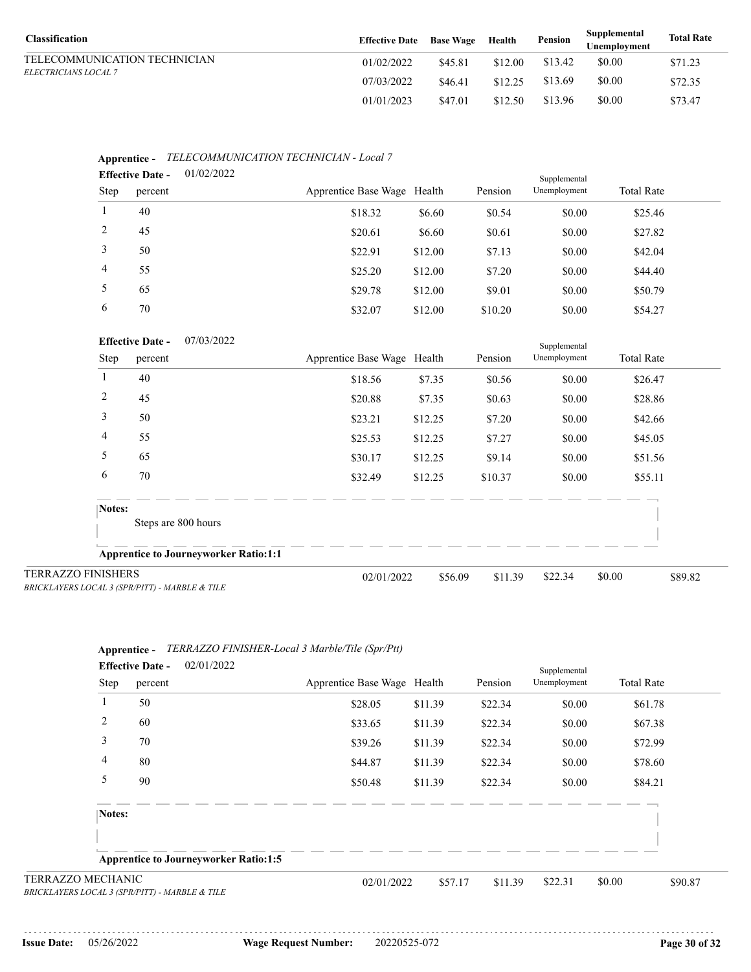| <b>Classification</b>        | <b>Effective Date</b> | <b>Base Wage</b> | Health  | Pension | Supplemental<br>Unemplovment | <b>Total Rate</b> |
|------------------------------|-----------------------|------------------|---------|---------|------------------------------|-------------------|
| TELECOMMUNICATION TECHNICIAN | 01/02/2022            | \$45.81          | \$12.00 | \$13.42 | \$0.00                       | \$71.23           |
| <i>ELECTRICIANS LOCAL 7</i>  | 07/03/2022            | \$46.41          | \$12.25 | \$13.69 | \$0.00                       | \$72.35           |
|                              | 01/01/2023            | \$47.01          | \$12.50 | \$13.96 | \$0.00                       | \$73.47           |

| <b>Effective Date -</b> |         | 01/02/2022 |                             |         |         | Supplemental |                   |  |  |
|-------------------------|---------|------------|-----------------------------|---------|---------|--------------|-------------------|--|--|
| Step                    | percent |            | Apprentice Base Wage Health |         | Pension | Unemployment | <b>Total Rate</b> |  |  |
|                         | 40      |            | \$18.32                     | \$6.60  | \$0.54  | \$0.00       | \$25.46           |  |  |
| 2                       | 45      |            | \$20.61                     | \$6.60  | \$0.61  | \$0.00       | \$27.82           |  |  |
| 3                       | 50      |            | \$22.91                     | \$12.00 | \$7.13  | \$0.00       | \$42.04           |  |  |
| $\overline{4}$          | 55      |            | \$25.20                     | \$12.00 | \$7.20  | \$0.00       | \$44.40           |  |  |
| 5                       | 65      |            | \$29.78                     | \$12.00 | \$9.01  | \$0.00       | \$50.79           |  |  |
| 6                       | 70      |            | \$32.07                     | \$12.00 | \$10.20 | \$0.00       | \$54.27           |  |  |

# **Apprentice -** *TELECOMMUNICATION TECHNICIAN - Local 7*

|                                                                             | 07/03/2022<br><b>Effective Date -</b>        |                             |         |         | Supplemental |                   |         |
|-----------------------------------------------------------------------------|----------------------------------------------|-----------------------------|---------|---------|--------------|-------------------|---------|
| Step                                                                        | percent                                      | Apprentice Base Wage Health |         | Pension | Unemployment | <b>Total Rate</b> |         |
|                                                                             | 40                                           | \$18.56                     | \$7.35  | \$0.56  | \$0.00       | \$26.47           |         |
| 2                                                                           | 45                                           | \$20.88                     | \$7.35  | \$0.63  | \$0.00       | \$28.86           |         |
| 3                                                                           | 50                                           | \$23.21                     | \$12.25 | \$7.20  | \$0.00       | \$42.66           |         |
| 4                                                                           | 55                                           | \$25.53                     | \$12.25 | \$7.27  | \$0.00       | \$45.05           |         |
| 5                                                                           | 65                                           | \$30.17                     | \$12.25 | \$9.14  | \$0.00       | \$51.56           |         |
| 6                                                                           | 70                                           | \$32.49                     | \$12.25 | \$10.37 | \$0.00       | \$55.11           |         |
| Notes:                                                                      | Steps are 800 hours                          |                             |         |         |              |                   |         |
|                                                                             | <b>Apprentice to Journeyworker Ratio:1:1</b> |                             |         |         |              |                   |         |
| <b>TERRAZZO FINISHERS</b><br>BRICKLAYERS LOCAL 3 (SPR/PITT) - MARBLE & TILE |                                              | 02/01/2022                  | \$56.09 | \$11.39 | \$22.34      | \$0.00            | \$89.82 |

|                          |                                                | $\Delta$ pprennee - TERRALEO PHYDRER-Local 5 Marvier Hie (Spr/Fu) |         |         |              |                   |  |
|--------------------------|------------------------------------------------|-------------------------------------------------------------------|---------|---------|--------------|-------------------|--|
|                          | 02/01/2022<br><b>Effective Date -</b>          |                                                                   |         |         | Supplemental |                   |  |
| Step                     | percent                                        | Apprentice Base Wage Health                                       |         | Pension | Unemployment | <b>Total Rate</b> |  |
|                          | 50                                             | \$28.05                                                           | \$11.39 | \$22.34 | \$0.00       | \$61.78           |  |
| 2                        | 60                                             | \$33.65                                                           | \$11.39 | \$22.34 | \$0.00       | \$67.38           |  |
| 3                        | 70                                             | \$39.26                                                           | \$11.39 | \$22.34 | \$0.00       | \$72.99           |  |
| 4                        | 80                                             | \$44.87                                                           | \$11.39 | \$22.34 | \$0.00       | \$78.60           |  |
| 5                        | 90                                             | \$50.48                                                           | \$11.39 | \$22.34 | \$0.00       | \$84.21           |  |
| Notes:                   |                                                |                                                                   |         |         |              |                   |  |
|                          |                                                |                                                                   |         |         |              |                   |  |
|                          | <b>Apprentice to Journeyworker Ratio:1:5</b>   |                                                                   |         |         |              |                   |  |
| <b>TERRAZZO MECHANIC</b> | BRICKLAYERS LOCAL 3 (SPR/PITT) - MARBLE & TILE | 02/01/2022                                                        | \$57.17 | \$11.39 | \$22.31      | \$0.00<br>\$90.87 |  |

# **Apprentice -** *TERRAZZO FINISHER-Local 3 Marble/Tile (Spr/Ptt)*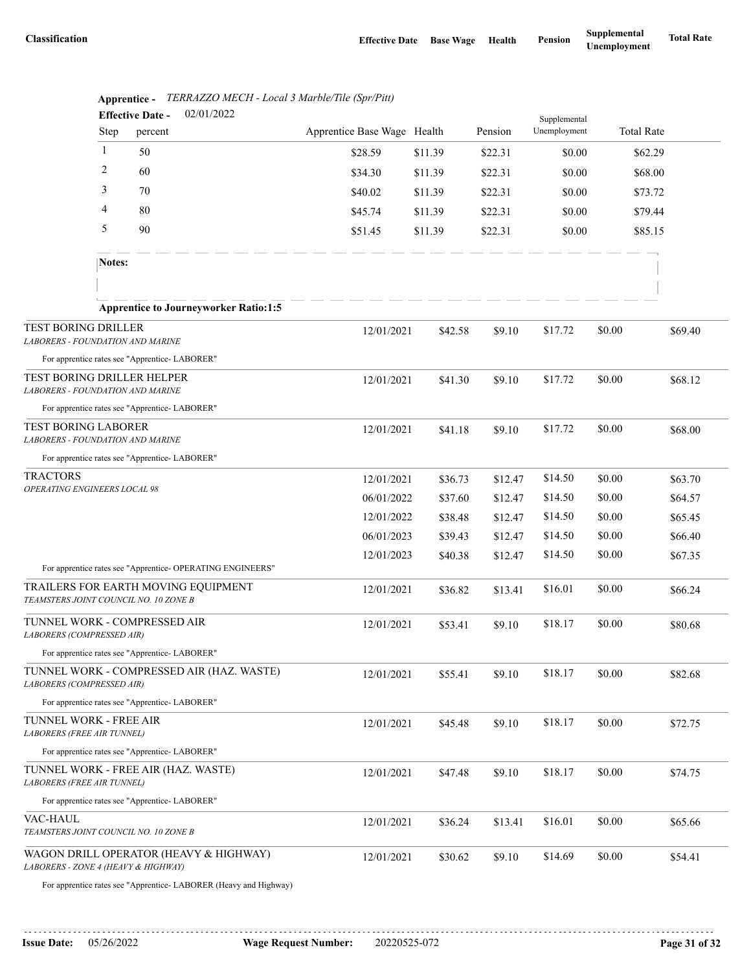|                                                                              |              | <b>Effective Date -</b> | 02/01/2022                                                        |                             |         |         | Supplemental |        |                   |  |
|------------------------------------------------------------------------------|--------------|-------------------------|-------------------------------------------------------------------|-----------------------------|---------|---------|--------------|--------|-------------------|--|
|                                                                              | Step         | percent                 |                                                                   | Apprentice Base Wage Health |         | Pension | Unemployment |        | <b>Total Rate</b> |  |
|                                                                              | $\mathbf{1}$ | 50                      |                                                                   | \$28.59                     | \$11.39 | \$22.31 | \$0.00       |        | \$62.29           |  |
|                                                                              | 2            | 60                      |                                                                   | \$34.30                     | \$11.39 | \$22.31 | \$0.00       |        | \$68.00           |  |
|                                                                              | 3            | 70                      |                                                                   | \$40.02                     | \$11.39 | \$22.31 | \$0.00       |        | \$73.72           |  |
|                                                                              | 4            | 80                      |                                                                   | \$45.74                     | \$11.39 | \$22.31 | \$0.00       |        | \$79.44           |  |
|                                                                              | 5            | 90                      |                                                                   | \$51.45                     | \$11.39 | \$22.31 | \$0.00       |        | \$85.15           |  |
|                                                                              | Notes:       |                         |                                                                   |                             |         |         |              |        |                   |  |
|                                                                              |              |                         |                                                                   |                             |         |         |              |        |                   |  |
|                                                                              |              |                         | <b>Apprentice to Journeyworker Ratio:1:5</b>                      |                             |         |         |              |        |                   |  |
| TEST BORING DRILLER<br>LABORERS - FOUNDATION AND MARINE                      |              |                         |                                                                   | 12/01/2021                  | \$42.58 | \$9.10  | \$17.72      | \$0.00 | \$69.40           |  |
| For apprentice rates see "Apprentice-LABORER"                                |              |                         |                                                                   |                             |         |         |              |        |                   |  |
| TEST BORING DRILLER HELPER<br>LABORERS - FOUNDATION AND MARINE               |              |                         |                                                                   | 12/01/2021                  | \$41.30 | \$9.10  | \$17.72      | \$0.00 | \$68.12           |  |
| For apprentice rates see "Apprentice-LABORER"                                |              |                         |                                                                   |                             |         |         |              |        |                   |  |
| <b>TEST BORING LABORER</b><br><b>LABORERS - FOUNDATION AND MARINE</b>        |              |                         |                                                                   | 12/01/2021                  | \$41.18 | \$9.10  | \$17.72      | \$0.00 | \$68.00           |  |
| For apprentice rates see "Apprentice-LABORER"                                |              |                         |                                                                   |                             |         |         |              |        |                   |  |
| <b>TRACTORS</b><br>OPERATING ENGINEERS LOCAL 98                              |              |                         |                                                                   | 12/01/2021                  | \$36.73 | \$12.47 | \$14.50      | \$0.00 | \$63.70           |  |
|                                                                              |              |                         |                                                                   | 06/01/2022                  | \$37.60 | \$12.47 | \$14.50      | \$0.00 | \$64.57           |  |
|                                                                              |              |                         |                                                                   | 12/01/2022                  | \$38.48 | \$12.47 | \$14.50      | \$0.00 | \$65.45           |  |
|                                                                              |              |                         |                                                                   | 06/01/2023                  | \$39.43 | \$12.47 | \$14.50      | \$0.00 | \$66.40           |  |
|                                                                              |              |                         |                                                                   | 12/01/2023                  | \$40.38 | \$12.47 | \$14.50      | \$0.00 | \$67.35           |  |
|                                                                              |              |                         | For apprentice rates see "Apprentice- OPERATING ENGINEERS"        |                             |         |         |              |        |                   |  |
| TRAILERS FOR EARTH MOVING EQUIPMENT<br>TEAMSTERS JOINT COUNCIL NO. 10 ZONE B |              |                         |                                                                   | 12/01/2021                  | \$36.82 | \$13.41 | \$16.01      | \$0.00 | \$66.24           |  |
| TUNNEL WORK - COMPRESSED AIR<br>LABORERS (COMPRESSED AIR)                    |              |                         |                                                                   | 12/01/2021                  | \$53.41 | \$9.10  | \$18.17      | \$0.00 | \$80.68           |  |
| For apprentice rates see "Apprentice-LABORER"                                |              |                         |                                                                   |                             |         |         |              |        |                   |  |
| LABORERS (COMPRESSED AIR)                                                    |              |                         | TUNNEL WORK - COMPRESSED AIR (HAZ. WASTE)                         | 12/01/2021                  | \$55.41 | \$9.10  | \$18.17      | \$0.00 | \$82.68           |  |
| For apprentice rates see "Apprentice- LABORER"                               |              |                         |                                                                   |                             |         |         |              |        |                   |  |
| TUNNEL WORK - FREE AIR<br><b>LABORERS (FREE AIR TUNNEL)</b>                  |              |                         |                                                                   | 12/01/2021                  | \$45.48 | \$9.10  | \$18.17      | \$0.00 | \$72.75           |  |
| For apprentice rates see "Apprentice-LABORER"                                |              |                         |                                                                   |                             |         |         |              |        |                   |  |
| TUNNEL WORK - FREE AIR (HAZ. WASTE)<br><b>LABORERS (FREE AIR TUNNEL)</b>     |              |                         |                                                                   | 12/01/2021                  | \$47.48 | \$9.10  | \$18.17      | \$0.00 | \$74.75           |  |
| For apprentice rates see "Apprentice-LABORER"                                |              |                         |                                                                   |                             |         |         |              |        |                   |  |
| VAC-HAUL<br>TEAMSTERS JOINT COUNCIL NO. 10 ZONE B                            |              |                         |                                                                   | 12/01/2021                  | \$36.24 | \$13.41 | \$16.01      | \$0.00 | \$65.66           |  |
| LABORERS - ZONE 4 (HEAVY & HIGHWAY)                                          |              |                         | WAGON DRILL OPERATOR (HEAVY & HIGHWAY)                            | 12/01/2021                  | \$30.62 | \$9.10  | \$14.69      | \$0.00 | \$54.41           |  |
|                                                                              |              |                         | For apprentice rates see "Apprentice- LABORER (Heavy and Highway) |                             |         |         |              |        |                   |  |

|     |  | <b>Apprentice -</b> TERRAZZO MECH - Local 3 Marble/Tile (Spr/Pitt) |             |  |
|-----|--|--------------------------------------------------------------------|-------------|--|
| ___ |  |                                                                    | 0.210110000 |  |